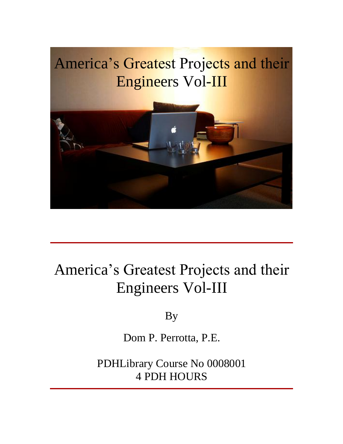## America's Greatest Projects and their Engineers Vol-III



## America's Greatest Projects and their Engineers Vol-III

By

Dom P. Perrotta, P.E.

PDHLibrary Course No 0008001 4 PDH HOURS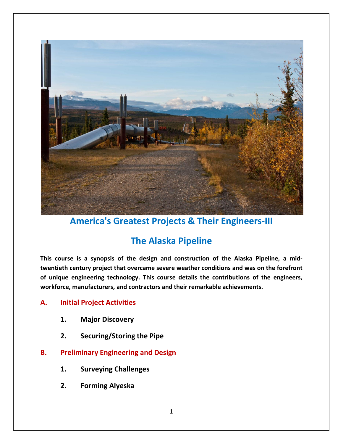

**cented is a synopsis of the design and construction of the Alaska Pipeline, a mid-<br>
<b>century** project that overcame severe weather conditions and was on the forefront **internology. The Alaska Pipeline**<br>**This course is a synopsis of the design and construction of the Alaska Pipeline, a mid-<br>twentieth century project that overcame severe weather conditions and was on the forefront<br>of uniq The Alaska Pipeline**<br>This course is a synopsis of the design and construction of the Alaska Pipeline<br>twentieth century project that overcame severe weather conditions and was on the<br>of unique engineering technology. This **Ince Alama Islae Theory Theory**<br>
Intertains a synopsis of the design<br>
th century project that overcame s<br>
Jue engineering technology. This c<br>
Thitial Project Activities Figure is a synopsis of the design<br>
1. **Continuity project that overcame set use engineering technology. This corree, manufacturers, and contractors<br>
1. <b>Major Discoverv** Figure engineering technology. This course detaintienty and their represent their represent their represent the Pipe<br> **2.** Securing/Storing the Pipe workforce, manufacturers, and contractors and their remarkable achievements.

#### **Initial Project Activities** A.

- **2.**
- **Prefinding the Engineering State State and Tengineering Alexandrical Preliminary Engineering and Design State Alexandrical Preliminary Engineering and Design**
- 1. Major Discovery<br>
2. Securing/Storing the Pipe<br> **Preliminary Engineering and Design<br>
1. Surveying Challenges Securing/Storing the Pipe<br>
<b>Algority Engineering and Des**<br> **Surveying Challenges**<br> **Forming Alyeska B.** 
	- $1.$
	- $2.$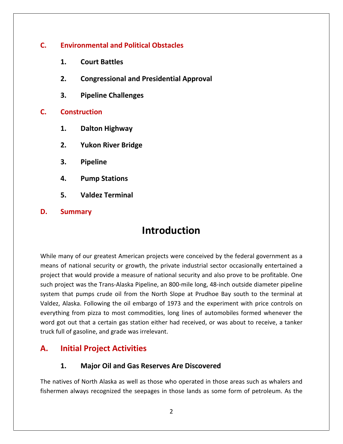# **Environmental and Political Obstacles Court Battles**<br> **Court Battles**<br> **Court Battles Pipeline Challenges C.**

- **1.**
- **Constructed Andal Political Obstacles<br>
<b>Congressional and Presidential Approval EXAMPLE COUTE BATE ATTENTION**<br>**2.** Congressional and<br>**3.** Pipeline Challen<br>Construction **Congressional and President Congressional and President President<br>Pipeline Challenges<br><b>Palton Highway 2.**
- **Pipeline Challenges<br>Pipeline Challenges<br>Tuction<br>Dalton Highway<br>Yukon River Bridge 3.**

#### $C_{\cdot}$ **4.**

- **5.**
- **Premic Shanding<br>Pipelion<br>Dalton Highway<br>Yukon River Brid<sub>{</sub><br>Pipeline Dalton Highway<br>Yukon River Bridge<br>Pipeline<br>Pump Stations Pulton River Bridge<br>Yukon River Bridge<br>Pipeline<br>Pump Stations<br>Valdez Terminal**
- 
- **Summary**<br>**S.** Pipeline<br>**S.** Valdez Term<br>**Summary**
- 

#### $D<sub>r</sub>$

**Summary<br>
Introduction<br>
Suppremises American projects were conceived by the federal government as a Summary<br>
Summary**<br> **of our greatest American projects were conceived by the federal government as a<br>
of national security or growth, the private industrial sector occasionally entertained a Introduction**<br>that would provide a measure of national security or growth, the private industrial sector occasionally entertained a<br>that would provide a measure of national security and also prove to be profitable. One **INTFOQUCTION**<br>
Per many of our greatest American projects were conceived by the federal government as a<br>
In so finational security or growth, the private industrial sector occasionally entertained a<br>
discuss the Trans-Ala That pumps of our greatest American projects were conceived by the federal government as a<br>of national security or growth, the private industrial sector occasionally entertained a<br>that would provide a measure of national s Valdez,hany of our greatest American projects were conceived by the federal government as a<br>of national security or growth, the private industrial sector occasionally entertained a<br>that would provide a measure of national securit means of national security or growth, the private industrial sector occasionally entertained a From projects when the private industrial sector occasionally entertained a<br>simula security or growth, the private industrial sector occasionally entertained a<br>t was the Trans-Alaska Pipeline, an 800-mile long, 48-inch out project that would provide a measure of national security and also prove to be profitable. One got of hational security of growth, the private matistrial sector occasionally entertained a<br>tt that would provide a measure of national security and also prove to be profitable. One<br>project was the Trans-Alaska Pipeline, such project was the Trans-Alaska Pipeline, an 800-mile long, 48-inch outside diameter pipeline project that would provide a measure or national s<br>such project was the Trans-Alaska Pipeline, an 800-<br>system that pumps crude oil from the North Slop<br>Valdez, Alaska. Following the oil embargo of 1973<br>everything from pizza Initial would provide a measure or national<br>
oject was the Trans-Alaska Pipeline, an 8<br>
that pumps crude oil from the North S<br>
Alaska. Following the oil embargo of 19<br>
ing from pizza to most commodities, lo<br>
ot out that a Valdez, Alaska. Following the oil embargo of 1973 and the experiment with price controls on Following the oil embargo of 1973 and the experiment with<br>
m pizza to most commodities, long lines of automobiles forn<br>
that a certain gas station either had received, or was about to<br>
soline, and grade was irrelevant.<br> **P** truck full of gasoline, and grade was irrelevant. inatives of North Alaska as well as those who operated in those areas such as whalers and<br>
thatives of North Alaska as well as those who operated in those areas such as whalers and

## A.

#### **Major Oil and Gas Reserves Are Discovered**

**Example 1 Sepannish Standard Project Activities**<br>Major Oil and Gas Reserves Are Discovered<br>always recognized the seepages in those lands as some form of petroleum. As the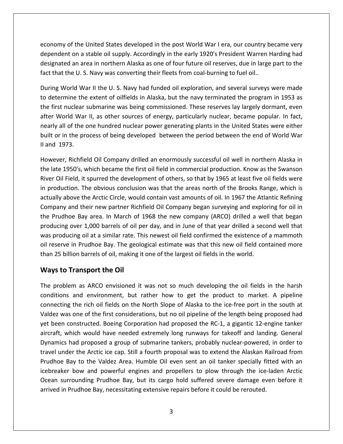of the United States developed in the post World War I era, our country became very on a stable oil supply. Accordingly in the post World War I era, our country became very<br>The United States developed in the post World War I era, our country became very<br>The astable oil supply. Accordingly in the early 192 an area in northern Alaska as one of four future oil reserves, due in large part to the<br>an area in northern Alaska as one of four future oil reserves, due in large part to the<br>an area in northern Alaska as one of four futu economy of the United States developed in the post World War I era, our country b<br>dependent on a stable oil supply. Accordingly in the early 1920's President Warren F<br>designated an area in northern Alaska as one of four fu ny of the United States developed in the post World War I era, our country became very<br>lent on a stable oil supply. Accordingly in the early 1920's President Warren Harding had<br>ted an area in northern Alaska as one of four ec beyondent on a stable oil supply. Accordingly in the post World War I era, our country became very<br>pendent on a stable oil supply. Accordingly in the early 1920's President Warren Harding had<br>signated an area in northern A dependent on a stable oil supply. Accordingly in the early 1920's President Warren Harding had endent on a stable oil supply. Accordingly in the early 1920's President Warren Harding had<br>gnated an area in northern Alaska as one of four future oil reserves, due in large part to the<br>that the U. S. Navy was converting designated an area in northern Alaska as one of four future oil reserves, due in large part to the

designated an area in northern Alaska as one of four future oil reserves, due in large part to the<br>fact that the U. S. Navy was converting their fleets from coal-burning to fuel oil..<br>During World War II the U. S. Navy had at the U.S. Navy was converting their fleets from coal-burning to fuel oil..<br>World War II the U.S. Navy had funded oil exploration, and several surveys were made<br>ermine the extent of oilfields in Alaska, but the navy termi During World War II the U.S. Navy had funded oil exploration, and several surveys were made In the U.S. Navy had funded oil exploration, and several surveys were made<br>termine the extent of oilfields in Alaska, but the navy terminated the program in 1953 as<br>irst nuclear submarine was being commissioned. These rese to determine the extent of oilfields in Alaska, but the navy terminated the program in 1953 as Barmg world Water the first nuclear<br>after World War<br>nearly all of the distribution in the product<br>Il and 1973. uclear submarine was being commissioned. These reserves lay largely dormant, even<br>Id War II, as other sources of energy, particularly nuclear, became popular. In fact,<br>of the one hundred nuclear power generating plants in after World War II, as other sources of energy, particularly nuclear, became popular. In fact, r World War II, as other sources of energy, particularly nuclear, became popular. In fact,<br>rly all of the one hundred nuclear power generating plants in the United States were either<br>t or in the process of being developed nearly all of the one hundred nuclear power generating plants in the United States were either r all of the one hundred nuclear power generating plants in the United States were either<br>or in the process of being developed between the period between the end of World War<br>1973.<br>ver, Richfield Oil Company drilled an eno  $\mathsf{b}$ II and  $1973$ .

ilt or in the process of being developed between the period between the end of World War<br>ind 1973.<br>wever, Richfield Oil Company drilled an enormously successful oil well in northern Alaska in<br>e late 1950's, which became th 973.<br>r, Richfield Oil Company drilled an enormously successful oil well in northern Alaska in<br>1950's, which became the first oil field in commercial production. Know as the Swanson<br>Field, it spurred the development of othe However, Richfield Oil Company drilled an enormously successful oil well in northern Alaska in Richfield Oil Company drilled an enormously successful oil well in northern Alaska in<br>950's, which became the first oil field in commercial production. Know as the Swanson<br>ield, it spurred the development of others, so tha the late 1950's, which became the first oil field in commercial production. Know as the Swanson Prudhoe Bay area. In March of 1968 the new company (ARCO) drilled a well that began<br>Production. The obvious conclusion was that the areas north of the Brooks Range, which is<br>ally above the Arctic Circle, would contain vast Fiver Oil Field, it spurred the development of others, so that by 1965 at least five oil fields were<br>in production. The obvious conclusion was that the areas north of the Brooks Range, which is<br>actually above the Arctic Ci We contreal, it spanted the development of others, so that by 1505 dreast the on nelas were<br>in production. The obvious conclusion was that the areas north of the Brooks Range, which is<br>actually above the Arctic Circle, wou actually above the Arctic Circle, would contain vast amounts of oil. In 1967 the Atlantic Refining reseased... The servest conclusion was that the areas horth of the Brooks hange, which is<br>ually above the Arctic Circle, would contain vast amounts of oil. In 1967 the Atlantic Refining<br>mpany and their new partner Richfiel Company and their new partner Richfield Oil Company began surveying and exploring for oil in the Prudhoe Bay area. In March of 1968 the new company (ARCO) drilled a well that began<br>producing over 1,000 barrels of oil per day, and in June of that year drilled a second well that ny and their new partner Rich<br>
idhoe Bay area. In March of<br>
ing over 1,000 barrels of oil p<br>
pducing oil at a similar rate. The<br>
irve in Prudhoe Bay. The geolo<br>
i billion barrels of oil, making if<br> **to Transport the Oil** was producing oil at a similar rate. This newest oil field confirmed the existence of a mammoth producing oil at a similar rate. This newest oil field confirmed the existence of a mammoth<br>serve in Prudhoe Bay. The geological estimate was that this new oil field contained more<br>25 billion barrels of oil, making it one oil reserve in Prudhoe Bay. The geological estimate was that this new oil field contained more m Prudhoe Bay. The geological estimate was that this new oil field contained more<br>on barrels of oil, making it one of the largest oil fields in the world.<br>**ransport the Oil**<br>m as ARCO envisioned it was not so much developi than 25 billion barrels of oil, making it one of the largest oil fields in the world.

#### Ways to Transport the Oil

designations of the second services

Prudhoe Bay to the Valdez Area. Humble Oil even sent an oil tanker specially fitted with an on barrels of oil, making it one of the largest oil fields in the world.<br> **ransport the Oil**<br>
m as ARCO envisioned it was not so much developing the oil fields in the harsh<br>
and environment, but rather how to get the produ **to Transport the Oil**<br>oblem as ARCO envisioned it was not so much developing the oil fields in the harsh<br>ons and environment, but rather how to get the product to market. A pipeline<br>ting the rich oil fields on the North S **ys to Transport the OII**<br>problem as ARCO envisioned it was not so much developing the oil fields in the harsh<br>ditions and environment, but rather how to get the product to market. A pipeline<br>necting the rich oil fields on The problem as ARCO envisioned it was not so much developing the oil fields in the harsh blem as ARCO envisioned it was not so much developing the oil fields in the harsh<br>hs and environment, but rather how to get the product to market. A pipeline<br>mg the rich oil fields on the North Slope of Alaska to the ice-f conditions and environment, but rather how to get the product to market. A pipeline and environment, but rather how to get the product to market. A pipeline<br>g the rich oil fields on the North Slope of Alaska to the ice-free port in the south at<br>s one of the first considerations, but no oil pipeline of the connecting the rich oil fields on the North Slope of Alaska to the ice-free port in the south at being the rich oil fields on the North Slope of Alaska to the ice-free port in the south at<br>twas one of the first considerations, but no oil pipeline of the length being proposed had<br>en constructed. Boeing Corporation had connecti<br>.. . . . as one of the first considerations, but no oil pipeline of the length being proposed had<br>constructed. Boeing Corporation had proposed the RC-1, a gigantic 12-engine tanker<br>which would have needed extremely long runways for  $\frac{1}{1}$ bow and bow and powerful engines and proposed the RC-1, a gigantic 12-engine tanker<br>ich would have needed extremely long runways for takeoff and landing. General<br>ad proposed a group of submarine tankers, probably nuclear-p  $\frac{1}{2}$ surrounding Prudhoe Bay, but its cargo hold suffered severe damage even before it<br>surrounding Prudhoe Bay, to the Valdez Area. Humble Oil even sent an oil tanker specially fitted with an<br>ker bow and powerful engines and pr Bynamics had proposed a group of submarine tankers, probably nuclear-powered travel under the Arctic ice cap. Still a fourth proposal was to extend the Alaskan F<br>Prudhoe Bay to the Valdez Area. Humble Oil even sent an oil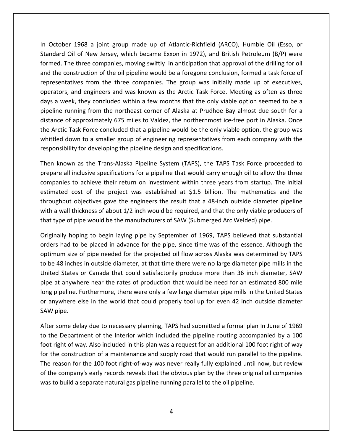October <sup>1968</sup> <sup>a</sup> joint group made up of Atlantic-Richfield (ARCO), Humble Oil (Esso, or of the New Jersey, which became Exxon in 1972), and British Petroleum (B/P) were the New Jersey, which became Exxon in 1972), and British Petroleum (B/P) were The three companies, moving swiftly in anticipation that approval Oil (Esso, or<br>The three companies, moving swiftly in anticipation that approval of the drilling for oil intimum of the construction of the construction of the oil construction of the oil (Esso, or dard Oil of New Jersey, which became Exxon in 1972), and British Petroleum (B/P) were ed. The three companies, moving swiftly in In October 1968 a joint group made up of Atlantic-Richfield (ARCO), Humble Oil (Esso, or<br>Standard Oil of New Jersey, which became Exxon in 1972), and British Petroleum (B/P) were<br>formed. The three companies, moving swiftly 1968 a joint group made up of Atlantic-Richfield (ARCO), Humble Oil (Esso, or<br>iil of New Jersey, which became Exxon in 1972), and British Petroleum (B/P) were<br>e three companies, moving swiftly in anticipation that approval In October 1968 a joint group made up of Atlantic-Richfield (ARCO), Humble Oil (Esso, or<br>Standard Oil of New Jersey, which became Exxon in 1972), and British Petroleum (B/P) were a week. They are group made apple in intuitie member (inces), manisher only (Esso, or lard Oil of New Jersey, which became Exxon in 1972), and British Petroleum (B/P) were ed. The three companies, moving swiftly in anticip  $\frac{1}{2}$ The three companies, moving swiftly in anticipation that approval of the drilling for oil<br>construction of the oil pipeline would be a foregone conclusion, formed a task force of<br>tatives from the three companies. The group ionnea.<br>Lit of a approximately 675 miles to Valdez, the northernmost ice-free port in Alaska. Once<br>the approximate to Me in the companies. The group was initially made up of executives,<br>s, and engineers and was known as the Arctic Tas and the construction of the oil pipeline would be a foregone conclusion, formed a task force of representatives from the three companies. The group was initially made up of executives, The sensual of the only pipeline would be a foregone concluded that a least force of<br>rators, and engineers and was known as the Arctic Task Force. Meeting as often as three<br>s a week, they concluded within a few months that operators, and engineers and was known as the Arctic Task Force. Meeting as often as three down to a smaller group of engineering representatives from each company of the same eek, they concluded within a few months that the only viable option seemed to be a running from the northeast corner of Alaska at Prudhoe days a week, they concluded within a few months that the only viable<br>pipeline running from the northeast corner of Alaska at Prudhoe Bay<br>distance of approximately 675 miles to Valdez, the northernmost ice-f<br>the Arctic Task ne running from the northeast corner of Alaska at Prudhoe Bay almost due south for a<br>ce of approximately 675 miles to Valdez, the northernmost ice-free port in Alaska. Once<br>ctic Task Force concluded that a pipeline would b distance of approximately 675 miles to Valdez, the northernmost ice-free port in Alaska. Once<br>c Task Force concluded that a pipeline would be the only viable option, the group was<br>down to a smaller group of engineering representati the Arctic <sup>-</sup> whittled down to a smaller group of engineering representatives from each company with the responsibility for developing the pipeline design and specifications.

formed.

ask Force concluded that a pipeline would be the only viable option, the group was<br>wn to a smaller group of engineering representatives from each company with the<br>ty for developing the pipeline design and specifications.<br>n wn to a smaller group of engineering representatives from each company with the<br>ty for developing the pipeline design and specifications.<br>n as the Trans-Alaska Pipeline System (TAPS), the TAPS Task Force proceeded to<br>inclu y for developing the pipeline design and specifications.<br>
1 as the Trans-Alaska Pipeline System (TAPS), the TAPS Task Force proceeded to<br>
nclusive specifications for a pipeline that would carry enough oil to allow the thre Then known as the Trans-Alaska Pipeline System (TAPS), the TAPS Task Force proceeded to<br>prepare all inclusive specifications for a pipeline that would carry enough oil to allow the three<br>companies to achieve their return o then known as the manismiasta inpenie system (thats), the thats has hote proceed<br>prepare all inclusive specifications for a pipeline that would carry enough oil to allow the<br>companies to achieve their return on investment is to achieve their return on investment within three years from startup. The initial<br>cost of the project was established at \$1.5 billion. The mathematics and the<br>t objectives gave the engineers the result that a 48-inch o estimated cost of the project was established at \$1.5 billion. The mathematics and the red cost of the project was established at \$1.5 billion. The mathematics and the<br>nput objectives gave the engineers the result that a 48-inch outside diameter pipeline<br>wall thickness of about 1/2 inch would be required, an throughput objectives gave the engineers the result that a 48-inch outside diameter pipeline It objectives gave the engineers the result that a 48-inch outside diameter pipeline<br>Il thickness of about 1/2 inch would be required, and that the only viable producers of<br>of pipe would be the manufacturers of SAW (Submer with a wall thickness of about 1/2 inch would be required, and that the only viable producers of that type of pipe would be the manufacturers of SAW (Submerged Arc Welded) pipe.

th a wall thickness of about 1/2 inch would be required, and that the only viable producers of<br>at type of pipe would be the manufacturers of SAW (Submerged Arc Welded) pipe.<br>iginally hoping to begin laying pipe by Septembe e of pipe would be the manufacturers of SAW (Submerged Arc Welded) pipe.<br>Iy hoping to begin laying pipe by September of 1969, TAPS believed that substantial<br>nad to be placed in advance for the pipe, since time was of the e Originally hoping to begin laying pipe by September of 1969, TAPS believed that substantial hally hoping to begin laying pipe by September of 1969, TAPS believed that substantial<br>or had to be placed in advance for the pipe, since time was of the essence. Although the<br>num size of pipe needed for the projected oil ح…ت<br>. promally included in advance for the pipe, since time was of the essence. Although the<br>num size of pipe needed for the projected oil flow across Alaska was determined by TAPS<br>a 48 inches in outside diameter, at that time t oranywhere else in the world that could properly tool up for even 42 inch outside diameter<br>anywhere else in outside diameter, at that time there were no large diameter pipe mills in the<br>ited States or Canada that could satis optimum size of pipe needed for the projected oil flow across Alaska was determined by TAPS<br>to be 48 inches in outside diameter, at that time there were no large diameter pipe mills in the United States or Canada that could satisfactorily produce more than 36 inch diameter, SAW pipe at anywhere near the rates of production that would be need for an estimated 800 mile long pipeline. Furthermore, there were on d States or Canada that could satisfactorily produce more than 36 inch diameter, SAW<br>at anywhere near the rates of production that would be need for an estimated 800 mile<br>pipeline. Furthermore, there were only a few large pipe at anywhere near the rates of production that would be need for an estimated 800 mile e at anywhere near the rates of production that would be need for an estimated 800 mile<br>g pipeline. Furthermore, there were only a few large diameter pipe mills in the United States<br>anywhere else in the world that could pr long pipeline. Furthermore, there were only a few large diameter pipe mills in the United States pipeline. Furthermore, there were only a few large diameter pipe mills in the United States<br>hywhere else in the world that could properly tool up for even 42 inch outside diameter<br>pipe.<br>c some delay due to necessary planni or anywhere else in the world that could properly tool up for even 42 inch outside diameter

for the construction of a maintenance and supply road that would run parallel to the pipeline.<br>The reason for the 100 foot right-of-way was never really fully explained until now, but review or anywhere else in the world that could properly tool up for even 42 inch outside diameter<br>SAW pipe.<br>After some delay due to necessary planning, TAPS had submitted a formal plan In June of 1969<br>to the Department of the In r some delay due to necessary planning, TAPS had submitted a formal plan In June of 1969<br>ne Department of the Interior which included the pipeline routing accompanied by a 100<br>right of way. Also included in this plan was a After some delay due to necessary planning, TAPS had submitted a formal plan In June of 1969 ter some delay due to necessary planning, TAPS had submitted a formal plan In June of 1969<br>the Department of the Interior which included the pipeline routing accompanied by a 100<br>ot right of way. Also included in this plan Wheer some delay due to necessary planning, thus had sabilitied a formal plat<br>to the Department of the Interior which included the pipeline routing accon<br>foot right of way. Also included in this plan was a request for an a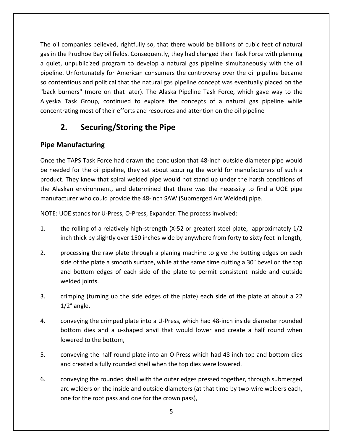oil companies believed, rightfully so, that there would be billions of cubic feet of natural<br>Not companies believed, rightfully so, that there would be billions of cubic feet of natural oil companies believed, rightfully so, that there would be billions of cubic feet of natural<br>in the Prudhoe Bay oil fields. Consequently, they had charged their Task Force with planning quiet, unpublicized program to develop a natural gas pipeline simultaneously with the oil<br>and the prudhoe Bay oil fields. Consequently, they had charged their Task Force with planning<br>auiet, unpublicized program to develop Impanies believed, rightfully so, that there would be billions of cubic feet of natural<br>Prudhoe Bay oil fields. Consequently, they had charged their Task Force with planning<br>Inpublicized program to develop a natural gas pi e oil companies believed, rightfully so, that there would be billions of cubic feet of natural<br>in the Prudhoe Bay oil fields. Consequently, they had charged their Task Force with planning<br>quiet, unpublicized program to dev The oil companies believed, rightfully so, that there would be billions of cubic feet of natural I companies believed, rightfully so, that there would be billions of cubic feet of natural<br>the Prudhoe Bay oil fields. Consequently, they had charged their Task Force with planning<br>t, unpublicized program to develop a natu  $\ddot{\phantom{1}}$ Explores benefield, in a three world be billions of easie feet of indications.<br>
Prudhoe Bay oil fields. Consequently, they had charged their Task Force with planning<br>
unpublicized program to develop a natural gas pipeline a quiet, unpublicized program to develop a natural gas pipeline simultaneously with the oil most of their efforts and resources and attention on the oil pipeline simultaneously with the ritunately for American consumers the controversy over the oil pipeline bed is and political that the natural gas pipeline conce **2.**Finder Bay on neids. Consequently, they had charallicized program to develop a natural gas pipertunately for American consumers the controv and political that the natural gas pipeline con<br>
I (more on that later). The Alask so contentious and political that the natural gas pipeline concept was eventually placed on the **Manufacturity**<br> **Manufacturity** (more on that la<br> **Manufacturing/Stor**<br> **Manufacturing** concentrating most of their efforts and resources and attention on the oil pipeline ntrating most of their efforts and resources and attention on the oil pipeline<br> **2.** Securing/Storing the Pipe<br>
Manufacturing<br>
the TAPS Task Force had drawn the conclusion that 48-inch outside diameter pipe would

## $2.$

## **Pipe Manufacturing**

a

**2.** Securing/Storing the Pipe<br>
Some Manufacturing<br>
Some the TAPS Task Force had drawn the conclusion that 48-inch outside diameter pipe would<br>
Deceded for the oil pipeline, they set about scouring the world for manufactur **Securing/Storing the Pipe**<br> **TAPS Task Force had drawn the conclusion that 48-inch outside diameter pipe would<br>
d for the oil pipeline, they set about scouring the world for manufacturers of such a<br>
They knew that spiral Example 2 Manufacturing**<br>Alaskan Enter TAPS Task Force had drawn the conclusion that 48-inch outside diameter pipe would<br>reeded for the oil pipeline, they set about scouring the world for manufacturers of such a<br>pluct. Th Once the TAPS Task Force had drawn the conclusion that 48-inch outside diameter pipe would<br>be needed for the oil pipeline, they set about scouring the world for manufacturers of such a<br>product. They knew that spiral welded he TAPS Task Force had drawn the conclusion that 48-inch outside dided for the oil pipeline, they set about scouring the world for manu<br>it. They knew that spiral welded pipe would not stand up under the laskan environment, .<br>nr the rolling of a relatively high-strength (X-52 or greater) steel plate, approximately 1/2<br>the rolling of a relatively high-strength (X-52 or greater) steel plate, approximately 1/2 the Alaskan environment, and determined that there was the necessity to find a UOE pipe the Alaskan environment, and determined that there was the necessity to find a UOE pipe<br>manufacturer who could provide the 48-inch SAW (Submerged Arc Welded) pipe.<br>NOTE: UOE stands for U-Press, O-Press, Expander. The proce

NOTE: UOE stands for U-Press, O-Press, Expander. The process involved:

- acturer who could provide the 48-inch SAW (Submerged Arc Welded) pipe.<br>
UOE stands for U-Press, O-Press, Expander. The process involved:<br>
the rolling of a relatively high-strength (X-52 or greater) steel plate, approximate stands for U-Press, O-Press, Expander. The process involved:<br>
colling of a relatively high-strength (X-52 or greater) steel plate, approximately 1/2<br>
thick by slightly over 150 inches wide by anywhere from forty to sixty f the rolling of a relatively high-strength (X-52 or greater) steel plate, approximately 1/2
- olling of a relatively high-strength (X-52 or greater) steel plate, approximately 1/2<br>thick by slightly over 150 inches wide by anywhere from forty to sixty feet in length,<br>essing the raw plate through a planing machine to 1. the rolling of a relation<br>inch thick by slight<br>2. processing the raw<br>side of the plate a<br>and bottom edges<br>welded ioints. processing the raw plate through a planing machine to give the butting edges on each<br>side of the plate a smooth surface, while at the same time cutting a 30° bevel on the top<br>and bottom edges of each side of the plate to p processing the raw plate through a planing machine to give the butting edges on each 2. processing the<br>side of the plate<br>and bottom ed<br>welded joints.<br>3. crimping (turnie<br>1/2° angle. and bottom edges of each side of the plate to permit consistent inside and outside<br>welded joints.<br>crimping (turning up the side edges of the plate) each side of the plate at about a 22<br>1/2° angle,<br>conveving the crimped pla welded joints.
- oints.<br>
(turning up the side edges of the plate) each side of the plate at about a 22<br>
le,<br>
g the crimped plate into a U-Press, which had 48-inch inside diameter rounded<br>
dies and a u-shaped anvil that would lower and crea
- 3.  $\frac{1}{2}$  crimping (turning up the sidentity 1/2° angle,<br>4.  $\frac{1}{2}$  conveying the crimped plate<br>bottom dies and a u-shape<br>lowered to the bottom.  $1/2^{\circ}$  angle,<br>conveying the crimped plate into a U-Press, which had 48 inch inside diameter rounded<br>bottom dies and a u-shaped anvil that would lower and create a half round when<br>lowered to the bottom,<br>conveving the ha conveying the crimped plate into a U-Press, which had 48-inch inside convertion dies and a u-shaped anvil that would lower and create a<br>lowered to the bottom,<br>5. conveying the half round plate into an O-Press which had 48 bottom dies and a u-shaped anvil that would lower and create a half round when<br>lowered to the bottom,<br>conveying the half round plate into an O-Press which had 48 inch top and bottom dies<br>and created a fully rounded shell w lowered to the bottom,
- and created a fully rounded shell when the top dies were lowered. lowered to the bottom,<br>conveying the half round plate into an O-Press which had 48 inch top and bottom dies<br>and created a fully rounded shell when the top dies were lowered.<br>conveying the rounded shell with the outer edges
- reying the half round plate into an O-Press which<br>created a fully rounded shell when the top dies w<br>reying the rounded shell with the outer edges pre<br>welders on the inside and outside diameters (at the<br>for the root pass an 6.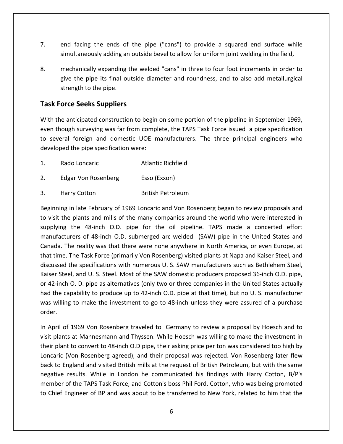- end facing the ends of the pipe ("cans") to provide a squared end surface while and facing the ends of the pipe ("cans") to provide a squared end surface while<br>simultaneously adding an outside bevel to allow for uniform ioint welding in the field. end facing the ends of the pipe ("cans") to provide a squared end surface while<br>simultaneously adding an outside bevel to allow for uniform joint welding in the field,<br>mechanically expanding the welded "cans" in three to f facing the ends of the pipe ("cans") to provide a squared end surface while<br>Itaneously adding an outside bevel to allow for uniform joint welding in the field,<br>inanically expanding the welded "cans" in three to four foot i
- 7. end facing the ends of<br>simultaneously adding an<br>8. mechanically expanding t<br>give the pipe its final ou<br>strength to the pipe. end facing the ends of the pi<br>
simultaneously adding an outside<br>
mechanically expanding the wel<br>
give the pipe its final outside d<br>
strength to the pipe.<br> **Force Seeks Suppliers**  $8<sub>1</sub>$ the anticipated construction to begin on some portion of the pipeline in September 1969.<br>Task Force Seeks Suppliers<br>With the anticipated construction to begin on some portion of the pipeline in September 1969. give the pipe its final outside diameter and roundness, and to also add metallurgical<br>strength to the pipe.<br>**Force Seeks Suppliers**<br>the anticipated construction to begin on some portion of the pipeline in September 1969,<br>t

strength to the pipe.<br> **Sk Force Seeks Suppliers**<br>
h the anticipated construction to begin on some portion of the pipeline in September 1969,<br>
in though surveying was far from complete, the TAPS Task Force issued a pipe sp **e Seeks Suppliers**<br>nticipated construction to begin<br>th surveying was far from comple<br>foreign and domestic UOE m<br>the pipe specification were: he anticipated construction to begin on some portion of<br>hough surveying was far from complete, the TAPS Task F<br>veral foreign and domestic UOE manufacturers. The<br>ped the pipe specification were:<br>Rado Loncaric Atlantic Richf Even though surveying was far from complete, the TAI<br>
2. Edgar Von Rosenberg (Exxon)<br>
2. Edgar Von Rosenberg (Esso (Exxon) to several foreign and domestic UOE manufacturers. The three principal engineers who Peral foreign and domestic OOE manuracturers. The three<br>
pped the pipe specification were:<br>
Rado Loncaric Atlantic Richfield<br>
Edgar Von Rosenberg Esso (Exxon)<br>
Harry Cotton British Petroleum

- $1<sub>1</sub>$
- 2. Edgar Von Rosenberg manufacturers
- 3. Harry Cotton

do Loncaric and Atlantic Richfield<br>
In late February of 1969 Loncaric and Von Rosenberg began to review proposals and<br>
in late February of 1969 Loncaric and Von Rosenberg began to review proposals and Rado Loncaric Atlantic Richrield<br>
Edgar Von Rosenberg Esso (Exxon)<br>
Harry Cotton British Petroleum<br>
Sinning in late February of 1969 Loncaric and Von Rosenberg began to review proposals and<br>
Visit the plants and mills of t ar Von Rosenberg<br>
the 48-inch O.D. pipe for the oil pipeline. TAPS made a concerted effort<br>
the 48-inch O.D. pipe for the oil pipeline. TAPS made a concerted effort of 48-inch O.D. submerged arc welded (SAW) pipe in the United States and<br>of 48-inch O.D. pipe for the oil pipeline. TAPS made a concerted effort<br>of 48-inch O.D. submerged arc welded (SAW) pipe in the United States and arry Cotton British Petroleum<br>
g in late February of 1969 Loncaric and Von Rosenberg began to review proposals and<br>
he plants and mills of the many companies around the world who were interested in<br>
g the 48-inch O.D. pipe Beginning in late February of 1969 Loncaric and Von Rosenberg began to review proposals and nning in late February of 1969 Loncaric and Von Rosenberg began to review proposals and<br>sit the plants and mills of the many companies around the world who were interested in<br>lying the 48-inch O.D. pipe for the oil pipelin to visit the plants and mills of the many companies around the world who were interested in to visit the plants and mills of the many companies around the world who were interested in<br>supplying the 48-inch O.D. pipe for the oil pipeline. TAPS made a concerted effort<br>manufacturers of 48-inch O.D. submerged arc wel supplying the 48-inch O.D. pipe for the oil pipeline. TAPS made a concerted effort<br>manufacturers of 48-inch O.D. submerged arc welded (SAW) pipe in the United States and<br>Canada. The reality was that there were none anywher hyring the Testin O.D. submerged arc welded (SAW) pipe in the United States and<br>nada. The reality was that there were none anywhere in North America, or even Europe, at<br>at time. The Task Force (primarily Von Rosenberg) vis manufacturers of 48-inch O.D. submerged arc welded (SAW) pipe in the United States and<br>Canada. The reality was that there were none anywhere in North America, or even Europe, at anactaries of to ment o.b. sasmerged are wereded (SAW) pipe in the onted states and<br>da. The reality was that there were none anywhere in North America, or even Europe, at<br>time. The Task Force (primarily Von Rosenberg) visi that time. The Task Force (primarily Von Rosenberg) visited plants at Napa and Kaiser Steel, and wait the Teamy was that there were none anywhere in featur functions, or even earope, at<br>time. The Task Force (primarily Von Rosenberg) visited plants at Napa and Kaiser Steel, and<br>ussed the specifications with numerous U. order.Kaiser Steel, and U.S. Steel. Most of the SAW domestic producers proposed 36-inch O.D. pipe, iser Steel, and U. S. Steel. Most of the SAW domestic producers proposed 36-inch O.D. pipe,<br>42-inch O. D. pipe as alternatives (only two or three companies in the United States actually<br>d the capability to produce up to 42 or 42-inch O. D. pipe as alternatives (only two or three companies in the United States actually 2-inch O. D. pipe as alternatives (only two or three companies in the United States actually<br>the capability to produce up to 42-inch O.D. pipe at that time), but no U. S. manufacturer<br>willing to make the investment to go t had the capability to produce up to 42-inch O.D. pipe at that time), but no U. S. manufacturer he capability to produce up to 42-inch O.D. pipe at that time), but no U. S. manufacturer<br>willing to make the investment to go to 48-inch unless they were assured of a purchase<br>.<br>Thi of 1969 Von Rosenberg traveled to Germa was willing to make the investment to go to 48-inch unless they were assured of a purchase order.

Loncaric (Von Rosenberg agreed), and their proposal was rejected. Von Rosenberg later flew<br>back to England and visited British mills at the request of British Petroleum, but with the same ng to make the investment to go to 48-inch unless they were assured of a purchase<br>
of 1969 Von Rosenberg traveled to Germany to review a proposal by Hoesch and to<br>
ts at Mannesmann and Thyssen. While Hoesch was willing to The England and Visited British mills at the request of British Petroleum. but with the same plant to convert to 48-inch O.D pipe, their asking price per ton was considered too high by price (Von Rosenberg agreed), and the In April of 1969 Von Rosenberg traveled to Germany to review a proposal by Hoesch and to f 1969 Von Rosenberg traveled to Germany to review a proposal by Hoesch and to<br>s at Mannesmann and Thyssen. While Hoesch was willing to make the investment in<br>t to convert to 48-inch O.D pipe, their asking price per ton wa visit plants at Mannesmann and Thyssen. While Hoesch was willing to make the investment in of the TAPS Task Force, and Cotton's boss Phil Ford. Cotton, who was being promoted<br>of the TAPS Task Force, and their proposal was rejected. Von Rosenberg later flew<br>ngland and visited British mills at the request of Briti their plant to convert to 48-inch O.D pipe, their asking price per ton was considered too high by Eplants at Mannesmann and Thyssent Wille Treesen was whilling to make the investment in<br>the plant to convert to 48-inch O.D pipe, their asking price per ton was considered too high by<br>ncaric (Von Rosenberg agreed), and the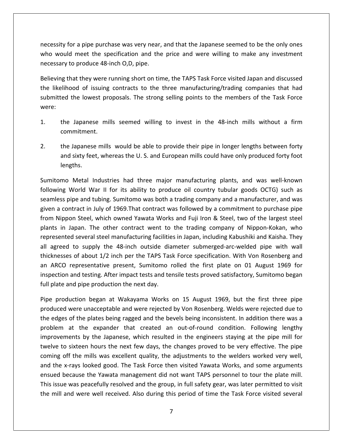for a pipe purchase was very near, and that the Japanese seemed to be the only ones would meet the specification and that the suppanese seemed to be the only ones<br>would meet the specification and the price and were willing to make any investment mecessity for a pipe purchase was very near,<br>who would meet the specification and the<br>necessary to produce 48-inch O.D, pipe. for a pipe purchase was very near, and that the Japanese seemed to be the only ones<br>Id meet the specification and the price and were willing to make any investment<br>to produce 48-inch O,D, pipe.<br>that they were running short likelihood of issuing contracts to the three manufacturing/trading companies that had<br>likelihood of issuing contracts to the three manufacturing/trading companies that had necessity for a pipe purchase was very near, and that the Japanese seemed to be the only ones or a pipe purchase was very near, and that the Japanese seemed to be the only ones<br>I meet the specification and the price and were willing to make any investment<br>to produce 48-inch O,D, pipe.<br>aat they were running short on who would meet the specification and the price and were willing to make any investment

necessary and the control of

Ing that they were running short on time, the TAPS Task Force visited Japan and discussed<br>
relihood of issuing contracts to the three manufacturing/trading companies that had<br>
tted the lowest proposals. The strong selling Believing that they were running short on time, the TAPS Task Force visited Japan and discussed submitted the lowest proposals. The strong selling points to the members of the Task Force<br>were:<br>1. the Japanese mills seemed willing to invest in the 48-inch mills without a firm<br>commitment. the Japanese mills seemed willing to invest in the 48-inch mills without a firm<br>the Japanese mills seemed willing to invest in the 48-inch mills without a firm<br>tommitment.<br>the Japanese mills would be able to provide their

- Japanese mills seemed willing to invest in the 48-inch mills without a firm<br>mitment.<br>Japanese mills would be able to provide their pipe in longer lengths between forty<br>sixty feet, whereas the U. S. and European mills could
- commitment<br>2. the Japanese<br>and sixty fee<br>lengths. mitment.<br>
Iapanese mills would be able to provide their pipe in longer lengths between forty<br>
sixty feet, whereas the U.S. and European mills could have only produced forty foot<br>
ths.<br>
Metal Industries had three major manu Implemese mills would be able to provide their pipe in longer lengths between forty<br>I sixty feet, whereas the U.S. and European mills could have only produced forty foot<br>gths.<br>Metal Industries had three major manufacturing 2. the Japanese mills would be able to provide their pipe in longer lengths between forty e Japanese mills would be able to provide their pipe in longer lengths between forty<br>d sixty feet, whereas the U.S. and European mills could have only produced forty foot<br>ngths.<br>D Metal Industries had three major manufactu

and sixty feet, whereas the U.S. and European mills could have only produced forty foot<br>lengths.<br>omo Metal Industries had three major manufacturing plants, and was well-known<br>ing World War II for its ability to produce oil lengths.<br>
omo Metal Industries had three major manufacturing plants, and was well-known<br>
ving World War II for its ability to produce oil country tubular goods OCTG) such as<br>
less pipe and tubing. Sumitomo was both a tradi Sumitomo Metal Industries had three major manufacturing plants, and was well-known mo Metal Industries had three major manufacturing plants, and was well-known<br>ng World War II for its ability to produce oil country tubular goods OCTG) such as<br>ss pipe and tubing. Sumitomo was both a trading company and a following World War II for its ability to produce oil country tubular goods OCTG) such as Section matestics had timele major manufacturing plants, and was well known<br>orld War II for its ability to produce oil country tubular goods OCTG) such as<br>e and tubing. Sumitomo was both a trading company and a manufacture seamless pipe and tubing. Sumitomo was both a trading company and a manufacturer, and was agreed to supply the 48-inch outside diameter submerged-arc-welded pipe with wall<br>agreed to supply of 1969. That contract was followed by a commitment to purchase pipe<br>in Nippon Steel, which owned Yawata Works and Fuji Iro given a contract in July of 1969. That contract was followed by a commitment to purchase pipe of about 1/2 inch per the TAPS Task Force specification. With Von Rosenberg and<br>of about 1/2 inch per the TAPS Task Force specification. With Von Rosenberg and<br>of about 1/2 inch per the TAPS Task Force specification. With from Nippon Steel, which owned Yawata Works and Fuji Iron & Steel, two of the largest steel ARCO representative present, Sumitomo rolled the first plate on 01 August 1969 for ARCO representative present, Sumitomo rolled the first plate on 01 August 1969 for ARCO representative present, Sumitomo rolled the first p plants in Japan. The other contract went to the trading company of Nippon-Kokan, who and tester, which same tender wents and teghnomic secter, the of the largest sections and tension.<br>
After impactual steel manufacturing facilities in Japan, including Kabushiki and Kaisha. They<br>
to supply the 48-inch outsi pia<br>. plants in supant the stiff contract went to<br>represented several steel manufacturing facilitie<br>all agreed to supply the 48-inch outside dia<br>thicknesses of about 1/2 inch per the TAPS Tas<br>an ARCO representative present, Sumi preed to supply the 48-inch outside diameter submerged-arc-welded pipe with wall<br>nesses of about 1/2 inch per the TAPS Task Force specification. With Von Rosenberg and<br>RCO representative present, Sumitomo rolled the first thickness is of about 1/2 inch per the TAPS Task Force specification. With Von Rosenberg and<br>representative present, Sumitomo rolled the first plate on 01 August 1969 for<br>and testing. After impact tests and tensile tests proved sati an ARCO representative present, Sumitomo rolled the first plate on 01 August 1969 for ARCO representative present, Sumitomo rolled the first plate on 01 August 1969 for<br>ection and testing. After impact tests and tensile tests proved satisfactory, Sumitomo began<br>plate and pipe production the next day.<br>Produc inspection and testing. After impact tests and tensile tests proved satisfactory, Sumitomo began full plate and pipe production the next day.

coming off the mills was excellent quality, the adjustments to the welders worked very well, and testing. After impact tests and tensile tests proved satisfactory, Sumitomo began<br>ind pipe production the next day.<br>uction began at Wakayama Works on 15 August 1969, but the first three pipe<br>were unacceptable and were pe production the next day.<br>
In began at Wakayama Works on 15 August 1969, but the first three pipe<br>
unacceptable and were rejected by Von Rosenberg. Welds were rejected due to<br>
e plates being ragged and the bevels being i Pipe production began at Wakayama Works on 15 August 1969, but the first three pipe oduction began at Wakayama Works on 15 August 1969, but the first three pipe<br>ed were unacceptable and were rejected by Von Rosenberg. Welds were rejected due to<br>es of the plates being ragged and the bevels being inconsiste produced were unacceptable and were rejected by Von Rosenberg. Welds were rejected due to of the mills was excellent quality, the adjustments to the welders worked very produced were unacceptable and were rejected by Von Rosenberg. Welds were rejected due to the edges of the plates being ragged and the bevels b dece were anacceptable and were rejected by von noscending. Wends were rejected due to<br>deges of the plates being ragged and the bevels being inconsistent. In addition there was a<br>lem at the expander that created an out-ofend because of the plates semigragged and the severs semig meansistent. In dualtien there was a<br>problem at the expander that created an out-of-round condition. Following lengthy<br>improvements by the Japanese, which resulted issue was peacefully resolved and the group, in full safety gear, was later pipe mill for<br>the to sixteen hours the next few days, the changes proved to be very effective. The pipe<br>ing off the mills was excellent quality, t improvements by the Japanese, which resulted in the engineers staying at the pipe mill for<br>twelve to sixteen hours the next few days, the changes proved to be very effective. The pipe and the x-rays looked good. The Task Force then visited Yawata Works, and some arguments ensued because the Yawata management did not want TAPS personnel to tour the plate mill. This issue was peacefully resolved and the g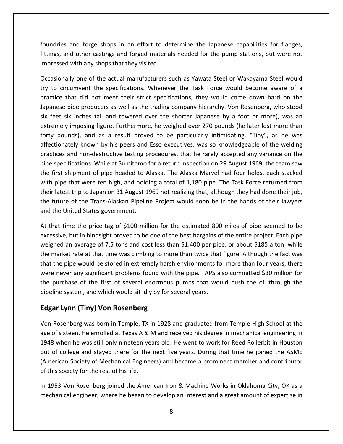and forge shops in an effort to determine the Japanese capabilities for flanges, for the state of the state of the state of the state of the state of the state of the state of the state of the state of the state of the sta and forge shops in an effort to determine the Japanese capabilities for flanges,<br>and other castings and forged materials needed for the pump stations, but were not Foundries and forge shops in an effort to dentitings, and other castings and forged material<br>Straings and other castings and forged material<br>Suppressed with any shops that they visited. d forge shops in an effort to determine the Japanese capabilities for flanges,<br>other castings and forged materials needed for the pump stations, but were not<br>th any shops that they visited.<br>one of the actual manufacturers ndries and forge shops in an effort to determine the Japanese capabilities for flanges,<br>ngs, and other castings and forged materials needed for the pump stations, but were not<br>ressed with any shops that they visited.<br>asion foundries and forge shops in an effort to determine the Japanese capabilities for flanges, fittings, and other castings and forged materials needed for the pump stations, but were not impressed with any shops that they visited.

is and forge shops in an effort to determine the Japanese capabilities for flanges,<br>and other castings and forged materials needed for the pump stations, but were not<br>d with any shops that they visited.<br>ally one of the act nd other castings and forged materials needed for the pump stations, but were not<br>if with any shops that they visited.<br>Illy one of the actual manufacturers such as Yawata Steel or Wakayama Steel would<br>cumvent the specifica ressed with any shops that they visited.<br>asionally one of the actual manufacturers such as Yawata Steel or Wakayama Steel would<br>to circumvent the specifications. Whenever the Task Force would become aware of a<br>ctice that d Occasionally one of the actual manufacturers such as Yawata Steel or Wakayama Steel would Iy one of the actual manufacturers such as Yawata Steel or Wakayama Steel would<br>umvent the specifications. Whenever the Task Force would become aware of a<br>lat did not meet their strict specifications, they would come down try to circumvent the specifications. Whenever the Task Force would become aware of a potentify one of the decided manufactured by such as runnal steed of transformation section in the specifications. Whenever the Task Force would become aware of a<br>ce that did not meet their strict specifications, they woul practice that did not meet their strict specifications, they would come down hard on the and the speemeations. Whenever the resk rorse would second and to the producers as well as the trading company hierarchy. Von Rosenberg, who stood thes tall and towered over the shorter Japanese by a foot or more), was an Japanese pipe producers as well as the trading company hierarchy. Von Rosenberg, who stood and non-destructive testing procedures, they weak come down hard on the pipe producers as well as the trading company hierarchy. Von Rosenberg, who stood ix inches tall and towered over the shorter Japanese by a foot or mo six feet six inches tall and towered over the shorter Japanese by a foot or more), was an sect pipe producers as well as the trading company meraliery. Voll hoseinberg, who stood<br>eet six inches tall and towered over the shorter Japanese by a foot or more), was an<br>imely imposing figure. Furthermore, he weighed o extremely imposing figure. Furthermore, he weighed over 270 pounds (he later lost more than first shipment of pipe headed to Alaska. The Alaska Marvel had four holds, each stacked<br>first shipment of pipe headed to be particularly intimidating. "Tiny", as he was<br>dionately known by his peers and Esso executives, was with **.** pounds), and as a result proved to be particularly intimidating. "Tiny", as he was<br>tionately known by his peers and Esso executives, was so knowledgeable of the welding<br>ices and non-destructive testing procedures, that he their proced to be particulately mentiodeng. This y is the wedding practices and non-destructive testing procedures, that he rarely accepted any variance on the pipe specifications. While at Sumitomo for a return inspectio practices and non-destructive testing procedures, that he rarely accepted any variance on the pipe specifications. While at Sumitomo for a return inspection on 29 August 1969, the team saw the first shipment of pipe headed pipe specifications. While at Sumitomor<br>the first shipment of pipe headed to A<br>with pipe that were ten high, and hold<br>their latest trip to Japan on 31 August 1<br>the future of the Trans-Alaskan Pipelin<br>and the United States It first shipment of pipe headed to Alaska. The Alaska Marvel had four holds, each stacked<br>h pipe that were ten high, and holding a total of 1,180 pipe. The Task Force returned from<br>ir latest trip to Japan on 31 August 196 with pipe that were ten high, and holding a total of 1,180 pipe. The Task Force returned from that were ten high, and holding a total of 1,180 pipe. The Task Force returned from<br>
t trip to Japan on 31 August 1969 not realizing that, although they had done their job,<br>
of the Trans-Alaskan Pipeline Project would soon their latest trip to Japan on 31 August 1969 not realizing that, although they had done their job, the future of the Trans-Alaskan Pipeline Project would soon be in the hands of their lawyers and the United States government.

st trip to Japan on 31 August 1969 not realizing that, although they had done their job,<br>e of the Trans-Alaskan Pipeline Project would soon be in the hands of their lawyers<br>Jnited States government.<br>ime the price tag of \$1 future of the Trans-Alaskan Pipeline Project would soon be in the hands of their lawyers<br>the United States government.<br>hat time the price tag of \$100 million for the estimated 800 miles of pipe seemed to be<br>essive, but in the United States government.<br>
hat time the price tag of \$100 million for the estimated 800 miles of pipe seemed to be<br>
ssive, but in hindsight proved to be one of the best bargains of the entire project. Each pipe<br>
hed an At that time the price tag of \$100 million for the estimated 800 miles of pipe seemed to be at time the price tag of \$100 million for the estimated 800 miles of pipe seemed to be sive, but in hindsight proved to be one of the best bargains of the entire project. Each pipe ed an average of 7.5 tons and cost less t excessive, but in hindsight proved to be one of the best bargains of the entire project. Each pipe purchase of the first of several enormous pumps that would push the oil through the commenter are project. Each pipe<br>sive, but in hindsight proved to be one of the best bargains of the entire project. Each pipe<br>thed an ave weighed an average of 7.5 tons and cost less than \$1,400 per pip<br>the market rate at that time was climbing to more than twice that<br>that the pipe would be stored in extremely harsh environments fo<br>were never any significant d an average of 7.5 tons and cost less that<br>
rket rate at that time was climbing to more<br>
pipe would be stored in extremely harsh<br>
ever any significant problems found with<br>
rchase of the first of several enormous<br>
e system were never any significant problems found with the pipe. TAPS also committed \$30 million for e never any significant problems found with the pipe. TAPS also committed \$30 million for<br>purchase of the first of several enormous pumps that would push the oil through the<br>line system, and which would sit idly by for sev the purchase of the first of several enormous pumps that would push the oil through the purchase of the first of several enormous pumps that would push the oil through the<br>
line system, and which would sit idly by for several years.<br> **ar Lynn (Tiny) Von Rosenberg**<br>
Rosenberg was born in Temple, TX in 1928 and pipeline system, and which would sit idly by for several years.

### Edgar Lynn (Tiny) Von Rosenberg

impressed in the second second second second second second second second second second second second second se

(American Society of Mechanical Engineers) and became a prominent member and contributor ne system, and which would sit idly by for several years.<br> **r Lynn (Tiny) Von Rosenberg**<br>
Rosenberg was born in Temple, TX in 1928 and graduated from Temple High School at the<br>
f sixteen. He enrolled at Texas A & M and rec ar Lynn (Tiny) Von Rosenberg<br>Rosenberg was born in Temple, TX in 1928 and graduated from Temple High School at the<br>of sixteen. He enrolled at Texas A & M and received his degree in mechanical engineering in<br>3 when he was s **In (Tiny) Von Rosenberg**<br>
berg was born in Temple, TX in 1928 and graduated from Temple High School at the<br>
len. He enrolled at Texas A & M and received his degree in mechanical engineering in<br>
le was still only nineteen Von Rosenberg was born in Temple, TX<br>age of sixteen. He enrolled at Texas A &<br>1948 when he was still only nineteen ye<br>out of college and stayed there for the<br>(American Society of Mechanical Engine<br>of this society for the r age of sixteen. He enrolled at Texas A & M and received his degree in mechanical engineering in e of sixteen. He enrolled at Texas A & M and received his degree in mechanical engineering in<br>48 when he was still only nineteen years old. He went to work for Reed Rollerbit in Houston<br>t of college and stayed there for th 1948 when he was still only nineteen years old. He went to work for Reed Rollerbit in Houston he was still only nineteen years old. He went to work for Reed Rollerbit in Houston<br>ge and stayed there for the next five years. During that time he joined the ASME<br>ociety of Mechanical Engineers) and became a prominent me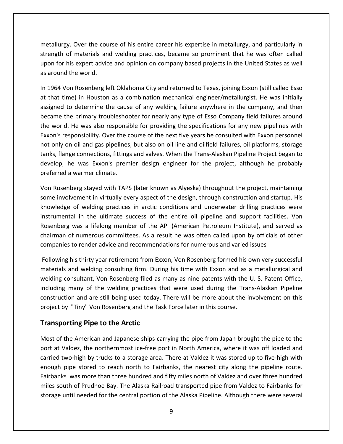Over the course of his entire career his expertise in metallurgy, and particularly in of materials and welding practices, became so prominent that he was often called<br>of materials and welding practices, became so prominent that he was often called For the course of his entire career his expertise in metallurgy, and particularly in a state of materials and welding practices, became so prominent that he was often called for his expert advice and opinion on company bas **Exallurgy. Over the coutain**<br> **Exallurgy. Over the coutains and**<br> **Superty and the world.**<br> **Exalled.** etallurgy. Over the course of his entire career his expertise in metallurgy, and particularly in<br>ength of materials and welding practices, became so prominent that he was often called<br>on for his expert advice and opinion o m tallurgy. Over the course of his entire career his expertise in metallurgy, and particularly in<br>ength of materials and welding practices, became so prominent that he was often called<br>on for his expert advice and opinion on strength of materials and welding practices, became so prominent that he was often called of materials and welding practices, became so prominent that he was often called<br>his expert advice and opinion on company based projects in the United States as well<br>I the world.<br>on Rosenberg left Oklahoma City and returne upon for his expert advice and opinion on company based projects in the United States as well as around the world.

the world.<br>
In the world.<br>
In the world.<br>
In the world.<br>
In Rosenberg left Oklahoma City and returned to Texas, joining Exxon (still called Esso<br>
ime) in Houston as a combination mechanical engineer/metallurgist. He was in round the world.<br>964 Von Rosenberg left Oklahoma City and returned to Texas, joining Exxon (still called Esso<br>hat time) in Houston as a combination mechanical engineer/metallurgist. He was initially<br>gned to determine the c In 1964 Von Rosenberg left Oklahoma City and returned to Texas, joining Exxon (still called Esso<br>at that time) in Houston as a combination mechanical engineer/metallurgist. He was initially<br>assigned to determine the cause In 1964 Von Rosenberg left Oklahoma City and returned to Texas, joining Exxon (still called Esso<br>at that time) in Houston as a combination mechanical engineer/metallurgist. He was initially For Confidently field change in the company conduction of the company and time) in Houston as a combination mechanical engineer/metallurgist. He was initially gned to determine the cause of any welding failure anywhere in assigned to determine the cause of any welding failure anywhere in the company, and then Flange connections, fittings and valves. When the Trans-Alaskan Pipeline Project began to<br>flange connections, fittings and values of the next five years be company field failures around<br>orld. He was also responsible for pr develop, he was also responsible for providing the specifications for any new pipelines around<br>the world. He was also responsible for providing the specifications for any new pipelines with<br>Exxon's responsibility. Over the  $\frac{1}{2}$ the world. He was also responsible for providing the specifications for any new pipelines with Exxon's responsibility. Over the course of the next five years he consulted with Exxon personnel n's responsibility. Over the course of the next five years he consulted with Exxon personnel<br>bnly on oil and gas pipelines, but also on oil line and oilfield failures, oil platforms, storage<br>s, flange connections, fittings not only on oil and gas pipelines, but also on oil line and oilfield failures, oil platforms, storage ily on oil and gas pipelines, but also on oil line and oilfield failures, oil platforms, storage<br>flange connections, fittings and valves. When the Trans-Alaskan Pipeline Project began to<br>pp, he was Exxon's premier design e tanks, flang e connections, fittings and valves. When the Trans-Alaskan Pipeline Project began to<br>
the was Exxon's premier design engineer for the project, although he probably<br>
warmer climate.<br>
erg stayed with TAPS (later known as Aly develop, he was Exxon's premier design engineer for the project, although he probably preferred a warmer climate.

was Exxon's premier design engineer for the project, although he probably<br>armer climate.<br>g stayed with TAPS (later known as Alyeska) throughout the project, maintaining<br>nent in virtually every aspect of the design, through warmer climate.<br>
Derg stayed with TAPS (later known as Alyeska) throughout the project, maintaining<br>
vement in virtually every aspect of the design, through construction and startup. His<br>
of welding practices in arctic con Von Rosenberg stayed with TAPS (later known as Alyeska) throughout the project, maintaining herg stayed with TAPS (later known as Alyeska) throughout the project, maintaining<br>Ivement in virtually every aspect of the design, through construction and startup. His<br>e of welding practices in arctic conditions and unde composeint and right and right and right and right and start and right and start and right practices in arctic conditions and underwater drilling practices instrumental in the ultimate success of the entire oil pipeline an knowledge of welding practices in arctic conditions and underwater drilling practices were of welding practices in arctic conditions and underwater drilling practices were<br>tal in the ultimate success of the entire oil pipeline and support facilities. Von<br>was a lifelong member of the API (American Petroleum Insti instrumental in the ultimate success of the entire oil pipeline and support facilities. Von tal in the ultimate success of the entire oil pipeline and support facilities. Von<br>
I was a lifelong member of the API (American Petroleum Institute), and served as<br>
of numerous committees. As a result he was often called Rosenberg was a lifelong member of the API (American Petroleum Institute), and served as rg was a lifelong member of the API (American Petroleum Institute), and served as<br>a of numerous committees. As a result he was often called upon by officials of other<br>es to render advice and recommendations for numerous an chairman of numerous committees. As a result he was often called upon by officials of other companies to render advice and recommendations for numerous and varied issues

of numerous committees. As a result he was often called upon by officials of other<br>s to render advice and recommendations for numerous and varied issues<br>his thirty year retirement from Exxon, Von Rosenberg formed his own v render advice and recommendations for numerous and varied issues<br>
it hirty year retirement from Exxon, Von Rosenberg formed his own very successful<br>
I welding consulting firm. During his time with Exxon and as a metallurgi Following his thirty year retirement from Exxon, Von Rosenberg formed his own very successful Following his thirty year retirement from Exxon, Von Rosenberg formed his contaterials and welding consulting firm. During his time with Exxon and as a welding consultant, Von Rosenberg filed as many as nine patents with t Firty year retirement from Exx<br>
velding consulting firm. Durir<br>
ant, Von Rosenberg filed as r<br>
of the welding practices th<br>
d are still being used today.<br>
The **Nosenberg and the Tas**<br>
Pipe to the Arctic inclu ing many of the welding practices that were used during the Trans-Alaskan Pipeline<br>vection and are still being used today. There will be more about the involvement on this<br>t by "Tiny" Von Rosenberg and the Task Force later construction and are still being used today. There will be more about the involvement on this Intertion and are still being used today. There will be more about the involvement on this<br>
intertion of the Northernmost ice-free port in North America, where it was off loaded and<br>
intertional valdez, the northernmost ic project by "Tiny" Von Rosenberg and the Task Force later in this course.

upon<br>Upon

carried two-high by trucks to a storage area. There at Valdez it was stored up to five-high with by "Tiny" Von Rosenberg and the Task Force later in this course.<br> **Oorting Pipe to the Arctic**<br>
if the American and Japanese ships carrying the pipe from Japan brought the pipe to the<br>
Valdez, the northernmost ice-free por **Transporting Pipe to the Arctic**<br>Most of the American and Japanese ships carrying the pipe from Japan brought the pipe to the<br>port at Valdez, the northernmost ice-free port in North America, where it was off loaded and<br>ca ting Pipe to the Arctic<br>
e American and Japanese ships carrying the pipe from Japan brought the pipe to the<br>
Idez, the northernmost ice-free port in North America, where it was off loaded and<br>
D-high by trucks to a storage Most of the American and Japanese ships carrying the pipe from Japan brought the pipe to the of the American and Japanese ships carrying the pipe from Japan brought the pipe to the<br>it Valdez, the northernmost ice-free port in North America, where it was off loaded and<br>d two-high by trucks to a storage area. There storage until needed for the central portion of the Alaska Pipeline. Although the pipelic the pipelic of the central port at Valdez, the northernmost ice-free port in North America, where it was off loaded and carried two-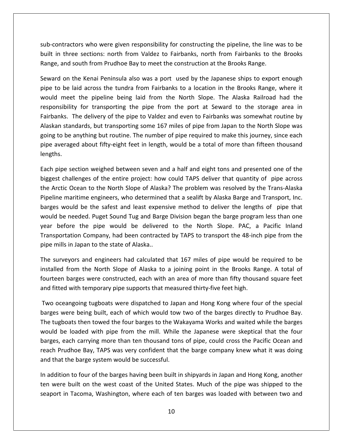who were given responsibility for constructing the pipeline, the line was to be in three sections: who were given responsibility for constructing the pipeline, the line was to be<br>in three sections: north from Valdez to Fairbanks, north from Fairbanks to the Brooks sub-contractors who were given responsibility for constructing the pipeline, the line w<br>built in three sections: north from Valdez to Fairbanks, north from Fairbanks to the<br>Range. and south from Prudhoe Bay to meet the con tractors who were given responsibility for constructing the pipeline, the line was to be<br>three sections: north from Valdez to Fairbanks, north from Fairbanks to the Brooks<br>and south from Prudhoe Bay to meet the constructio ontractors who were given responsibility for constructing the pipeline, the line was to be<br>in three sections: north from Valdez to Fairbanks, north from Fairbanks to the Brooks<br>e, and south from Prudhoe Bay to meet the con sub-contractors who were given responsibility for constructing the pipeline, the line was to be tractors who were given responsibility for constructing the pipeline, the line was to be<br>three sections: north from Valdez to Fairbanks, north from Fairbanks to the Brooks<br>and south from Prudhoe Bay to meet the constructio built in three sections: north from Valdez to Fairbanks, north from Fairbanks to the Brooks Range, and south from Prudhoe Bay to meet the construction at the Brooks Range.

Range,

sections: north from Valdez to Fairbanks, north from Fairbanks to the Brooks<br>uth from Prudhoe Bay to meet the construction at the Brooks Range.<br>Kenai Peninsula also was a port used by the Japanese ships to export enough<br>de south from Prudhoe Bay to meet the construction at the Brooks Range.<br>
the Kenai Peninsula also was a port used by the Japanese ships to export enough<br>
laid across the tundra from Fairbanks to a location in the Brooks Range Seward on the Kenai Peninsula also was a port used by the Japanese ships to export enough on the Kenai Peninsula also was a port used by the Japanese ships to export enough<br>be laid across the tundra from Fairbanks to a location in the Brooks Range, where it<br>neet the pipeline being laid from the North Slope. The pipe to be laid across the tundra from Fairbanks to a location in the Brooks Range, where it to be laid across the tundra from Fairbanks to a location in the Brooks Range, where it<br>meet the pipeline being laid from the North Slope. The Alaska Railroad had the<br>nsibility for transporting the pipe from the port at Se would meet the pipeline being laid from the North Slope. The Alaska Railroad had the and the pipeline being laid from the North Slope. The Alaska Railroad had the posibility for transporting the pipe from the port at Seward to the storage area in anks. The delivery of the pipe to Valdez and even to Fairban responsibility for transporting the pipe from the port at Seward to the storage area in Fairbanks. The delivery of the pipe to Valdez and even to Fairbanks was somewhat routine by<br>Alaskan standards, but transporting some 167 miles of pipe from Japan to the North Slope was<br>going to be anything but routine. The Alaskan standards, but transporting some 167 miles of pipe from Japan to the North Slope was standards, but transporting some 167 miles of pipe from Japan to the North Slope was<br>be anything but routine. The number of pipe required to make this journey, since each<br>praged about fifty-eight feet in length, would be a goil g to be anything but routine. The number of pipe required to make this journey, since each<br>
are averaged about fifty-eight feet in length, would be a total of more than fifteen thousand<br>
ths.<br>
a pipe section weighed betwee pipe ave

pipe averaged about fifty-eight feet in length, would be a total of more than fifteen thousand<br>lengths.<br>Each pipe section weighed between seven and a half and eight tons and presented one of the<br>biggest challenges of the e be section weighed between seven and a half and eight tons and presented one of the<br>challenges of the entire project: how could TAPS deliver that quantity of pipe across<br>tic Ocean to the North Slope of Alaska? The problem Each pipe section weighed between seven and a half and eight tons and presented one of the ipe section weighed between seven and a half and eight tons and presented one of the<br>
: challenges of the entire project: how could TAPS deliver that quantity of pipe across<br>
stic Ocean to the North Slope of Alaska? The pr biggest challenges of the entire project: how could TAPS deliver that quantity of pipe across<br>the Arctic Ocean to the North Slope of Alaska? The problem was resolved by the Trans-Alaska<br>Pipeline maritime engineers, who det the Arctic Ocean to the North Slope of Alaska? The problem was resolved by the Trans-Alaska n to the North Slope of Alaska? The problem was resolved by the Trans-Alaska<br>ne engineers, who determined that a sealift by Alaska Barge and Transport, Inc.<br>le the safest and least expensive method to deliver the lengths o Pipeline maritime engineers, who determined<br>barges would be the safest and least expen<br>would be needed. Puget Sound Tug and Barg<br>year before the pipe would be deliveree<br>Transportation Company, had been contracte<br>pipe mills es would be the safest and least expensive method to deliver the lengths of pipe that<br>Id be needed. Puget Sound Tug and Barge Division began the barge program less than one<br>before the pipe would be delivered to the North S would be needed. Puget Sound Tug and Barge Division began the barge program less than one needed. Puget Sound Tug and Barge Division began the barge program less than one<br>ore the pipe would be delivered to the North Slope. PAC, a Pacific Inland<br>ation Company, had been contracted by TAPS to transport the 48-inch year before the pipe would be delivered to the North Slope. PAC, a Pacific Inland ore the pipe would be delivered to the North Slope. PAC, a Pacific Inland<br>ation Company, had been contracted by TAPS to transport the 48-inch pipe from the<br>in Japan to the state of Alaska..<br>eyors and engineers had calculat Transportation Company, had been contracted by TAPS to transport the 48-inch pipe from the

Fransportation Company, had been contracted by TAPS to transport the 48-incl<br>pipe mills in Japan to the state of Alaska..<br>The surveyors and engineers had calculated that 167 miles of pipe would be<br>nstalled from the North S urveyors and engineers had calculated that 167 miles of pipe would be required to be<br>led from the North Slope of Alaska to a joining point in the Brooks Range. A total of<br>een barges were constructed, each with an area of m The su The surveyors and engineers had calculated that 167 miles of pipe would be required to be<br>installed from the North Slope of Alaska to a joining point in the Brooks Range. A total of<br>fourteen barges were constructed, each w alled from the North Slope of Alaska to a joining point in the Brooks Range. A total of<br>teen barges were constructed, each with an area of more than fifty thousand square feet<br>fitted with temporary pipe supports that measu fourteen barges were constructed, each with an area of more than fifty thousand square feet and fitted with temporary pipe supports that measured thirty-five feet high.

and that the barge system would be successful. In barges were constructed, each with an area of more than fifty thousand square feet<br>ed with temporary pipe supports that measured thirty-five feet high.<br>Ceangoing tugboats were dispatched to Japan and Hong Kong where fou ed with temporary pipe supports that measured thirty-five feet high.<br>eangoing tugboats were dispatched to Japan and Hong Kong where four of the special<br>were being built, each of which would tow two of the barges directly t Two oceangoing tugboats were dispatched to Japan and Hong Kong where four of the special oceangoing tugboats were dispatched to Japan and Hong Kong where four of the special<br>
is were being built, each of which would tow two of the barges directly to Prudhoe Bay,<br>
gboats then towed the four barges to the Wakaya Five decarigoing tagsboard were dispatented to suplar<br>barges were being built, each of which would tow<br>The tugboats then towed the four barges to the Wa<br>would be loaded with pipe from the mill. While<br>barges, each carrying The tugboats then towed the four barges to the Wakayama Works and waited while the barges e tugboats then towed the four barges to the Wakayama Works and waited while the barges<br>buld be loaded with pipe from the mill. While the Japanese were skeptical that the four<br>rges, each carrying more than ten thousand ton would be loaded with pipe from the mill. While the Japanese were skeptical that the four Id be loaded with pipe from the mill. While the Japanese were skeptical that the four<br>res, each carrying more than ten thousand tons of pipe, could cross the Pacific Ocean and<br>th Prudhoe Bay, TAPS was very confident that t barges, each carrying more than ten thousand tons of pipe, could cross the Pacific Ocean and each carrying more than ten thousand tons of pipe, could cross the Pacific Ocean and<br>udhoe Bay, TAPS was very confident that the barge company knew what it was doing<br>the barge system would be successful.<br>on to four of the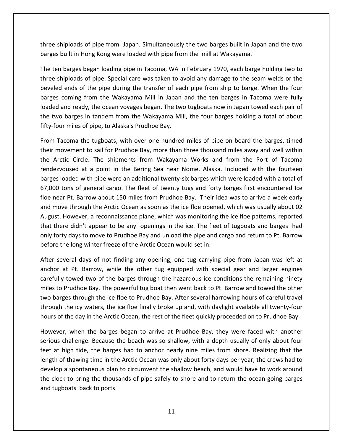shiploads of pipe from Japan. Simultaneously the two barges built in Japan and the two built in Hong Kong Lines<br>Three shiploads of pipe from Japan. Simultaneously the two barges built in Japar<br>Theres built in Hong Kong were loaded with pipe from the mill at Wakayama. that in barges began diagram. Simultaneously the two barges built in Japan and the two<br>ten barges began loading pipe in Tacoma, WA in February 1970, each barge holding two to shiploads of pipe from Japan. Simultaneously the two barges built in Japan and the two<br>s built in Hong Kong were loaded with pipe from the mill at Wakayama.<br>In barges began loading pipe in Tacoma, WA in February 1970, each three shiploads of pipe from Japan. Simultaneously the two barges built in Japan and the two barges built in Hong Kong were loaded with pipe from the mill at Wakayama.

iploads of pipe from Japan. Simultaneously the two barges built in Japan and the two<br>uilt in Hong Kong were loaded with pipe from the mill at Wakayama.<br>barges began loading pipe in Tacoma, WA in February 1970, each barge h niploads of pipe from Japan. Simultaneously the two barges built in Japan and the two<br>puilt in Hong Kong were loaded with pipe from the mill at Wakayama.<br>barges began loading pipe in Tacoma, WA in February 1970, each barge built in Hong Kong were loaded with pipe from the mill at Wakayama.<br>
I barges began loading pipe in Tacoma, WA in February 1970, each barge holding two to<br>
hiploads of pipe. Special care was taken to avoid any damage to th The ten barges began loading pipe in Tacoma, WA in February 1970, each barge holding two to ten barges began loading pipe in Tacoma, WA in February 1970, each barge holding two to<br>e shiploads of pipe. Special care was taken to avoid any damage to the seam welds or the<br>eled ends of the pipe during the transfer of three shiploads of pipe. Special care was taken to avoid any damage to the seam welds or the beveled ends of the pipe during the transfer of each pipe from ship to barge. When the four ed ends of the pipe during the transfer of each pipe from ship to barge. When the four<br>s coming from the Wakayama Mill in Japan and the ten barges in Tacoma were fully<br>d and ready, the ocean voyages began. The two tugboats barges coming from the Wakayama Mill in Japan and the ten barges in Tacoma were fully is coming from the Wakayama Mill in Japan and the ten barges in Tacoma were fully<br>d and ready, the ocean voyages began. The two tugboats now in Japan towed each pair of<br>wo barges in tandem from the Wakayama Mill, the four loaded and ready, the ocean voyages began. The two tugboats now in Japan towed each pair of ed and ready, the ocean voyages began. The two tugboats now in Japan towed each pair of<br>two barges in tandem from the Wakayama Mill, the four barges holding a total of about<br>four miles of pipe, to Alaska's Prudhoe Bay.<br>1 T the two barges in tandem from the Wakayama Mill, the four barges holding a total of about fifty-four miles of pipe, to Alaska's Prudhoe Bay.

is in tandem from the Wakayama Mill, the four barges holding a total of about<br>of pipe, to Alaska's Prudhoe Bay.<br>the tugboats, with over one hundred miles of pipe on board the barges, timed<br>it to sail for Prudhoe Bay, more ur miles of pipe, to Alaska's Prudhoe Bay.<br>acoma the tugboats, with over one hundred miles of pipe on board the barges, timed<br>ovement to sail for Prudhoe Bay, more than three thousand miles away and well within<br>ctic Circle From Tacoma the tugboats, with over one hundred miles of pipe on board the barges, timed acoma the tugboats, with over one hundred miles of pipe on board the barges, timed<br>ovement to sail for Prudhoe Bay, more than three thousand miles away and well within<br>tic Circle. The shipments from Wakayama Works and from their movement to sail for Prudhoe Bay, more than three thousand miles away and well within near the stags of the Prudhoe Bay, more than three thousand miles away and well within<br>Arctic Circle. The shipments from Wakayama Works and from the Port of Tacoma<br>ezvoused at a point in the Bering Sea near Nome, Alaska. I the Arctic Circle. The shipments from Wakayama Works and from the Port of Tacoma Arctic Circle. The shipments from Wakayama Works and from the Port of Tacoma<br>lezvoused at a point in the Bering Sea near Nome, Alaska. Included with the fourteen<br>es loaded with pipe were an additional twenty-six barges whi rendezvoused at a point in the Bering Sea near Nome, Alaska. Included with the fourteen For the singuistics from Vakayama Works and Hom the Fort of Tacoma<br>Doused at a point in the Bering Sea near Nome, Alaska. Included with the fourteen<br>Daded with pipe were an additional twenty-six barges which were loaded wi barges loaded with pipe were an additional twenty-six barges which were loaded with a total of there didn't appear to be any openings in the ice. The fleet of types which were loaded with a total of<br>20 tons of general cargo. The fleet of twenty tugs and forty barges first encountered Ice<br>near Pt. Barrow about 150 mi 67,000 tons of general cargo. The fleet of twenty tugs and forty barges first encountered Ice forty days to move to Prudhoe Bay and unload the pipe and cargo and return a text of the near Pt. Barrow about 150 miles from Prudhoe Bay. Their idea was to arrive a week early move through the Arctic Ocean as soon as the before the long winter freeze of the Richard Bay. Their ideand move through the Arctic Ocean as soon as the ice floe opened August. However, a reconnaissance plane, which was monitoring that there didn't appear to be any o iove through the Arctic Ocean as soon as the ice floe opened, which was usually about 02<br>t. However, a reconnaissance plane, which was monitoring the ice floe patterns, reported<br>here didn't appear to be any openings in the August. However, a reconnaissance plane, which was monitoring the ice floe patterns, reported However, a reconnaissance plane, which was monitoring the ice floe patterns, reported<br>re didn't appear to be any openings in the ice. The fleet of tugboats and barges had<br>ty days to move to Prudhoe Bay and unload the pipe that there didn't appear to be any openings in the ice. The fleet of tugboats and barges had e didn't appear to be any openings in the ice. The fleet of tugboats and barges had<br>
r days to move to Prudhoe Bay and unload the pipe and cargo and return to Pt. Barrow<br>
e long winter freeze of the Arctic Ocean would set only forty days to move to Prudhoe Bay and unload the pipe and cargo and return to Pt. Barrow before the long winter freeze of the Arctic Ocean would set in.

orty days to move to Prudhoe Bay and unload the pipe and cargo and return to Pt. Barrow<br>
e the long winter freeze of the Arctic Ocean would set in.<br>
several days of not finding any opening, one tug carrying pipe from Japan re the long winter freeze of the Arctic Ocean would set in.<br>
r several days of not finding any opening, one tug carrying pipe from Japan was left at<br>
for at Pt. Barrow, while the other tug equipped with special gear and la After several days of not finding any opening, one tug carrying pipe from Japan was left at veral days of not finding any opening, one tug carrying pipe from Japan was left at<br>at Pt. Barrow, while the other tug equipped with special gear and larger engines<br>towed two of the barges through the hazardous ice conditi anchor at Pt. Barrow, while the other tug equipped with special gear and larger engines of the day is the day in the Arctic Ocean, the rest of the fleet quickly proceeded on to Prudhoe Bay.<br>
For the barctic Arctic Cocean, the hazardous ice conditions the remaining ninety<br>
miles to Prudhoe Bay. The powerful tu bowed two of the barges through the hazardous ice conditions the remaining ninety<br>udhoe Bay. The powerful tug boat then went back to Pt. Barrow and towed the other<br>s through the ice floe to Prudhoe Bay. After several harro miles to Prudhoe Bay. The powerful tug boat then went back to Pt. Barrow and towed the other Prudhoe Bay. The powerful tug boat then went back to Pt. Barrow and towed the other<br>ges through the ice floe to Prudhoe Bay. After several harrowing hours of careful travel<br>the icy waters, the ice floe finally broke up and two barges through the ice floe to Prudhoe Bay. After several harrowing hours of careful travel barges through the ice floe to Prudhoe Bay. After several harrowing hours of careful travel<br>ugh the icy waters, the ice floe finally broke up and, with daylight available all twenty-four<br>s of the day in the Arctic Ocean, t through the icy waters, the ice floe finally broke up and, with daylight available all twenty-four hours of the day in the Arctic Ocean, the rest of the fleet quickly proceeded on to Prudhoe Bay.

length of thawing time in the Arctic Ocean was only about forty days per year, the crews had to h the icy waters, the ice floe finally broke up and, with daylight available all twenty-four<br>of the day in the Arctic Ocean, the rest of the fleet quickly proceeded on to Prudhoe Bay.<br>er, when the barges began to arrive at the day in the Arctic Ocean, the rest of the fleet quickly proceeded on to Prudhoe Bay.<br>
Then the barges began to arrive at Prudhoe Bay, they were faced with another<br>
thallenge. Because the beach was so shallow, with a dep However, when the barges began to arrive at Prudhoe Bay, they were faced with another rever, when the barges began to arrive at Prudhoe Bay, they were faced with another<br>pus challenge. Because the beach was so shallow, with a depth usually of only about four<br>at high tide, the barges had to anchor nearly nin serious challenge. Because the beach was so shallow, with a depth usually of only about four feet at high tide, the barges had to anchor nearly nine miles from shore. Realizing that the length of thawing time in the Arctic Ocean was only about forty days per year, the crews had to develop a spontaneous plan to cir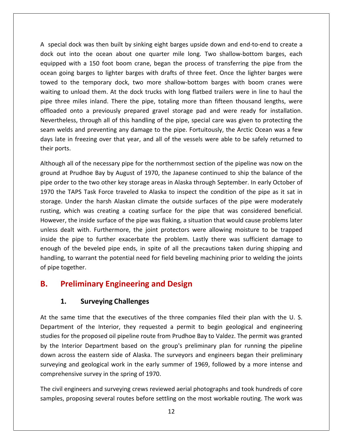special dock was then built by sinking eight barges upside down and end-to-end to create <sup>a</sup> out into the ocean about the sinking eight barges upside down and end-to-end to create a<br>out into the ocean about one quarter mile long. Two shallow-bottom barges, each dock was then built by sinking eight barges upside down and end-to-end to create a<br>into the ocean about one quarter mile long. Two shallow-bottom barges, each<br>with a 150 foot boom crane, began the process of transferring t ial dock was then built by sinking eight barges upside down and end-to-end to create a<br>ut into the ocean about one quarter mile long. Two shallow-bottom barges, each<br>ed with a 150 foot boom crane, began the process of tran ial dock was then built by sinking eight barges upside down and end-to-end to create a<br>ut into the ocean about one quarter mile long. Two shallow-bottom barges, each<br>ed with a 150 foot boom crane, began the process of tran waitingal dock was then built by sinking eight barges upside down and end-to-end to create a<br>it into the ocean about one quarter mile long. Two shallow-bottom barges, each<br>d with a 150 foot boom crane, began the process of transf  $\ddot{\phantom{0}}$ out into the ocean about one quarter mile long. Two shallow-bottom barges, each<br>ped with a 150 foot boom crane, began the process of transferring the pipe from the<br>a going barges to lighter barges with drafts of three feet dock out into the ocean about one quarter mile long. Two shallow-bottom barges, each<br>equipped with a 150 foot boom crane, began the process of transferring the pipe from the bequipped with a 150 foot boom crane, began the process of transferring the pipe from the ocean going barges to lighter barges with drafts of three feet. Once the lighter barges were towed to the temporary dock, two more s the process of transferring the pipe from the arges to lighter barges with drafts of three feet. Once the lighter barges were temporary dock, two more shallow-bottom barges with boom cranes were oad them. At the dock truck ocean going barges to lighter barges with drafts of three feet. Once the lighter barges were<br>towed to the temporary dock, two more shallow-bottom barges with boom cranes were going surges to ingite. Sarges with draites of times teet, once the ingite. Sarges were<br>I to the temporary dock, two more shallow-bottom barges with boom cranes were<br>g to unload them. At the dock trucks with long flatbed t days late in freezing over that year, and all of the vessels were able to be safely returned to which pipe three miles inland. There the pipe, totaling more than fifteen thousand lengths, were offloaded onto a previously p mating to although<br>pipe three mile<br>offloaded onto<br>Nevertheless, tl<br>seam welds and<br>days late in free<br>their ports. onto a previously prepared gravel storage pad and were ready for installation.<br>
ess, through all of this handling of the pipe, special care was given to protecting the<br>
ds and preventing any damage to the pipe. Fortuitousl Nevertl eless, through all of this handling of the pipe, special care was given to protecting the<br>elds and preventing any damage to the pipe. Fortuitously, the Arctic Ocean was a few<br>e in freezing over that year, and all of the ve seam welds and preventing any damage to the pipe. Fortuitously, the Arctic Ocean was a few If welds and preventing any damage to the pipe. Fortuitously, the Arctic Ocean was a few<br>late in freezing over that year, and all of the vessels were able to be safely returned to<br>ports.<br>wugh all of the necessary pipe for days late in freezing over that year, and all of the vessels were able to be safely returned to their ports.

ate in freezing over that year, and all of the vessels were able to be safely returned to<br>ports.<br>ugh all of the necessary pipe for the northernmost section of the pipeline was now on the<br>d at Prudhoe Bay by August of 1970, Inder the harsh Alaskan climate the outside surfaces of the pipeline was now on the terto the harsh August of 1970, the Japanese continued to ship the balance of the pirto the two other key storage areas in Alaska through Although all of the necessary pipe for the northernmost section of the pipeline was now on the ground at Prudhoe Bay by August of 1970, the Japanese continued to ship the balance of the pipe order to the two other key stor The inseessary pipe for the institutionest section of the pipeline was flow off the<br>Prudhoe Bay by August of 1970, the Japanese continued to ship the balance of the<br>to the two other key storage areas in Alaska through Sept ground at Prudhoe Bay by August of 1970, the Japanese continued to ship the balance of the pipe order to the two other key storage areas in Alaska through September. In early October of der to the two other key storage areas in Alaska through September. In early October of<br>he TAPS Task Force traveled to Alaska to inspect the condition of the pipe as it sat in<br>. Under the harsh Alaskan climate the outside 1970 the TAPS Task Force traveled to Alaska to inspect the condition of the pipe as it sat in the TAPS Task Force traveled to Alaska to inspect the condition of the pipe as it sat in<br>
1. Under the harsh Alaskan climate the outside surfaces of the pipe were moderately<br>
1. Which was creating a coating surface for the storage. Under the harsh Alaskan climate the outside surfaces of the pipe were moderately of the beveled pipe ends, in spite of all the precautions of the pipe were moderately<br>which was creating a coating surface for the pipe that was considered beneficial.<br>r, the inside surface of the pipe was flaking, a situa rusting, which was creating a coating surface for the pipe that was considered beneficial. thich was creating a coating surface for the pipe that was considered beneficial.<br>
the inside surface of the pipe was flaking, a situation that would cause problems later<br>
alt with. Furthermore, the joint protectors were a However, the inside surface of the pipe was flaking, a situation that would cause problems later rusting, which was discussed However, the inside s<br>unless dealt with. Fu<br>inside the pipe to fi<br>enough of the bevel<br>handling, to warrant<br>of pipe together. For the inside surface of the pipe was flaking, a situation that welcalt with. Furthermore, the joint protectors were allowire pipe to further exacerbate the problem. Lastly there of the beveled pipe ends, in spite of all inside the pipe to further exacerbate the problem. Lastly there was sufficient damage to **Example 18 Follow Schools Surveying Ends, in spite of all the precautions taken during shipping and handling, to warrant the potential need for field beveling machining prior to welding the joints of pipe together.<br>
<b>B.** of pipe together. of pipe together.<br> **B.** Preliminary Engineering and Design<br>
1. Surveying Challenges<br>
At the same time that the executives of the three companies filed their plan with the U. S.

## B.

experience and the contract of the contract of the contract of the contract of the contract of the contract of

down across the eastern side of Alaska. The surveyors and engineers began their preliminary<br>surveying and geological work in the early summer of 1969, followed by a more intense and **of the Interior of the Interior Challenges**<br> **Surveying Challenges**<br>
time that the executives of the three companies filed their plan with the U.S.<br>
of the Interior, they requested a permit to begin geological and enginee **Preliminary Engineering and Design<br>1. Surveying Challenges<br>same time that the executives of the three companies filed their plan with the U.S.<br>nent of the Interior, they requested a permit to begin geological and engineer 1.** Surveying Challenges<br>the same time that the executives of the three companies filed their plan with the U.S.<br>partment of the Interior, they requested a permit to begin geological and engineering<br>dies for the proposed **1.** Surveying Challenges<br>
same time that the executives of the three companies filed their plan with the U.S.<br>
strent of the Interior, they requested a permit to begin geological and engineering<br>
s for the proposed oil pi surveyingme time that the executives of the three companies filed their plan with the U. S.<br>
Int of the Interior, they requested a permit to begin geological and engineering<br>
the proposed oil pipeline route from Prudhoe Bay to Vald Compartment of the Interior, they requested a<br>studies for the proposed oil pipeline route from I<br>by the Interior Department based on the grou<br>down across the eastern side of Alaska. The sur<br>surveying and geological work in ies for the proposed oil pipeline route from Prudhoe Bay to Valdez. The permit was granted<br>he Interior Department based on the group's preliminary plan for running the pipeline<br>n across the eastern side of Alaska. The surv by the Interior Department based on the group's preliminary plan for running the pipeline terior Department based on the group's preliminary plan for running the pipeline<br>oss the eastern side of Alaska. The surveyors and engineers began their preliminary<br>; and geological work in the early summer of 1969, follow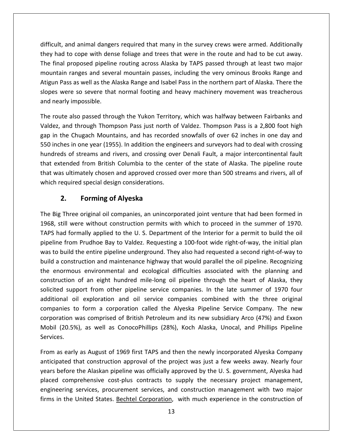and animal dangers required that many in the survey crews were armed. Additionally difficult, and animal dangers required that many in the survey crews were armed. Additionally<br>they had to cope with dense foliage and trees that were in the route and had to be cut away. Final proposed pipeline required that many in the survey crews were armed. Additionally<br>thad to cope with dense foliage and trees that were in the route and had to be cut away.<br>Final proposed pipeline routing across Alaska ranges and animal dangers required that many in the survey crews were armed. Additionally<br>o cope with dense foliage and trees that were in the route and had to be cut away.<br>proposed pipeline routing across Alaska by TAPS p t, and animal dangers required that many in the survey crews were armed. Additionally<br>ad to cope with dense foliage and trees that were in the route and had to be cut away.<br>al proposed pipeline routing across Alaska by TAP difficult, and animal dangers required that many in the survey crews were armed. Additionally t, and animal dangers required that many in the survey crews were armed. Additionally<br>ad to cope with dense foliage and trees that were in the route and had to be cut away.<br>al proposed pipeline routing across Alaska by TAP they had to cope with dense foliage and trees that were in the route and had to be cut away. Enter they had to cope with den<br>The final proposed pipelin<br>mountain ranges and seve<br>Atigun Pass as well as the A<br>slopes were so severe tha<br>and nearly impossible. final proposed pipeline routing across Alaska by TAPS passed through at least two major<br>ntain ranges and several mountain passes, including the very ominous Brooks Range and<br>un Pass as well as the Alaska Range and Isabel P mountain ranges and several mountain passes, including the very ominous Brooks Range and in ranges and several mountain passes, including the very ominous Brooks Range and<br>Pass as well as the Alaska Range and Isabel Pass in the northern part of Alaska. There the<br>vere so severe that normal footing and heavy mac Atigun Pass as well as the Alaska Range and Isabel Pass in the northern part of Alaska. There the slop and nearly impossible.

un Pass as well as the Alaska Range and Isabel Pass in the northern part of Alaska. There the<br>es were so severe that normal footing and heavy machinery movement was treacherous<br>nearly impossible.<br>route also passed through es were so severe that normal footing and heavy machinery movement was treacherous<br>nearly impossible.<br>route also passed through the Yukon Territory, which was halfway between Fairbanks and<br>ez, and through Thompson Pass jus impossible.<br>
also passed through the Yukon Territory, which was halfway between Fairbanks and<br>
d through Thompson Pass just north of Valdez. Thompson Pass is a 2,800 foot high<br>
Chugach Mountains, and has recorded snowfalls  $\mathbf{t}$ route also passed through the Yukon Territory, which was halfway between Fairbanks and<br>ez, and through Thompson Pass just north of Valdez. Thompson Pass is a 2,800 foot high<br>n the Chugach Mountains, and has recorded snowfa the<br>... extract also passed amodge and anon-refinery, which was harmed sectured rankams and<br>extend through Thompson Pass just north of Valdez. Thompson Pass is a 2,800 foot high<br>in the Chugach Mountains, and has recorded snowfalls  $\ddot{\cdot}$  and  $\ddot{\cdot}$ . required specifical design consideration<br>the Chugach Mountains, and has recorded<br>ches in one year (1955). In addition the engi-<br>eds of streams and rivers, and crossing over<br>xtended from British Columbia to the cent<br>as ulti Igach Mountains, and has record<br>
In addition the er<br>
Ireams and rivers, and crossing cord<br>
from British Columbia to the ce<br>
ately chosen and approved cross<br>
I special design considerations.<br> **Forming of Alveska** that extended from British Columbia to the center of the state of Alaska. The pipeline route<br>
that was ultimately chosen and approved crossed over more than 500 streams and rivers, all of<br>
which required special design con that was ultimately chosen and approved crossed over more than 500 streams and rivers, all of that was ultimately chosen and approved crossed over more than 500 streams and rivers, all of<br>which required special design considerations.<br>**2. Forming of Alyeska**<br>The Big Three original oil companies, an unincorporated jo

**2.** Forming of Alyeska<br>
ig Three original oil companies, an unincorporated joint venture that had been formed in<br>
still were without construction permits with which to proceed in the summer of 1970.<br>
had formally applied **Forming of Alyeska**<br>Fhree original oil companies, an unincorporated joint venture that had been formed in<br>Il were without construction permits with which to proceed in the summer of 1970.<br>I formally applied to the U. S. D 2. Forming of Alyeska<br>Big Three original oil companies, an unincorporated joint venture that had been formed in<br>8, still were without construction permits with which to proceed in the summer of 1970.<br>5 had formally applied The Big Three original oil companies, an unincorporated joint venture that had been formed in ig Three original oil companies, an unincorporated joint venture that had been formed in<br>still were without construction permits with which to proceed in the summer of 1970.<br>had formally applied to the U.S. Department of t 1968, still were without construction permits with which to proceed in the summer of 1970. eng mice original on companies, an animosi-portect joint vental and that had seen romined in<br>is had formally applied to the U. S. Department of the Interior for a permit to build the oil<br>line from Prudhoe Bay to Valdez. Re TAPS had formally applied to the U.S. Department of the Interior for a permit to build the oil of an eight hundred mile-long oil pipeline through the heart of Alaska, they are eight hundred mile-long oil pipeline through the entire pipeline underground. They also had requested a second right-of-way to uction and mai pipeline from Prudhoe Bay to Valdez. Requesting a 100-foot wide right-of-way, the initial plan support from Prudhoe Bay to Valdez. Requesting a 100-foot wide right-of-way, the initial plan<br>ild the entire pipeline underground. They also had requested a second right-of-way to<br>instruction and maintenance highway that w pipeline in If the entire pipeline underground. They also had requested a second right-of-way to<br>struction and maintenance highway that would parallel the oil pipeline. Recognizing<br>ous environmental and ecological difficulties associa  $\frac{1}{2}$ companies truction and maintenance highway that would parallel the oil pipeline. Recognizing<br>bus environmental and ecological difficulties associated with the planning and<br>of an eight hundred mile-long oil pipeline through the heart build a construction and maintenance highway that would parallel the oil pipeline. Recognizing<br>the enormous environmental and ecological difficulties associated with the planning and was environmental and ecological difficulties associated with the planning and<br>of an eight hundred mile-long oil pipeline through the heart of Alaska, they<br>pport from other pipeline service companies. In the late summer of montruction of an eight hundred mile-long oil pipeline through the heart of Alaska, they<br>solicited support from other pipeline service companies. In the late summer of 1970 four<br>additional oil exploration and oil service c solicited support from other pipeline service companies. In the late summer of 1970 four additional oi<br>companies te<br>corporation<br>Mobil (20.5%<br>Services. onal oil exploration and oil service companies combined with the three original<br>anies to form a corporation called the Alyeska Pipeline Service Company. The new<br>ration was comprised of British Petroleum and its new subsidi companies to form a corporation called the Alyeska Pipeline Service Company. The new<br>was comprised of British Petroleum and its new subsidiary Arco (47%) and Exxon<br>%), as well as ConocoPhillips (28%), Koch Alaska, Unocal, and Philli corporation was comprised of British Petroleum and its new subsidiary Arco (47%) and Exxon Mobil (20.5%), as well as ConocoPhillips (28%), Koch Alaska, Unocal, and Phillips Pipeline

anticipated that construction approval of the project was just a few weeks away. Nearly four ration was comprised of British Petroleum and its new subsidiary Arco (47%) and Exxon<br>(20.5%), as well as ConocoPhillips (28%), Koch Alaska, Unocal, and Phillips Pipeline<br>es.<br>as early as August of 1969 first TAPS and then Mobil (20.5%), as well as ConocoPhillips (28%), Koch Alaska, Unocal, and Phillips Pipeline<br>Services.<br>From as early as August of 1969 first TAPS and then the newly incorporated Alyeska Company<br>anticipated that construction y as August of 1969 first TAPS and then the newly incorporated Alyeska Company<br>hat construction approval of the project was just a few weeks away. Nearly four<br>the Alaskan pipeline was officially approved by the U.S. govern From as early as August of 1969 first TAPS and then the newly incorporated Alyeska Company as early as August of 1969 first TAPS and then the newly incorporated Alyeska Company<br>pated that construction approval of the project was just a few weeks away. Nearly four<br>before the Alaskan pipeline was officially approv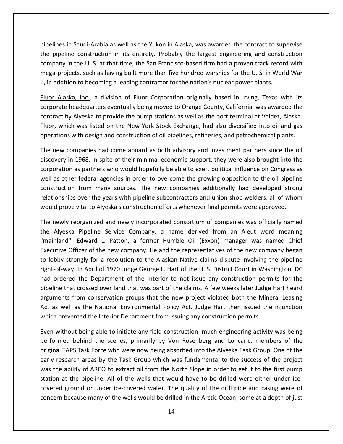in Saudi-Arabia as well as the Yukon in Alaska, was awarded the contract to supervise Ines in Saudi-Arabia as well as the Yukon in Alaska, was awarded the contract to supervise<br>Pripeline construction in its entirety. Probably the largest engineering and construction in Saudi-Arabia as well as the Yukon in Alaska, was awarded the contract to supervise<br>ne construction in its entirety. Probably the largest engineering and construction<br>in the U. S. at that time, the San Francisco-based fi di-Arabia as well as the Yukon in Alaska, was awarded the contract to supervise<br>instruction in its entirety. Probably the largest engineering and construction<br>U. S. at that time, the San Francisco-based firm had a proven t pipelines in Saudi-Arabia as well as the Yukon in Alaska, was awarded the contract to sup<br>the pipeline construction in its entirety. Probably the largest engineering and constr<br>company in the U. S. at that time, the San Fr nes in Saudi-Arabia as well as the Yukon in Alaska, was awarded the contract to supervise<br>peline construction in its entirety. Probably the largest engineering and construction<br>any in the U.S. at that time, the San Francis the pipeline construction in its entirety. Probably the largest engineering and construction headquarters eventually being moved to Orange County, California, was awarded the<br>headquarters eventually being moved to Dr. S. in World War<br>on to becoming a leading contractor for the nation's nuclear power plants.<br><u>Ka, I</u> compan<sup>,</sup> company in the U.S. at that time, the San Francisco-based firm had a proven track record with<br>mega-projects, such as having built more than five hundred warships for the U.S. in World War<br>II, in addition to becoming a lead II, in addition to becoming a leading contractor for the nation's nuclear power plants.

company and the company of the company of the company of the company of the company of the company of the company of the company of the company of the company of the company of the company of the company of the company of

projects, such as having built more than five hundred warships for the U. S. in World War<br>ddition to becoming a leading contractor for the nation's nuclear power plants.<br>Alaska, Inc., a division of Fluor Corporation origin II, in addition to becoming a leading contractor for the nation's nuclear power plants.<br>
<u>Fluor Alaska, Inc.</u>, a division of Fluor Corporation originally based in Irving, Texas with its<br>
corporate headquarters eventually b In Alaska, Inc., a division of Fluor Corporation originally based in Irving, Texas with its<br>orate headquarters eventually being moved to Orange County, California, was awarded the<br>ract by Alyeska to provide the pump statio corporate headquarters eventually being moved to Orange County, California, was awarded the<br>y Alyeska to provide the pump stations as well as the port terminal at Valdez, Alaska.<br>ch was listed on the New York Stock Exchange, had als contract by Alyeska to provide the pump stations as well as the port terminal at Valdez, Alaska. Alyeska to provide the pump stations as well as the port terminal at Valdez, Alaska.<br>
was listed on the New York Stock Exchange, had also diversified into oil and gas<br>
with design and construction of oil pipelines, refiner Fluor, which was listed on the New York Stock Exchange, had also diversified into oil and gas operations w

r, which was listed on the New York Stock Exchange, had also diversified into oil and gas<br>ations with design and construction of oil pipelines, refineries, and petrochemical plants.<br>new companies had come aboard as both ad th design and construction of oil pipelines, refineries, and petrochemical plants.<br>
panies had come aboard as both advisory and investment partners since the oil<br>
968. In spite of their minimal economic support, they were The new companies had come aboard as both advisory and investment partners since the oil panies had come aboard as both advisory and investment partners since the oil<br>968. In spite of their minimal economic support, they were also brought into the<br>s partners who would hopefully be able to exert political influ discovery in 1968. In spite of their minimal economic support, they were also brought into the corporation as partners who would hopefully be able to exert political influence on Congress as oration as partners who would hopefully be able to exert political influence on Congress as<br>as other federal agencies in order to overcome the growing opposition to the oil pipeline<br>truction from many sources. The new comp well as other federal agencies in order to overcome the growing opposition to the oil pipeline as other federal agencies in order to overcome the growing opposition to the oil pipeline<br>truction from many sources. The new companies additionally had developed strong<br>ionships over the years with pipeline subcontractors construction from many sources. The new companies additionally had developed strong from many sources. The new companies additionally had developed strong<br>over the years with pipeline subcontractors and union shop welders, all of whom<br>vital to Alyeska's construction efforts whenever final permits were app relationships over the years with pipeline subcontractors and union shop welders, all of whom would prove vital to Alyeska's construction efforts whenever final permits were approved.

ips over the years with pipeline subcontractors and union shop welders, all of whom<br>ve vital to Alyeska's construction efforts whenever final permits were approved.<br>Teorganized and newly incorporated consortium of companie uld prove vital to Alyeska's construction efforts whenever final permits were approved.<br>
a newly reorganized and newly incorporated consortium of companies was officially named<br>
Alyeska Pipeline Service Company, a name der The newly reorganized and newly incorporated consortium of companies was officially named organized and newly incorporated consortium of companies was officially named<br>
Pipeline Service Company, a name derived from an Aleut word meaning<br>
Edward L. Patton, a former Humble Oil (Exxon) manager was named Chief<br>
ice the Alyeska Pipeline Service Company, a name derived from an Aleut word meaning Ruy Teengamized and newry meer pertuced consortium or companies was ometany named<br>Alyeska Pipeline Service Company, a name derived from an Aleut word meaning<br>nland". Edward L. Patton, a former Humble Oil (Exxon) manager wa "mainland". Edward L. Patton, a former Humble Oil (Exxon) manager was named Chief If the carrier service company, a name derived nont an *filed word meaning*<br>Id". Edward L. Patton, a former Humble Oil (Exxon) manager was named Chief<br>e Officer of the new company. He and the representatives of the new com Executive Officer of the new company. He and the representatives of the new company began From conservation groups that the new project violated both the Mineral Leasing<br>fricer of the new company. He and the representatives of the new company began<br>rongly for a resolution to the Alaskan Native claims dispute in to lobby strongly for a resolution to the Alaskan Native claims dispute involving the pipeline bbby strongly for a resolution to the Alaskan Native claims dispute involving the pipeline<br>t-of-way. In April of 1970 Judge George L. Hart of the U. S. District Court in Washington, DC<br>ordered the Department of the Interio right-of-way. In April of 1970 Judge George L. Hart of the U.S. District Court in Washington, DC had ordered the Department of the Interior to not issue any construction permits for the ordered the Department of the Interior to not issue any construction permits for the<br>ne that crossed over land that was part of the claims. A few weeks later Judge Hart heard<br>nents from conservation groups that the new pro pipeline that crossed over land that was part of the claims. A few weeks later Judge Hart heard t crossed over land that was part of the claims. A few weeks later Judge Hart heard<br>from conservation groups that the new project violated both the Mineral Leasing<br>as the National Environmental Policy Act. Judge Hart then arguments from conservation groups that the new project violated both the Mineral Leasing nts from conservation groups that the new project violated both the Mineral Leasing<br>well as the National Environmental Policy Act. Judge Hart then issued the injunction<br>revented the Interior Department from issuing any con Act as well as the National Environmental Policy Act. Judge Hart then issued the injunction which prevented the Interior Department from issuing any construction permits.

early research areas by the Task Group which was fundamental to the success of the project research areas by the Task Group which was fundamental to the success of the project areas by the Task Group which was fundamental to the success of the project who were now being absorbed into the Alyeska Task Group. One h prevented the Interior Department from issuing any construction permits.<br>
without being able to initiate any field construction, much engineering activity was being<br>
prmed behind the scenes, primarily by Von Rosenberg an Even without being able to initiate any field construction, much engineering activity was being Even without being able to initiate any field construction, much engineering activity was being<br>performed behind the scenes, primarily by Von Rosenberg and Loncaric, members of the<br>original TAPS Task Force who were now bei reat semg take to minities any neitines constraction, much engineering dentry was semged behind the scenes, primarily by Von Rosenberg and Loncaric, members of the APS Task Force who were now being absorbed into the Alyesk performed behind the scenes, primarily by Von Rosenberg and Loncaric, members of the original TAPS Task Force who were now being absorbed into the Alyeska Task Group. One of the was the ability of ARCO to extract oil from the North Slope in order to get it to the first pump station at the pipeline. All of the wells that would have to be drilled were either under ice-covered ground or under ice-cov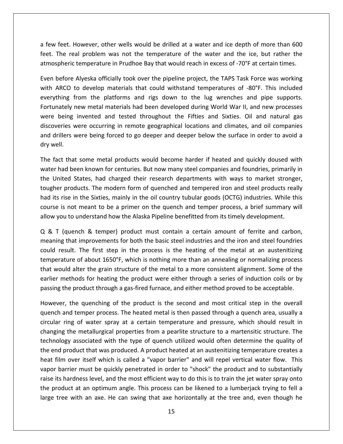few feet. However, other wells would be drilled at <sup>a</sup> water and ice depth of more than <sup>600</sup> The real problem was not the temperature of the water and ice depth of more than 600<br>The real problem was not the temperature of the water and the ice, but rather the thereformerature in Prudhoe Bay that would be drilled at a water and ice depth of more than 600<br>feet. The real problem was not the temperature of the water and the ice, but rather the<br>atmospheric temperature in Prudhoe Bay feet. However, other wells would be drilled at a water and ice depth of more than 600<br>The real problem was not the temperature of the water and the ice, but rather the<br>spheric temperature in Prudhoe Bay that would reach in Freet. However, other wells would be drilled at a water and ice depth of more than 600<br>The real problem was not the temperature of the water and the ice, but rather the<br>spheric temperature in Prudhoe Bay that would reach i a few feet. However, other wells would be drilled at a water and ice depth of more than 600 a few feet. However, other wells would be drilled at a water and ice depth of more than 600<br>feet. The real problem was not the temperature of the water and the ice, but rather the<br>atmospheric temperature in Prudhoe Bay tha atmospheric temperature in Prudhoe Bay that would reach in excess of -70°F at certain times.

atmospheric in the control

al problem was not the temperature of the water and the ice, but rather the<br>
temperature in Prudhoe Bay that would reach in excess of -70°F at certain times.<br>
Alyeska officially took over the pipeline project, the TAPS Tas pheric temperature in Prudhoe Bay that would reach in excess of -70°F at certain times.<br>
before Alyeska officially took over the pipeline project, the TAPS Task Force was working<br>
RRCO to develop materials that could withs Even before Alyeska officially took over the pipeline project, the TAPS Task Force was working Alyeska officially took over the pipeline project, the TAPS Task Force was working<br>to develop materials that could withstand temperatures of -80°F. This included<br>from the platforms and rigs down to the lug wrenches and pip with ARCO to develop materials that could withstand temperatures of -80°F. This included drillers were being forced to go deeper and deeper below the surface in order to avoid a<br>drifting from the platforms and rigs down to the lug wrenches and pipe supports.<br>unately new metal materials had been developed durin everything from the platforms and rigs down to the lug wrenches and pipe supports. where these to<br>everything fifth<br>Fortunately r<br>were being<br>discoveries w<br>and drillers v<br>drv well. unately new metal materials had been developed during World War II, and new processes<br>
E being invented and tested throughout the Fifties and Sixties. Oil and natural gas<br>
overies were occurring in remote geographical loca were being invented and tested throughout the Fifties and Sixties. Oil and natural gas being invented and tested throughout the Fifties and Sixties. Oil and natural gas<br>eries were occurring in remote geographical locations and climates, and oil companies<br>illers were being forced to go deeper and deeper below discoveries were occurring in remote geographical locations and climates, and oil companies discoveries were occurring in remote geographical locations and climates, and oil companies<br>and drillers were being forced to go deeper and deeper below the surface in order to avoid a<br>dry well.<br>The fact that some metal pr dry well.

ers were being forced to go deeper and deeper below the surface in order to avoid a<br>that some metal products would become harder if heated and quickly doused with<br>d been known for centuries. But now many steel companies an well.<br>fact that some metal products would become harder if heated and quickly doused with<br>er had been known for centuries. But now many steel companies and foundries, primarily in<br>United States, had charged their research The fact that some metal products would become harder if heated and quickly doused with It that some metal products would become harder if heated and quickly doused with<br>ad been known for centuries. But now many steel companies and foundries, primarily in<br>ited States, had charged their research departments wi water had been known for centuries. But now many steel companies and foundries, primarily in The fact that some metal products would become narder. It heated and quickly doesed with water had been known for centuries. But now many steel companies and foundries, primarily the United States, had charged their resear the United States, had charged their research departments with ways to market stronger,<br>tougher products. The modern form of quenched and tempered iron and steel products really<br>had its rise in the Sixties, mainly in the o broducts. The modern form of quenched and tempered iron and steel products really<br>se in the Sixties, mainly in the oil country tubular goods (OCTG) industries. While this<br>not meant to be a primer on the quench and temper p had its rise in the Sixties, mainly in the oil country tubular goods (OCTG) industries. While this rise in the Sixties, mainly in the oil country tubular goods (OCTG) industries. While this<br>is not meant to be a primer on the quench and temper process, a brief summary will<br>you to understand how the Alaska Pipeline benefi course is not meant to be a primer on the quench and temper process, a brief summary will allow you to understand how the Alaska Pipeline benefitted from its timely development.

meant to be a primer on the quench and temper process, a brief summary will<br>understand how the Alaska Pipeline benefitted from its timely development.<br>ch & temper) product must contain a certain amount of ferrite and carbo would alter the grain structure of the metal to a more consistent alignment.<br>We use of the metal to a mount of ferrite and carbon,<br>ting that improvements for both the basic steel industries and the iron and steel foundries  $Q$  & T (quench & temper) product must contain a certain amount of ferrite and carbon, (quench & temper) product must contain a certain amount of ferrite and carbon, g that improvements for both the basic steel industries and the iron and steel foundries esult. The first step in the process is the heating of meaning that improvements for both the basic steel industries and the iron and steel foundries  $\alpha$   $\alpha$   $\beta$  (quence)  $\alpha$  cemper) product must contain a certain amount of ferme and carbon, meaning that improvements for both the basic steel industries and the iron and steel foundries could result. The first step i Ilt. The first step in the process is the heating of the metal at an austenitizing<br>re of about 1650°F, which is nothing more than an annealing or normalizing process<br>l alter the grain structure of the metal to a more consi temperature of about 1650°F, which is nothing more than an annealing or normalizing process iture of about 1650°F, which is nothing more than an annealing or normalizing process<br>uld alter the grain structure of the metal to a more consistent alignment. Some of the<br>methods for heating the product were either throu that would alter the grain structure of the metal to a more consistent alignment. Some of the Ild alter the grain structure of the metal to a more consistent alignment. Some of the<br>nethods for heating the product were either through a series of induction coils or by<br>the product through a gas-fired furnace, and eith earlier methods for heating the product were either through a series of induction coils or by passing the product through a gas-fired furnace, and either method proved to be acceptable.

heat film over itself which is called a "vapor barrier" and will repel vertical water flow. This ethods for heating the product were either through a series of induction coils or by<br>he product through a gas-fired furnace, and either method proved to be acceptable.<br>the quenching of the product is the second and most cr product through a gas-fired furnace, and either method proved to be acceptable.<br>
The quenching of the product is the second and most critical step in the overall<br>
temper process. The heated metal is then passed through a q However, the quenching of the product is the second and most critical step in the overall wever, the quenching of the product is the second and most critical step in the overall<br>nch and temper process. The heated metal is then passed through a quench area, usually a<br>ular ring of water spray at a certain tempera guench and temper process. The heated metal is then passed through a quench area, usually a Film over the process. The heated metal is then passed through a quench area, usually a<br>ar ring of water spray at a certain temperature and pressure, which should result in<br>ging the metallurgical properties from a pearlite circular ring of water spray at a certain temperature and pressure, which should result in Fring of water spray at a certain temperature and pressure, which should result in<br>the metallurgical properties from a pearlite structure to a martensitic structure. The<br>blogy associated with the type of quench utilized wo changing the metallurgical properties from a pearlite structure to a martensitic structure. The if the metallurgical properties from a pearlite structure to a martensitic structure. The<br>ology associated with the type of quench utilized would often determine the quality of<br>nd product that was produced. A product heate technology associated with the type of quench utilized would often determine the quality of product at an optimum angle. This process can be likened to a lumberiantle stracture. The<br>and product that was produced. A product heated at an austenitizing temperature creates a<br>t film over itself which is called a "vapo the end product that was produced. A product heated at an austenitizing temperature creates a vapor barrier must be quickly penetrated in order to "shock" the product and to substantially raise its hardness level, and the most efficient way to do this is to train the jet water spray onto the product at an optimum a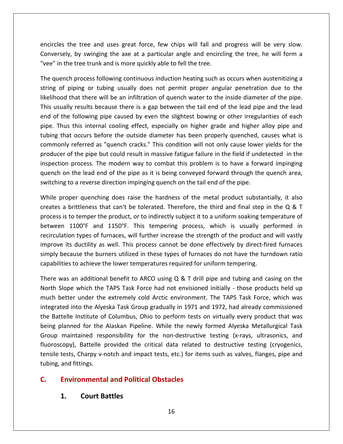the tree and uses great force, few chips will fall and progress will be very slow. Concircles the tree and uses great force, few chips will fall and progress will be very slow. by tree and uses great force, few chips will fall and progress will be very slow.<br>By swinging the axe at a particular angle and encircling the tree, he will form a in the tree and uses great force, few chips will fall and<br>Conversely, by swinging the axe at a particular angle and encircl<br>"vee" in the tree trunk and is more quickly able to fell the tree. rcles the tree and uses great force, few chips will fall and progress will be very slow.<br>
versely, by swinging the axe at a particular angle and encircling the tree, he will form a<br>
in the tree trunk and is more quickly ab es the tree and uses great force, few chips will fall and progress will be very slow.<br>
sely, by swinging the axe at a particular angle and encircling the tree, he will form a<br>
in the tree trunk and is more quickly able to encircles the tree and uses great force, few chips will fall and progress will be very slow. "yee" in the tree trunk and is more quickly able to fell the tree.

encircles the tree and uses great force, few chips will fall and progress will be very slow.<br>Conversely, by swinging the axe at a particular angle and encircling the tree, he will form a<br>"vee" in the tree trunk and is more rersely, by swinging the axe at a particular angle and encircling the tree, he will form a<br>" in the tree trunk and is more quickly able to fell the tree.<br>quench process following continuous induction heating such as occurs " in the tree trunk and is more quickly able to fell the tree.<br>quench process following continuous induction heating such as occurs when austenitizing a<br>g of piping or tubing usually does not permit proper angular penetrat The quench process following continuous induction heating such as occurs when austenitizing a uench process following continuous induction heating such as occurs when austenitizing a<br>of piping or tubing usually does not permit proper angular penetration due to the<br>ood that there will be an infiltration of quench wa string of piping or tubing usually does not permit proper angular penetration due to the then process choloning continuous intuition heating such as occurs when dastemizing a<br>of piping or tubing usually does not permit proper angular penetration due to the<br>od that there will be an infiltration of quench water likelihood that there will be an infiltration of quench water to the inside diameter of the pipe. referred as "quench cracks." This condition will not only cause lower vields for the pipe.<br>
That there will be an infiltration of quench water to the inside diameter of the pipe.<br>
This internal cooling pipe caused by even This usually results because there is a gap between the tail end of the lead pipe and the lead Ily results because there is a gap between the tail end of the lead pipe and the lead<br>e following pipe caused by even the slightest bowing or other irregularities of each<br>s this internal cooling effect, especially on highe end of the following pipe caused by even the slightest bowing or other irregularities of each process. The modern way to combat this problem is to have a forward impinging process. The modern way to combat this problem is to have a forward impinging the process. The modern way to combat this problem is to have a fo pipe. Thus this internal cooling effect, especially on higher grade and higher alloy pipe and pipe. Thus this internal cooling effect, especially on higher grade and higher alloy pipe and tubing that occurs before the outside diameter has been properly quenched, causes what is commonly referred as "quench cracks." tubing that occurs before the outside diameter has been properly quenched, commonly referred as "quench cracks." This condition will not only cause lower producer of the pipe but could result in massive fatigue failure in proper das "quench cracks." This condition will not only cause lower yields for the<br>er of the pipe but could result in massive fatigue failure in the field if undetected in the<br>ion process. The modern way to combat this pr producer of the pipe but could result in massive fatigue failure in the field if undetected in the r of the pipe but could result in massive fatigue failure in the field if undetected in the<br>on process. The modern way to combat this problem is to have a forward impinging<br>on the lead end of the pipe as it is being convey inspection process. The modern way to combat this problem is to have a forward impinging on process. The modern way to combat this problem is to have a forward impinging<br>on the lead end of the pipe as it is being conveyed forward through the quench area,<br>g to a reverse direction impinging quench on the tail e quench on the lead end of the pipe as it is being conveyed forward through the quench area, switching to a reverse direction impinging quench on the tail end of the pipe.

11100°F and 1150°F. This tempering process, which is usually performed in the same income and the pipe.<br>
1100°F and 1150°F. This tempering process, which is usually performed in<br>
1100°F and 1150°F. This tempering process, a reverse direction impinging quench on the tail end of the pipe.<br>
The quenching does raise the hardness of the metal product substantially, it also<br>
teleness that can't be tolerated. Therefore, the third and final step in While proper quenching does raise the hardness of the metal product substantially, it also oper quenching does raise the hardness of the metal product substantially, it also<br>brittleness that can't be tolerated. Therefore, the third and final step in the  $Q & T$ <br>is to temper the product, or to indirectly subject i creates a brittleness that can't be tolerated. Therefore, the third and final step in the  $Q & T$ burst proper equationing deed rate the harances of the metal product descendingly it also a brittleness that can't be tolerated. Therefore, the third and final step in the  $Q$  & T is to temper the product, or to indirectl process is to temper the product, or to indirectly subject it to a uniform soaking tem<br>between 1100°F and 1150°F. This tempering process, which is usually pe<br>recirculation types of furnaces, will further increase the stren en 1100°F and 1150°F. This tempering process, which is usually performed in<br>lation types of furnaces, will further increase the strength of the product and will vastly<br>ve its ductility as well. This process cannot be done recirculation types of furnaces, will further increase the strength of the product and will vastly lation types of furnaces, will further increase the strength of the product and will vastly<br>ve its ductility as well. This process cannot be done effectively by direct-fired furnaces<br>because the burners utilized in these improve its ductility as well. This process cannot be done effectively by direct-fired furnaces ve its ductility as well. This process cannot be done effectively by direct-fired furnaces<br>because the burners utilized in these types of furnaces do not have the turndown ratio<br>lities to achieve the lower temperatures re simply because the burners utilized in these types of furnaces do not have the turndown ratio capabilities to achieve the lower temperatures required for uniform tempering.

Integrated *interally conduction*, the Battelle Institute of Columbus, Ohio to perfibeing planned for the Alaskan Pipeline. While Group maintained responsibility for the non-fluoroscopy), Battelle provided the critical dat ause the burners utilized in these types of furnaces do not have the turndown ratio<br>
to achieve the lower temperatures required for uniform tempering.<br>
an additional benefit to ARCO using Q & T drill pipe and tubing and c ibilities to achieve the lower temperatures required for uniform tempering.<br>The was an additional benefit to ARCO using Q & T drill pipe and tubing and casing on the<br>th Slope which the TAPS Task Force had not envisioned in There was an additional benefit to ARCO using Q & T drill pipe and tubing and casing on the<br>North Slope which the TAPS Task Force had not envisioned initially - those products held up<br>much better under the extremely cold A North Slope which the TAPS Task Force had not envisioned initially - those products held up lope which the TAPS Task Force had not envisioned initially - those products held up<br>etter under the extremely cold Arctic environment. The TAPS Task Force, which was<br>ed into the Alyeska Task Group gradually in 1971 and 1 much better under the extremely cold Arctic environment. The TAPS Task Force, which was From Super when the TVI S Task Toree had not envisioned initially Thiose products held up<br>much better under the extremely cold Arctic environment. The TAPS Task Force, which was<br>integrated into the Alyeska Task Group gradu ted into the Alyeska Task Group gradually in 1971 and 1972, had already commissioned<br>telle Institute of Columbus, Ohio to perform tests on virtually every product that was<br>planned for the Alaskan Pipeline. While the newly integrated into the Alyeska Task Group gradually in 1971 and 1972, had already commissioned<br>the Battelle Institute of Columbus, Ohio to perform tests on virtually every product that was Itelle Institute of Columbus, Ohio to perform tests or<br>Dianned for the Alaskan Pipeline. While the newly 1<br>maintained responsibility for the non-destructive<br>copy), Battelle provided the critical data related t<br>tests, Charp Group maintained responsibility for the non-destructive testing (x-rays, ultrasonics, and ined responsib<br>Battelle provide<br>harpy v-notch a<br>ings.<br>**nmental and<br>Court Battles** 

#### $\mathsf{C}$ .

#### $1.$

"vee"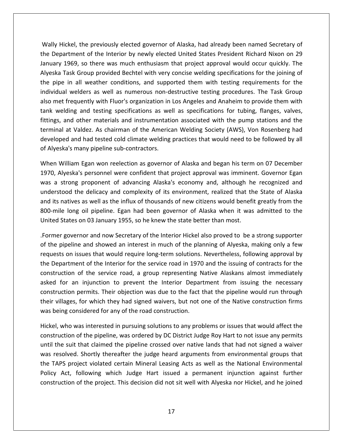Hickel, the previously elected governor of Alaska, had already been named Secretary of Department of the Interior by newly elected governor of Alaska, had already been named Secretary of<br>Department of the Interior by newly elected United States President Richard Nixon on 29 ickel, the previously elected governor of Alaska, had already been named Secretary of<br>artment of the Interior by newly elected United States President Richard Nixon on 29<br>1969. so there was much enthusiasm that project app ickel, the previously elected governor of Alaska, had already been named Secretary of<br>artment of the Interior by newly elected United States President Richard Nixon on 29<br>1969, so there was much enthusiasm that project app ly Hickel, the previously elected governor of Alaska, had already been named Secretary of<br>Department of the Interior by newly elected United States President Richard Nixon on 29<br>ary 1969, so there was much enthusiasm that Wally Hickel, the previously elected governor of Alaska, had already been named Secretary of wel, the previously elected governor of Alaska, had already been named Secretary of<br>sment of the Interior by newly elected United States President Richard Nixon on 29<br>69, so there was much enthusiasm that project approval the Department of the Interior by newly elected United States President Richard Nixon on 29 meter, the premetasy elected governor or maska, had aheady seen named secretar, or<br>Department of the Interior by newly elected United States President Richard Nixon on 29<br>ary 1969, so there was much enthusiasm that project January 1969, so there was much enthusiasm that project approval would occur quickly. The Ianuary 1969, so there was much enthusiasm that project approval would occur quickly. The<br>Alyeska Task Group provided Bechtel with very concise welding specifications for the joining of<br>the pipe in all weather conditions, Task Group provided Bechtel with very concise welding specifications for the joining of<br>in all weather conditions, and supported them with testing requirements for the<br>al welders as well as numerous non-destructive testing Alyeska Task Group provided Bechtel with very concise welding specifications for the joining of the pipe in all weather conditions, and supported them with testing requirements for the ask disagreed provided beenter with very concise weraing specifications for the Johnny of<br>in all weather conditions, and supported them with testing requirements for the<br>l welders as well as numerous non-destructive testin individual welders as well as numerous non-destructive testing procedures. The Task Group<br>also met frequently with Fluor's organization in Los Angeles and Anaheim to provide them with<br>tank welding and testing specification also met frequently with Fluor's organization in<br>tank welding and testing specifications as we<br>fittings, and other materials and instrumentati<br>terminal at Valdez. As chairman of the Americ<br>developed and had tested cold cli velding and testing specifications as well as specifications for tubing, flanges, valves,<br>i, and other materials and instrumentation associated with the pump stations and the<br>al at Valdez. As chairman of the American Weldi fitting s, and other materials and instrumentation associated with the pump stations and the<br>hal at Valdez. As chairman of the American Welding Society (AWS), Von Rosenberg had<br>pped and had tested cold climate welding practices th tern inal at Valdez. As chairman of the American Welding Society (AWS), Von Rosenberg had<br>loped and had tested cold climate welding practices that would need to be followed by all<br>yeska's many pipeline sub-contractors.<br>n Willia developed and had tested cold climate welding practices that would need to be followed by all of Alyeska's many pipeline sub-contractors.

January

nd had tested cold climate welding practices that would need to be followed by all<br>many pipeline sub-contractors.<br>m Egan won reelection as governor of Alaska and began his term on 07 December<br>ra's personnel were confident its many pipeline sub-contractors.<br>
In William Egan won reelection as governor of Alaska and began his term on 07 December<br>
1, Alyeska's personnel were confident that project approval was imminent. Governor Egan<br>
1, Alyesk When William Egan won reelection as governor of Alaska and began his term on 07 December<br>1970, Alyeska's personnel were confident that project approval was imminent. Governor Egan<br>was a strong proponent of advancing Alaska United States on 03 January 1955, so he knew the state better than most.<br>United States of the delicacy and complexity of its environment, realized that the<br>understood the delicacy and complexity of its environment, realize was a strong proponent of advancing Alaska's economy and, although he recognized and trong proponent of advancing Alaska's economy and, although he recognized and<br>bod the delicacy and complexity of its environment, realized that the State of Alaska<br>atives as well as the influx of thousands of new citizens understood the delicacy and complexity of its environment, realized that the State of Alaska derstood the delicacy and complexity of its environment, realized that the State of Alaska<br>d its natives as well as the influx of thousands of new citizens would benefit greatly from the<br>D-mile long oil pipeline. Egan had and its natives as well as the influx of thousands of new citizens would benefit greatly from the itives as well as the influx of thousands of new citizens would benefit greatly from the<br>long-oil pipeline. Egan had been governor of Alaska when it was admitted to the<br>ates on 03 January 1955, so he knew the state better 800-mile long oil pipeline. Egan had been governor of Alaska when it was admitted to the United States on 03 January 1955, so he knew the state better than most.

-mile long oil pipeline. Egan had been governor of Alaska when it was admitted to the<br>red States on 03 January 1955, so he knew the state better than most.<br>mer governor and now Secretary of the Interior Hickel also proved on 03 January 1955, so he knew the state better than most.<br>
From and now Secretary of the Interior Hickel also proved to be a strong supporter<br>
e and showed an interest in much of the planning of Alyeska, making only a few Former governor and now Secretary of the Interior Hickel also proved to be a strong supporter r governor and now Secretary of the Interior Hickel also proved to be a strong supporter<br>pipeline and showed an interest in much of the planning of Alyeska, making only a few<br>ts on issues that would require long-term solut constructions.<br>Constructions not and now secretary of the interior meater and proved to be a strong supporter<br>le and showed an interest in much of the planning of Alyeska, making only a few<br>ssues that would require long-term solutions. Nevertheless, f the control villages, for which they had signed waivers, but not one of the Native construction firms were partment of the Interior for the service road in 1970 and the issuing of contracts for the ruction of the service road, a group requests on issues that would require long-term solutions. Nevertheless, following approval by<br>the Department of the Interior for the service road in 1970 and the issuing of contracts for the construction of the service road, a group representing Native Alaskans almost immediately iction of the service road, a group representing Native Alaskans almost immediately<br>for an injunction to prevent the Interior Department from issuing the necessary<br>iction permits. Their objection was due to the fact that t asked for an injunction to prevent the Interior Department from issuing the necessary n injunction to prevent the Interior Department from issuing the necessary<br>permits. Their objection was due to the fact that the pipeline would run through<br>for which they had signed waivers, but not one of the Native const construction permits. Their objection was due to the fact that the pipeline would run through their villages, for which they had signed waivers, but not one of the Native construction firms was being considered for any of the road construction.

the TAPS project violated certain Mineral Leasing Acts as well as the National Environmental ruction permits. Their objection was due to the fact that the pipeline would run through<br>villages, for which they had signed waivers, but not one of the Native construction firms<br>being considered for any of the road constr villages, for which they had signed waivers, but not one of the Native construction firms<br>being considered for any of the road construction.<br>el, who was interested in pursuing solutions to any problems or issues that would being considered for any of the road construction.<br>
el, who was interested in pursuing solutions to any problems or issues that would affect the<br>
struction of the pipeline, was ordered by DC District Judge Roy Hart to not Policywho was interested in pursuing solutions to any problems or issues that would affect the<br>ction of the pipeline, was ordered by DC District Judge Roy Hart to not issue any permits<br>e suit that claimed the pipeline crossed ov  $\sum_{i=1}^{n}$ of the pipeline, was ordered by DC District Judge Roy Hart to not issue any permits<br>that claimed the pipeline crossed over native lands that had not signed a waiver<br>. Shortly thereafter the judge heard arguments from envir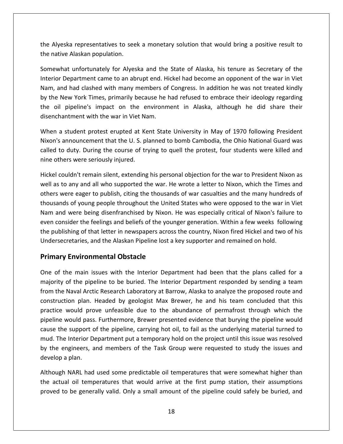Alyeska representatives to seek <sup>a</sup> monetary solution that would bring <sup>a</sup> positive result to native Alaskan populations and the Alyeskan epresentatives to see<br>the native Alaskan population. representatives to seek a monetary solution that would bring a positive result to<br>
Alaskan population.<br>
Lunfortunately for Alyeska and the State of Alaska, his tenure as Secretary of the eska representatives to seek a monetary solution that would bring a positive result to<br>Department came to an abrupt end. Hickel had become an opponent of the war in Viet<br>Department came to an abrupt end. Hickel had become the Alyeska representatives to seek a monetary solution that would bring a positive result to the native Alaskan population.

yeska representatives to seek a monetary solution that would bring a positive result to<br>tive Alaskan population.<br>what unfortunately for Alyeska and the State of Alaska, his tenure as Secretary of the<br>pr Department came to Alyeska representatives to seek a monetary solution that would bring a positive result to<br>
enative Alaskan population.<br>
Interval and the State of Alaska, his tenure as Secretary of the<br>
perior Department came to an abrupt ative Alaskan population.<br>
ewhat unfortunately for Alyeska and the State of Alaska, his tenure as Secretary of the<br>
ior Department came to an abrupt end. Hickel had become an opponent of the war in Viet<br>
, and had clashed Somewhat unfortunately for Alyeska and the State of Alaska, his tenure as Secretary of the Interior Department came to an abrupt end. Hickel had become an opponent of the war in Viet Nam, and had clashed with many members of Congress. In addition he was not treated kindly by the New York Times, primarily because r Department came to an abrupt end. Hickel had become an opponent of the war in Viet<br>and had clashed with many members of Congress. In addition he was not treated kindly<br>New York Times, primarily because he had refused to Nam, a<br>by the<br>the oil<br>disench<br>When a announcement that the U. S. planned to bomb Cambodia, the Ohio National Guard was not the U. S. planned to the environment in Alaska, although he did share their antment with the war in Viet Nam.<br>
Student protest erupted a by the New York Times, primarily because he had refused to embrace their ideology regarding New York Times, primarily because he had refused to embrace their ideology regarding<br>1 pipeline's impact on the environment in Alaska, although he did share their<br>hantment with the war in Viet Nam.<br>5 a student protest erup the

the oil pipeline's impact on the e<br>disenchantment with the war in Viet Na<br>When a student protest erupted at Ke<br>Nixon's announcement that the U.S. pl<br>called to duty. During the course of tr<br>nine others were seriously iniure a student protest erupted at Kent State University in May of 1970 following President<br>s announcement that the U.S. planned to bomb Cambodia, the Ohio National Guard was<br>to duty. During the course of trying to quell the pro When a student protest erupted at Kent State University in May of 1970 following President n a student protest erupted at Kent State University in May of 1970 following President<br>n's announcement that the U. S. planned to bomb Cambodia, the Ohio National Guard was<br>d to duty. During the course of trying to quell Nixon' i announcement that the U.S. planned to bomb Cambodia, the Ohio National Guard was<br>to duty. During the course of trying to quell the protest, four students were killed and<br>hers were seriously injured.<br>couldn't remain silen called to duty. During the course of trying to quell the protest, four students were killed and nine others were seriously injured.

uty. During the course of trying to quell the protest, four students were killed and<br>is were seriously injured.<br>dn't remain silent, extending his personal objection for the war to President Nixon as<br>any and all who support bthers were seriously injured.<br>I couldn't remain silent, extending his personal objection for the war to President Nixon as<br>is to any and all who supported the war. He wrote a letter to Nixon, which the Times and<br>s were ea evenI couldn't remain silent, extending his personal objection for the war to President Nixon as<br>as to any and all who supported the war. He wrote a letter to Nixon, which the Times and<br>s were eager to publish, citing the thou .....<br>. as to any and all who supported the war. He wrote a letter to Nixon, which the Times and<br>ars were eager to publish, citing the thousands of war casualties and the many hundreds of<br>usands of young people throughout the Unit well as to any and all who supported the war. He wrote a letter to Nixon, which the Times and<br>others were eager to publish, citing the thousands of war casualties and the many hundreds of and the Alaskan Pipeline lost a key supporter and remain when the Times<br>others were eager to publish, citing the thousands of war casualties and the many hundre<br>thousands of young people throughout the United States who we re eager to publish, citing the thousands of young people throughout the Unite<br>
were being disenfranchised by Nixon.<br>
ider the feelings and beliefs of the your<br>
hing of that letter in newspapers across<br>
retaries, and the A even consider the feelings and beliefs of the younger generation. Within a few weeks following consider the feelings and beliefs of the younger generation. Within a few weeks following<br>ublishing of that letter in newspapers across the country, Nixon fired Hickel and two of his<br>rsecretaries, and the Alaskan Pipeline the publishing of that letter in newspapers across the country, Nixon fired Hickel and two of his of that letter in newspapers across the country, Nixon fired Hickel and two of his<br>
Intertaries, and the Alaskan Pipeline lost a key supporter and remained on hold.<br>
Interior **Environmental Obstacle**<br>
The main issues with Undersecretaries, and the Alaskan Pipeline lost a key supporter and remained on hold.

#### **Primary Environmental Obstacle**

rsecretaries, and the Alaskan Pipeline lost a key supporter and remained on hold.<br> **ary Environmental Obstacle**<br>
of the main issues with the Interior Department had been that the plans called for a<br>
rity of the pipeline to **Exame Solution Solution Solution Solution Solution Solution Solution Solution**<br>Thain issues with the Interior Department had been that the plans called for a<br>The pipeline to be buried. The Interior Department responded by **Environmental Obstacle**<br>he main issues with the Interior Department had been that the plans called for a<br>of the pipeline to be buried. The Interior Department responded by sending a team<br>Naval Arctic Research Laboratory a One of the main issues with the Interior Department had been that the plans called for a the main issues with the Interior Department had been that the plans called for a<br>of the pipeline to be buried. The Interior Department responded by sending a team<br>Naval Arctic Research Laboratory at Barrow, Alaska to anal majority of the pipeline to be buried. The Interior Department responded by sending a team The support of the pipeline to be buried. The Interior Department responded by sending a team<br>he Naval Arctic Research Laboratory at Barrow, Alaska to analyze the proposed route and<br>uction plan. Headed by geologist Max Bre from the Naval Arctic Research Laboratory at Barrow, Alaska to analyze the proposed route and The Naval Arctic Research Laboratory at Barrow, Alaska to analyze the proposed route and<br>ruction plan. Headed by geologist Max Brewer, he and his team concluded that this<br>ce would prove unfeasible due to the abundance of p ns<br>1 In the Haval Altert Hesselter, essention, yat safform, yatisha to alteryce the proposed roate and<br>Instruction plan. Headed by geologist Max Brewer, he and his team concluded that this<br>ctice would prove unfeasible due to th  $\frac{1}{2}$ practice would pro<br>pipeline would pass<br>cause the support c<br>mud. The Interior D<br>by the engineers, a<br>develop a plan. rould pass. Furthermore, Brewer presented evidence that burying the pipeline would<br>support of the pipeline, carrying hot oil, to fail as the underlying material turned to<br>Interior Department put a temporary hold on the pro cause the support of the pipeline, carrying hot oil, to fail as the underlying material turned to e the support of the pipeline, carrying hot oil, to fail as the underlying material turned to<br>
. The Interior Department put a temporary hold on the project until this issue was resolved<br>
he engineers, and members of the T mud. The Interior Department put a temporary hold on the project until this issue was resolved Interior Department put a temporary hold on the project until this issue was resolved<br>engineers, and members of the Task Group were requested to study the issues and<br>a plan.<br>h NARL had used some predictable oil temperature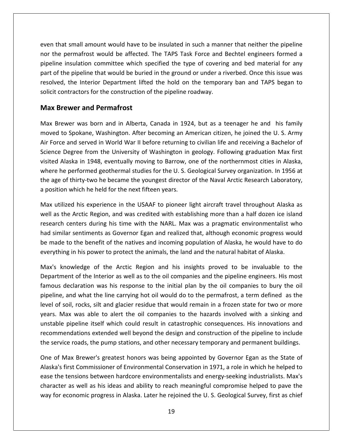that small amount would have to be insulated in such <sup>a</sup> manner that neither the pipeline that small amount would have to be insulated in such a manner that neither the pipeline<br>the permafrost would be affected. The TAPS Task Force and Bechtel engineers formed a Insulation committee which specified the type of covering and bed material for any insulation committee which specified the type of covering and bed material for any sulation committee which specified the type of covering that small amount would have to be insulated in such a manner that neither the pipeline<br>the permafrost would be affected. The TAPS Task Force and Bechtel engineers formed a<br>line insulation committee which specified the typ small amount would have to be insulated in such a manner that neither the pipeline<br>ermafrost would be affected. The TAPS Task Force and Bechtel engineers formed a<br>isulation committee which specified the type of covering an even that small amount would have to be insulated in such a manner that neither the pipeline nor the permafrost would be affected. The TAPS Task Force and Bechtel engineers formed a<br>pipeline insulation committee which specified the type of covering and bed material for any that small amount would have to b<br>he permafrost would be affected.<br>The insulation committee which spe<br>of the pipeline that would be buried<br>red, the Interior Department lifted<br>contractors for the construction of<br>**Brewer and** part of the pipeline that would be buried in the ground or under a riverbed. Once this issue was of the pipeline that would be buried in the ground or under a riverbed. Once this issue was<br>ved, the Interior Department lifted the hold on the temporary ban and TAPS began to<br>t contractors for the construction of the pipe resolved, the Interior Department lifted the hold on the temporary ban and TAPS began to d, the Interior Department lifted the hold on the temporary ban and TAPS began to<br>ontractors for the construction of the pipeline roadway.<br>**rewer and Permafrost**<br>ewer was born and in Alberta, Canada in 1924, but as a teena solicit contractors for the construction of the pipeline roadway.

#### **Max Brewer and Permafrost**

pipeline (pipeline)<br>pipeline (pipeline (pipeline (pipeline (pipeline (pipeline (pipeline (pipeline (pipeline (pipeline (pipeline (

Force and served in World War II before returning to civilian life and receiving a Bachelor of<br>Force and served in World War II before returning to civilian life and receiving a Bachelor of<br>Force and served in World War II Eright and Permativest Permativest<br>
Degree was born and in Alberta, Canada in 1924, but as a teenager he and his family<br>
The U.S. Army<br>
The Spokane, Washington. After becoming an American citizen, he joined the U.S. Army<br> Max Brewer and Permatrost<br>Max Brewer was born and in Alberta, Canada in 1924, but as a teenager he and his family<br>moved to Spokane, Washington. After becoming an American citizen, he joined the U. S. Army<br>Air Force and ser rewer was born and in Alberta, Canada in 1924, but as a teenager he and his family<br>to Spokane, Washington. After becoming an American citizen, he joined the U. S. Army<br>ce and served in World War II before returning to civi Max Brewer was born and in Alberta, Canada in 1924, but as a teenager he and his family moved to Spokane, Washington. After becoming an American citizen, he joined the U.S. Army max Brewer was born and in ruberta) candad in 1921, bat as a teenager ne and insitality<br>moved to Spokane, Washington. After becoming an American citizen, he joined the U.S. Army<br>Air Force and served in World War II before Air Force and served in World War II before returning the Nir Force and served in World War II before returning is<br>Science Degree from the University of Washington in<br>visited Alaska in 1948, eventually moving to Barrow, c<br> ce Degree from the University of Washington in geology. Following graduation Max first<br>d Alaska in 1948, eventually moving to Barrow, one of the northernmost cities in Alaska,<br>e he performed geothermal studies for the U. S visited Alaska in 1948, eventually moving to Barrow, one of the northernmost cities in Alaska, ed Alaska in 1948, eventually moving to Barrow, one of the northernmost cities in Alaska,<br>re he performed geothermal studies for the U.S. Geological Survey organization. In 1956 at<br>ge of thirty-two he became the youngest d where  ${\sf h}$ performed geothermal studies for the U.S. Geological Survey organization. In 1956 at<br>f thirty-two he became the youngest director of the Naval Arctic Research Laboratory,<br>which he held for the next fifteen years.<br>red his e the age of thirty-two he became the youngest director of the Naval Arctic Research Laboratory, a position which he held for the next fifteen years.

age of thirty-two he became the youngest director of the Naval Arctic Research Laboratory,<br>sition which he held for the next fifteen years.<br>utilized his experience in the USAAF to pioneer light aircraft travel throughout A osition which he held for the next fifteen years.<br>x utilized his experience in the USAAF to pioneer light aircraft travel throughout Alaska as<br>ll as the Arctic Region, and was credited with establishing more than a half do Max utilized his experience in the USAAF to pioneer light aircraft travel throughout Alaska as Max utilized his experience in the USAAF to pioneer light aircraft travel throughout Alaska well as the Arctic Region, and was credited with establishing more than a half dozen ice islameters during his time with the NARL. the Arctic Region, and was credited with establishing more than a half dozen ice island<br>h centers during his time with the NARL. Max was a pragmatic environmentalist who<br>nilar sentiments as Governor Egan and realized that, research centers during his time with the NARL. Max was a pragmatic environmentalist who ters during his time with the NARL. Max was a pragmatic environmentalist who<br>entiments as Governor Egan and realized that, although economic progress would<br>the benefit of the natives and incoming population of Alaska, he w had similar sentiments as Governor Egan and realized that, although economic progress would lar sentiments as Governor Egan and realized that, although economic progress would<br>a to the benefit of the natives and incoming population of Alaska, he would have to do<br>ng in his power to protect the animals, the land an be made to the benefit of the natives and incoming population of Alaska, he would have to do everything in his power to protect the animals, the land and the natural habitat of Alaska.

years. Max was able to alert the oil companies<br>unstable pipeline itself which could result in care<br>commendations extended well beyond the des<br>the service roads, the pump stations, and other n<br>One of Max Brewer's greatest h to the benefit of the natives and incoming population of Alaska, he would have to do<br>g in his power to protect the animals, the land and the natural habitat of Alaska.<br>lowledge of the Arctic Region and his insights proved thing in his power to protect the animals, the land and the natural habitat of Alaska.<br>
Is knowledge of the Arctic Region and his insights proved to be invaluable to the<br>
Irtment of the Interior as well as to the oil compa years.knowledge of the Arctic Region and his insights proved to be invaluable to the<br>ment of the Interior as well as to the oil companies and the pipeline engineers. His most<br>s declaration was his response to the initial plan by  $\sum_{n=1}^{\infty}$ provided to the *intente* region and the insignits proved to be invariable to the left end of the Interior as well as to the oil companies and the pipeline engineers. His most eclaration was his response to the initial pla Department of the Interior as well as to the oil companies and the pipeline engineers. His most famous declaration was his response to the initial plan by the oil famous declaration was his response to the initial plan by The design and the pipeline of the pipeline of the site of the design and the pipeline constraints to bury the oil<br>the line carrying hot oil would do to the permafrost, a term defined as the<br>silt and glacier residue that w pipeline, and what the line carrying hot oil would do to the permafrost, a term defined as the service roads, the pump stations, and other necessary temporary and permanent buildings.<br>
Hevel of soil, rocks, silt and glacier residue that would remain in a frozen state for two or more<br>
years. Max was able to alert the of soil, rocks, silt and glacier residue that would remain in a frozen state for two or more<br>
S. Max was able to alert the oil companies to the hazards involved with a sinking and<br>
able pipeline itself which could result i flax was able to alert the oil companies to the hazards involved with a sinking and<br>
pipeline itself which could result in catastrophic consequences. His innovations and<br>
endations extended well beyond the design and const unstable pipeline itself which could result in catastrophic consequences. His innovations and recommendations extended well beyond the design and construction of the pipeline to include the service roads, the pump stations, and other necessary temporary and permanent buildings.

ible pipeline itself which could result in catastrophic consequences. His innovations and<br>nmendations extended well beyond the design and construction of the pipeline to include<br>ervice roads, the pump stations, and other n ndations extended well beyond the design and construction of the pipeline to include<br>
are roads, the pump stations, and other necessary temporary and permanent buildings.<br>
ax Brewer's greatest honors was being appointed by for economic progress in Alaska. Later he reigioned the U. S. Geological Survey, first as chief<br>for economic progress in Alaska. Later he rejoined the U. S. Geological Survey, first as well as his ideas and ability to reac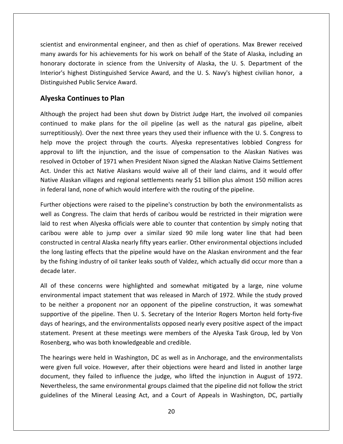and environmental engineer, and then as chief of operations. Max Brewer received and environmental engineer, and then as chief of operations. Max Brewer received<br>awards for his achievements for his work on behalf of the State of Alaska, including an nd environmental engineer, and then as chief of operations. Max Brewer received<br>rds for his achievements for his work on behalf of the State of Alaska, including an<br>doctorate in science from the University of Alaska, the U scientist<br>many aw<br>honorary ind environmental engineer, and then as chief of operations. Max Brewer received<br>ards for his achievements for his work on behalf of the State of Alaska, including an<br>doctorate in science from the University of Alaska, the Scientist and environmental engineer, and an<br>
many awards for his achievements for<br>
honorary doctorate in science from the<br>
Interior's highest Distinguished Service<br>
Distinguished Public Service Award. Indemokration and environmental engineer, and<br>
Sensists for his achievements for his<br>
doctorate in science from the<br>
highest Distinguished Service A<br>
hed Public Service Award.<br> **Continues to Plan** honorary doctorate in science from the University of Alaska, the U.S. Department of the<br>highest Distinguished Service Award, and the U.S. Navy's highest civilian honor, a<br>hed Public Service Award.<br>**Continues to Plan**<br>the project ha Interior's highest Distinguished Service Award, and the U.S. Navy's highest civilian honor, a ighest Distinguished Service Award, and the U.S. Navy's highest civilian honor, a<br>ded Public Service Award.<br>**Ontinues to Plan**<br>ne project had been shut down by District Judge Hart, the involved oil companies<br>to make plans Distinguished Public Service Award.

#### **Alyeska Continues to Plan**

honorary and the contract of the contract of the contract of the contract of the contract of the contract of the contract of the contract of the contract of the contract of the contract of the contract of the contract of t

blic Service Award.<br> **nues to Plan**<br>
oject had been shut down by District Judge Hart, the involved oil companies<br>
ake plans for the oil pipeline (as well as the natural gas pipeline, albeit<br>
Over the next three vears they **Ska Continues to Plan**<br>ugh the project had been shut down by District Judge Hart, the involved oil companies<br>nued to make plans for the oil pipeline (as well as the natural gas pipeline, albeit<br>potitiously). Over the next **Continues to Plan**<br>the project had been shut down by District Judge Hart, the involved oil companies<br>i to make plans for the oil pipeline (as well as the natural gas pipeline, albeit<br>pusly). Over the next three years they Although the project had been shut down by District Judge Hart, the involved oil companies the project had been shut down by District Judge Hart, the involved oil companies<br>d to make plans for the oil pipeline (as well as the natural gas pipeline, albeit<br>ously). Over the next three years they used their influenc continued to make plans for the oil pipeline (as well as the natural gas pipeline, albeit Inder this act Native Alaskans would waive all of their land claims, and it would offer<br>Under this act Native Alaskans would waive all of their influence with the U.S. Congress to<br>nove the project through the courts. Alyes surreptitiously). Over the next three years they used their influence with the U.S. Congress to Alaskan villages and regional settlements nearly \$1 billion plus almost 150 million acres to<br>Alaskan Matives in Different project through the courts. Alyeska representatives lobbied Congress for<br>al to lift the injunction, implemiology). Over the next three years they used then immerited with the O. 3<br>help move the project through the courts. Alyeska representatives lobbied<br>approval to lift the injunction, and the issue of compensation to th I to lift the injunction, and the issue of compensation to the Alaskan Natives was<br>I in October of 1971 when President Nixon signed the Alaskan Native Claims Settlement<br>der this act Native Alaskans would waive all of their resolved in October of 1971 when President Nixon signed the Alaskan Native Claims Settlement ved in October of 1971 when President Nixon signed the Alaskan Native Claims Settlement<br>Under this act Native Alaskans would waive all of their land claims, and it would offer<br>ve Alaskan villages and regional settlements n Act. Under this act Native Alaskans would waive all of their land claims, and it would offer Under this act Native Alaskans would waive all of their land claims, and it would offer<br>ve Alaskan villages and regional settlements nearly \$1 billion plus almost 150 million acres<br>deral land, none of which would interfer Native Alaskan villages and regional settlements nearly \$1 billion plus almost 150 million acres in federal land, none of which would interfere with the routing of the pipeline.

laskan villages and regional settlements nearly \$1 billion plus almost 150 million acres<br>I land, none of which would interfere with the routing of the pipeline.<br>bbjections were raised to the pipeline's construction by both in come of which would interfere with the routing of the pipeline.<br>
ctions were raised to the pipeline's construction by both the environmentalists as<br>
gress. The claim that herds of caribou would be restricted in their mi Further objections were raised to the pipeline's construction by both the environmentalists as her objections were raised to the pipeline's construction by both the environmentalists as<br>as Congress. The claim that herds of caribou would be restricted in their migration were<br>to rest when Alyeska officials were able t well as Congress. The claim that herds of caribou would be restricted in their migration were Il as Congress. The claim that herds of caribou would be restricted in their migration were<br>If to rest when Alyeska officials were able to counter that contention by simply noting that<br>ibou were able to jump over a similar laid to rest when Alyeska officials were able to counter that contention by simply noting that caribou were able to jump over a similar sized 90 mile long water line that had been bou were able to jump over a similar sized 90 mile long water line that had been<br>structed in central Alaska nearly fifty years earlier. Other environmental objections included<br>long lasting effects that the pipeline would h constructed in central Alaska nearly fifty years earlier. Other environmental objections included central Alaska nearly fifty years earlier. Other environmental objections included<br>
i effects that the pipeline would have on the Alaskan environment and the fear<br>
ndustry of oil tanker leaks south of Valdez, which actuall the long lasting effects that the pipeline would have on the Alaskan environment and the fear I long lasting effects that the pipeline would have on the Alaskan environment and the fear<br>the fishing industry of oil tanker leaks south of Valdez, which actually did occur more than a<br>cade later.<br>of these concerns were by the fishing industry of oil tanker leaks south of Valdez, which actually did occur more than a decade later.

ng industry of oil tanker leaks south of Valdez, which actually did occur more than a<br>r.<br>e concerns were highlighted and somewhat mitigated by a large, nine volume<br>ntal impact statement that was released in March of 1972. de later.<br>
f these concerns were highlighted and somewhat mitigated by a large, nine volume<br>
onmental impact statement that was released in March of 1972. While the study proved<br>
e neither a proponent nor an opponent of th All of these concerns were highlighted and somewhat mitigated by a large, nine volume e concerns were highlighted and somewhat mitigated by a large, nine volume<br>tal impact statement that was released in March of 1972. While the study proved<br>er a proponent nor an opponent of the pipeline construction, it was environmental impact statement that was released in March of 1972. While the study proved environmental impact statement that was released in Mar<br>to be neither a proponent nor an opponent of the pipel<br>supportive of the pipeline. Then U. S. Secretary of the Int<br>days of hearings, and the environmentalists opposed e neither a proponent nor an opponent of the pipeline construction, it was somewhat<br>portive of the pipeline. Then U. S. Secretary of the Interior Rogers Morton held forty-five<br>of hearings, and the environmentalists opposed supp rtive of the pipeline. Then U. S. Secretary of the Interior Rogers Morton held forty-five<br>of hearings, and the environmentalists opposed nearly every positive aspect of the impact<br>nent. Present at these meetings were membe days of hearings, and the environmentalists opposed nearly every positive aspect of the impact Rosenberg, who was both knowledgeable and credible.

W<sub>(</sub> days of hearings, and the environmentalists opposed nearly every positive aspect of the impact<br>statement. Present at these meetings were members of the Alyeska Task Group, led by Von<br>Rosenberg, who was both knowledgeable a esent at these meetings were members of the Alyeska Task Group, led by Von<br>no was both knowledgeable and credible.<br>were held in Washington, DC as well as in Anchorage, and the environmentalists<br>Il voice. However, after the who was both knowledgeable and credible.<br>
gs were held in Washington, DC as well as in Anchorage, and the environmentalists<br>
full voice. However, after their objections were heard and listed in another large<br>
they failed t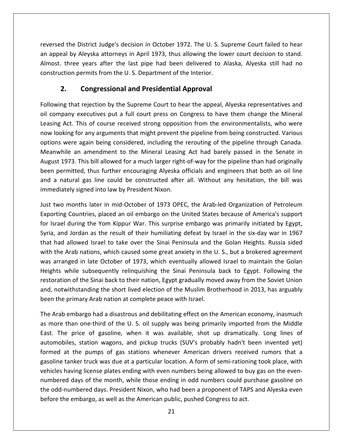the District Judge's decision in October 1972. The U. S. Supreme Court failed to hear reversed the District Judge's decision in October 1972. The U. S. Supreme Court failed to hear<br>The appeal by Aleyska attorneys in April 1973, thus allowing the lower court decision to stand. the District Judge's decision in October 1972. The U. S. Supreme Court failed to hear<br>I by Aleyska attorneys in April 1973, thus allowing the lower court decision to stand.<br>Three vears after the last pipe had been delivere permits from the District Judge's decision in October 1972. The U. S. Supermits from the Interior.<br>
2. The U. S. Department of the Interior.<br>
2. *Leon permits from the U. S. Department of the Interior.* **Congressional and Presidential Approval**<br> **Congressions:** Congression in October 1972. The U.S. Sulleyska attorneys in April 1973, thus allowing the low<br>
Permits from the U.S. Department of the Interior.<br> **Congressional a** an appeal by Aleyska attorneys in April 1973, thus allowing the lower court decision to stand. by Aleyska attorneys in April 1973, thus allowing the lower court decision to stand.<br>
Ince years after the last pipe had been delivered to Alaska, Alyeska still had no<br>
on permits from the U.S. Department of the Interior.<br> Almost. three years after the last pipe had been delivered to Alaska, Alyeska still had no most. three years after the last pipe had been delivered to Alaska, Alyeska still had no<br>struction permits from the U.S. Department of the Interior.<br>**2. Congressional and Presidential Approval**<br>lowing that rejection by the construction permits from the U.S. Department of the Interior.

## options

**Congressional and Presidential Approval<br>
Act. This of course received strong opposition from the environmentalists, who were<br>
Act. This of course received strong opposition from the environmentalists, who were 2. Congressional and Presidential Approval**<br>wing that rejection by the Supreme Court to hear the appeal, Alyeska representatives and<br>ompany executives put a full court press on Congress to have them change the Mineral<br>ng **2. Congressional and Presidential Approval**<br>Following that rejection by the Supreme Court to hear the appeal, Alyeska representatives and<br>oil company executives put a full court press on Congress to have them change the M at rejection by the Supreme Court to hear the appeal, Alyeska representatives and<br>
'executives put a full court press on Congress to have them change the Mineral<br>
This of course received strong opposition from the environm oil company executives put a full court press on Congress to have them change the Mineral 19 that rejection by the supreme court to hear the uppear, *refereementes* and<br>pany executives put a full court press on Congress to have them change the Mineral<br>Act. This of course received strong opposition from the envi Leasing Act. This of course received strong opposition from the environmentalists, who were pear, becausing part and soart press on congress to have them enange the mini-tal<br>g Act. This of course received strong opposition from the environmentalists, who were<br>ooking for any arguments that might prevent the pipeli now looking for any arguments that might prevent the pipeline from being constructed. Various a natural gas line could be constructed after all. Without any hesitation, the bill was<br>an natural gas line considered, including the rerouting of the pipeline through Canada.<br>Any hile an amendment to the Mineral Leasing A ince is an interesting to tary arguments that ingit prevent to<br>options were again being considered, including the<br>Meanwhile an amendment to the Mineral Leasing<br>August 1973. This bill allowed for a much larger right<br>been pe Meanwhile an amendment to the Mineral Leasing Act had barely passed in the Senate in nwhile an amendment to the Mineral Leasing Act had barely passed in the Senate in<br>
1st 1973. This bill allowed for a much larger right-of-way for the pipeline than had originally<br>
1 permitted, thus further encouraging Alye August 1973. This bill allowed for a much larger right-of-way for the pipeline than had originally 73. This bill allowed for a much larger right-of-way for the pipeline than had originally<br>nitted, thus further encouraging Alyeska officials and engineers that both an oil line<br>ural gas line could be constructed after all. been permitted, thus further encouraging Alyeska officials and engineers that both an oil line been permitted, thus further encouraging Alyeska officials and engineers that both an oil line<br>and a natural gas line could be constructed after all. Without any hesitation, the bill was<br>immediately signed into law by Pres immediately signed into law by President Nixon.

natural gas line could be constructed after all. Without any hesitation, the bill was<br>diately signed into law by President Nixon.<br>wo months later in mid-October of 1973 OPEC, the Arab-led Organization of Petroleum<br>ing Coun ediately signed into law by President Nixon.<br>two months later in mid-October of 1973 OPEC, the Arab-led Organization of Petroleum<br>rting Countries, placed an oil embargo on the United States because of America's support<br>rra Just two months later in mid-October of 1973 OPEC, the Arab-led Organization of Petroleum two months later in mid-October of 1973 OPEC, the Arab-led Organization of Petroleum<br>rting Countries, placed an oil embargo on the United States because of America's support<br>rael during the Yom Kippur War. This surprise em Exporting Countries, placed an oil embargo on the United States because of America's support arranged in late October of 1973, which eventually allowed Israel to maintain the Golan<br>arranged in late October War. This surprise embargo was primarily initiated by Egypt,<br>and Jordan as the result of their humiliating de ="port"<br>c I during the Yom Kippur War. This surprise embargo was primarily initiated by Egypt,<br>d Jordan as the result of their humiliating defeat by Israel in the six-day war in 1967<br>allowed Israel to take over the Sinai Peninsula a ror isiaci a ordan as the result of their humiliating defeat by Israel in the six-day war in 1967<br>owed Israel to take over the Sinai Peninsula and the Golan Heights. Russia sided<br>ab nations, which caused some great anxiety in the U.S., Syria, and Jordan as the result of their humiliating defeat by Israel in the six-day war in 1967<br>that had allowed Israel to take over the Sinai Peninsula and the Golan Heights. Russia sided not allowed Israel to take over the Sinai Peninsula and the Golan Heights. Russia sided<br>the Arab nations, which caused some great anxiety in the U. S., but a brokered agreement<br>arranged in late October of 1973, which event with the Arab nations, which caused some great anxiety in the U.S., but a brokered agreement that had ahowed israel to take over the sinal reminsata and the<br>with the Arab nations, which caused some great anxiety in the U<br>was arranged in late October of 1973, which eventually allowe<br>Heights while subsequently relin arranged in late October of 1973, which eventually allowed Israel to maintain the Golan<br>hts while subsequently relinquishing the Sinai Peninsula back to Egypt. Following the<br>pration of the Sinai back to their nation, Egypt H ights while subsequently relinquishing the Sinai Peninsula back to Egypt. Following the<br>toration of the Sinai back to their nation, Egypt gradually moved away from the Soviet Union<br>d, notwithstanding the short lived electi restc and, notwith been the primary Arab nation at complete peace with Israel.

gasoline tanker truck was due at a particular location. A form of semi-rationing took place, with ation of the Sinai back to their nation, Egypt gradually moved away from the Soviet Union<br>otwithstanding the short lived election of the Muslim Brotherhood in 2013, has arguably<br>the primary Arab nation at complete peace wi tanding the short lived election of the Muslim Brotherhood in 2013, has arguably<br>ary Arab nation at complete peace with Israel.<br>argo had a disastrous and debilitating effect on the American economy, inasmuch<br>one-third of t exprimary Arab nation at complete peace with Israel.<br>
Dembargo had a disastrous and debilitating effect on the American economy, inasmuch<br>
than one-third of the U.S. oil supply was being primarily imported from the Middle<br>  $\overline{z}$ embargo had a disastrous and debilitating effect on the American economy, inasmuch<br>than one-third of the U. S. oil supply was being primarily imported from the Middle<br>e price of gasoline, when it was available, shot up dra as more than one-third of the U.S. oil supply was being primarily imported from the Middle having the many of the U.S. oil supply was being primarily imported from the Middle East. The price of gasoline, when it was available, shot up dramatically. Long lines of automobiles, station wagons, and pickup trucks (SU an one time of the of the month, whis semigraphical form the middle<br>price of gasoline, when it was available, shot up dramatically. Long lines of<br>is, station wagons, and pickup trucks (SUV's probably hadn't been invented y East. The price of gasoline, when it was available, shot up dramatically. Long lines of automobiles, station wagons, and pickup trucks (SUV's probably hadn't been invented yet) of the price of gasonic, when it was available, shot ap aramatically. Eding intes of a simple shown<br>obiles, station wagons, and pickup trucks (SUV's probably hadn't been invented yet)<br>ned at the pumps of gas stations whene beformed at the pumps of gas stations whenever American drivers received reasoline tanker truck was due at a particular location. A form of semi-rationing to vehicles having license plates ending with even numbers being al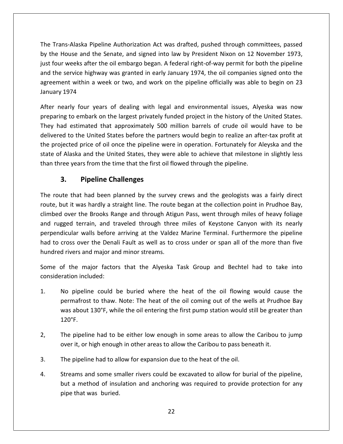Trans-Alaska Pipeline Authorization Act was drafted, pushed through committees, passed the House and the Senate, and signed into law by President Nixon on 12 November 1973.<br>The House and the Senate, and signed into law by President Nixon on 12 November 1973, Trans-Alaska Pipeline Authorization Act was drafted, pushed through committees, passed<br>he House and the Senate, and signed into law by President Nixon on 12 November 1973,<br>four weeks after the oil embargo began. A federal Trans-Alaska Pipeline Authorization Act was drafted, pushed through committees, passed<br>he House and the Senate, and signed into law by President Nixon on 12 November 1973,<br>four weeks after the oil embargo began. A federal Naska Pipeline Authorization Act was drafted, pushed through committees, passed<br>se and the Senate, and signed into law by President Nixon on 12 November 1973,<br>eeks after the oil embargo began. A federal right-of-way permit The Trans-Alaska Pipeline Authorization Act was drafted, pushed through committees, passed ns-Alaska Pipe<br>House and the<br>Tweeks after t<br>service highw<br>ent within a w<br>1974 by the House and the Senate, and signed into law by President Nixon on 12 November 1973, Exercise and the Senate, and signed into law by President Nixon on 12 November 1973,<br>ur weeks after the oil embargo began. A federal right-of-way permit for both the pipeline<br>ne service highway was granted in early January just four <mark>v</mark> just four weeks after the oil embargo began. A federal right-of-way permit for both the pipeline<br>and the service highway was granted in early January 1974, the oil companies signed onto the<br>agreement within a week or two, agreement within a week or two, and work on the pipeline officially was able to begin on 23 January 1974

had estrvice highway was granted in early January 1974, the oil companies signed onto the<br>ment within a week or two, and work on the pipeline officially was able to begin on 23<br>ry 1974<br>nearly four years of dealing with leg t within a week or two, and work on the pipeline officially was able to begin on 23<br>
174<br>
Irly four years of dealing with legal and environmental issues, Alyeska was now<br>
to embark on the largest privately funded project i uary 1974<br>
In the arriver of dealing with legal and environmental issues, Alyeska was now<br>
paring to embark on the largest privately funded project in the history of the United States.<br>
proved to the United States before t After nearly four years of dealing with legal and environmental issues, Alyeska was now nearly four years of dealing with legal and environmental issues, Alyeska was now<br>ring to embark on the largest privately funded project in the history of the United States.<br>had estimated that approximately 500 million bar preparing to embark on the largest privately funded project in the history of the United States. the time that the largest privately funded project in the history of the had estimated that approximately 500 million barrels of crude oil would be are the United States before the partners would begin to realize an aftero mbark on the largest privately t<br>
mated that approximately 500<br>
le United States before the par<br>
price of oil once the pipeline w<br>
and the United States, they w<br>
rs from the time that the first oi<br> **Pipeline Challenges** the projected price of oil once the pipeline were in operation. Fortunately for Aleyska and the projected price of oil once the pipeline were in operation. Fortunately for Aleyska and the<br>
en of Alaska and the United States, they were able to achieve that milestone in slightly less<br>
three years from the time that the Fital State of Alaska and the United States, they were able to achieve that milestone in slightly less<br>
than three years from the time that the first oil flowed through the pipeline.<br> **3.** Pipeline Challenges<br>
The route th

### $3<sub>r</sub>$

just

ee years from the time that the first oil flowed through the pipeline.<br> **Pipeline Challenges**<br>
The Sange and the survey crews and the geologists was a fairly direct<br>
In the share and through Atigun Pass, went through miles **3.** Pipeline Challenges<br>route that had been planned by the survey crews and the geologists was a fairly direct<br>e, but it was hardly a straight line. The route began at the collection point in Prudhoe Bay,<br>rugged over the **Pipeline Challenges**<br>
I had been planned by the survey crews and the geologists was a fairly direct<br>
as hardly a straight line. The route began at the collection point in Prudhoe Bay,<br>
he Brooks Range and through Atigun P The route that had been planned by the survey crews and the geologists was a fairly direct route that had been planned by the survey crews and the geologists was a fairly direct<br>e, but it was hardly a straight line. The route began at the collection point in Prudhoe Bay,<br>ped over the Brooks Range and through Ati me roade that had seen planned sy the sartey<br>route, but it was hardly a straight line. The route<br>climbed over the Brooks Range and through Atig<br>and rugged terrain, and traveled through three<br>perpendicular walls before arri d over the Brooks Range and through Atigun Pass, went through miles of heavy foliage<br>gged terrain, and traveled through three miles of Keystone Canyon with its nearly<br>dicular walls before arriving at the Valdez Marine Term and rugged terrain, and traveled through three miles of Keystone Canyon with its nearly perpendicular walls before arriving at the Valdez Marine Terminal. Furthermore the pipeline<br>had to cross over the Denali Fault as well as to cross under or span all of the more than five<br>hundred rivers and major and minor had to cross over the Denali Fault as well as to cross under or span all of the more than five No pipeline could be buried where the heat of the oil flowing would cause the<br>No pipeline could be buried where the heat of the oil flowing would cause the hundred rivers and major and minor streams.

major and minor streams.<br>
Sor factors that the Alyeska Task Group and Bechtel had to take into<br>
ded:<br>
Sould be buried where the heat of the oil flowing would cause the<br>
to thaw. Note: The heat of the oil coming out of the Some of the major factors that the Alyeska Task Group and Bechtel had to take into

- The major factors that the Alyeska Task Group and Bechtel had to take into<br>the included:<br>pipeline could be buried where the heat of the oil flowing would cause the<br>nafrost to thaw. Note: The heat of the oil coming out of t 1. No pipelin<br>permafrost<br>was about<br>120°F. No pipeline could be buried where the heat of the oil flowing would cause the<br>permafrost to thaw. Note: The heat of the oil coming out of the wells at Prudhoe Bay<br>was about 130°F, while the oil entering the first pump stat No pipeline could be buried where the heat of the oil flowing would cause the I. No pipeline could be buried where the heat of the oil flowing would cause<br>permafrost to thaw. Note: The heat of the oil coming out of the wells at Prudhoe<br>was about 130°F, while the oil entering the first pump station w Was about 130°F, while the oil entering the first pump station would st<br>120°F.<br>2, The pipeline had to be either low enough in some areas to allow the<br>over it, or high enough in other areas to allow the Caribou to pass bene
- Streams and some smaller rivers could be excavated to allow the Caribou to jump<br>over it, or high enough in other areas to allow the Caribou to pass beneath it.<br>The pipeline had to allow for expansion due to the heat of the pipeline had to be either low enough in some areas to allow the Caribou to jump<br>it, or high enough in other areas to allow the Caribou to pass beneath it.<br>pipeline had to allow for expansion due to the heat of the oil.<br>ams
- The pipeline had to allow for expansion due to the heat of the oil.
- over it, or high enough<br>The pipeline had to all<br>Streams and some sm<br>but a method of insu<br>pipe that was buried.  $\overline{4}$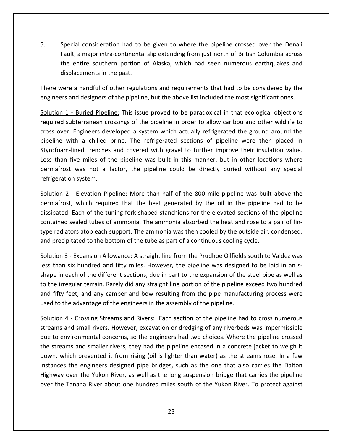Special consideration had to be given to where the pipeline crossed over the Denali a major intra-continental slip extending from just north of British Columbia across<br>a major intra-continental slip extending from just north of British Columbia across ential consideration had to be given to where the pipeline crossed over the Denali<br>
It, a major intra-continental slip extending from just north of British Columbia across<br>
entire southern portion of Alaska, which had seen 5. Special consideration had to I<br>Fault, a major intra-continenta<br>the entire southern portion<br>displacements in the past. Special consideration had to be given to where the pipeline crossed over the Denali<br>Fault, a major intra-continental slip extending from just north of British Columbia across<br>the entire southern portion of Alaska, which ha 5. Special consideration had to be given to where the pipeline crossed over the Denali 5. Special consideration had to be given to where the pipeline crossed over the Denali<br>Fault, a major intra-continental slip extending from just north of British Columbia across<br>the entire southern portion of Alaska, which 1 - Buried Pipeline: This issue proved to be paradoxical in that ecological objections<br>1 - Buried Pipeline: This issue proved to be paradoxical in that ecological objections required

the

splacements in the past.<br>
The a handful of other regulations and requirements that had to be considered by the<br>
Sand designers of the pipeline, but the above list included the most significant ones.<br>
1 - Buried Pipeline: T There were a handful of other regulations and requirements that had to be considered by the engineers and designers of the pipeline, but the above list included the most significant ones.

were a handful of other regulations and requirements that had to be considered by the<br>eers and designers of the pipeline, but the above list included the most significant ones.<br>On 1 - Buried Pipeline: This issue proved to re a handful of other regulations and requirements that had to be considered by the<br>
s and designers of the pipeline, but the above list included the most significant ones.<br>
1 - Buried Pipeline: This issue proved to be par engineers and designers of the pipeline, but the above list included the most significant ones.<br>
Solution 1 - Buried Pipeline: This issue proved to be paradoxical in that ecological objections<br>
required subterranean crossi ion 1 - Buried Pipeline: This issue proved to be paradoxical in that ecological objections<br>red subterranean crossings of the pipeline in order to allow caribou and other wildlife to<br>over. Engineers developed a system which  $\frac{501\alpha(1011)}{1}$ Externanean crossings of the pipeline in order to allow caribou and other wildlife to Engineers developed a system which actually refrigerated the ground around the h a chilled brine. The refrigerated sections of pipeline required bab.<br>cross over. Engineers developed a system which actually refrigerated the ground around the pipeline with a chilled brine. The refrigerated sections of pipeline were then placed in Styrofoam-lined trenches and covered with with a chilled brine. The refrigerated sections of pipeline were then placed in<br>m-lined trenches and covered with gravel to further improve their insulation value.<br>1 five miles of the pipeline was built in this manner, but Styrofoam-lined trenches and covered with gravel to further improve their insulation value. ined trenches and covered with gravel to further improve their insulation value.<br>
Ye miles of the pipeline was built in this manner, but in other locations where<br>
was not a factor, the pipeline could be directly buried wit Less than five miles of the pipeline was built in this manner, but in other locations where ive miles of the pipeline was built in this manner, but in other locations where<br>was not a factor, the pipeline could be directly buried without any special<br>n system.<br><u>- Elevation Pipeline</u>: More than half of the 800 mile permafrost was not a factor, the pipeline could be directly buried without any special

permafrost was not a factor, the pipeline could be directly buried without any special<br>refrigeration system.<br>Solution 2 - Elevation Pipeline: More than half of the 800 mile pipeline was built above the<br>permafrost, which re refrigeration system.<br>
Solution 2 - Elevation Pipeline: More than half of the 800 mile pipeline was built above the<br>
permafrost, which required that the heat generated by the oil in the pipeline had to be<br>
dissipated. Each Solution 2 - Elevation Pipeline: More than half of the 800 mile pipeline was built<br>permafrost, which required that the heat generated by the oil in the pipeline<br>dissipated. Each of the tuning-fork shaped stanchions for the bot, which required that the heat generated by the oil in the pipeline had to be<br>d. Each of the tuning-fork shaped stanchions for the elevated sections of the pipeline<br>d sealed tubes of ammonia. The ammonia absorbed the he dissipated. Each of the tuning-fork shaped stanchions for the elevated sections of the pipeline dissipated. Each of the tuning-fork shaped stanchions for the elevated sections of the pipeline<br>contained sealed tubes of ammonia. The ammonia absorbed the heat and rose to a pair of fin-<br>type radiators atop each support. ned sealed tubes of ammonia. The ammonia absorbed the heat and rose to a pair of fin-<br>idiators atop each support. The ammonia was then cooled by the outside air, condensed,<br>ecipitated to the bottom of the tube as part of a type radiators atop each support. The ammonia was then cooled by the outside air, condensed, and precipitated to the bottom of the tube as part of a continuous cooling cycle.

ie radiators atop each support. The ammonia was then cooled by the outside air, condensed,<br>d precipitated to the bottom of the tube as part of a continuous cooling cycle.<br>ution 3 - Expansion Allowance: A straight line from precipitated to the bottom of the tube as part of a continuous cooling cycle.<br>
<u>tion 3 - Expansion Allowance</u>: A straight line from the Prudhoe Oilfields south to Valdez was<br>
than six hundred and fifty miles. However, the Solution 3 - Expansion Allowance: A straight line from the Prudhoe Oilfields<br>less than six hundred and fifty miles. However, the pipeline was designee<br>shape in each of the different sections, due in part to the expansion o six hundred and fifty miles. However, the pipeline was designed to be laid in an s-<br>each of the different sections, due in part to the expansion of the steel pipe as well as<br>egular terrain. Rarely did any straight line por shape in each of the different sections, due in part to the expansion of the steel pipe as well as each of the different sections, due in part to the expansion of the steel pipe as well as<br>regular terrain. Rarely did any straight line portion of the pipeline exceed two hundred<br>feet, and any camber and bow resulting from to the irregular terrain. Rarely did any straight line portion of the pipeline exceed two hundred ie irregular terrain. Rarely did any straight line portion of the pipeline exceed two hundred<br>fifty feet, and any camber and bow resulting from the pipe manufacturing process were<br>to the advantage of the engineers in the a and fifty feet, and any camber and bow resulting from the pipe manufacturing process were used to the advantage of the engineers in the assembly of the pipeline.

down, which prevented it from rising (oil is lighter than water) as the streams rose. In a few<br>instances the engineers designed pipe bridges, such as the one that also carries the Dalton fifty feet, and any camber and bow resulting from the pipe manufacturing process were<br>d to the advantage of the engineers in the assembly of the pipeline.<br> $\frac{1}{100}$ <br>tion 4 - Crossing Streams and Rivers: Each section of of the advantage of the engineers in the assembly of the pipeline.<br>
In 4 - Crossing Streams and Rivers: Each section of the pipeline had to cross numerous<br>
s and small rivers. However, excavation or dredging of any riverbe Solution 4 - Crossing Streams and Rivers: Each section of the pipeline had to cross numerous - Crossing Streams and Rivers: Each section of the pipeline had to cross numerous<br>nd small rivers. However, excavation or dredging of any riverbeds was impermissible<br>vironmental concerns, so the engineers had two choices. streams and small rivers. However, excavation or dredging of any riverbeds was impermissible **Example 2018 In the Superior Conducts** and the Pipeline had to cross hamerous<br>and small rivers. However, excavation or dredging of any riverbeds was impermissible<br>nivironmental concerns, so the engineers had two choices. due to environmental concerns, so the engineers had two choices. Where the pipeline crossed the streams and smaller rivers, they had the pipeline encased in a concrete jacket to weigh it down, which prevented it from rising (oil is lighter than water) as the streams rose. In a few instances the engineers designed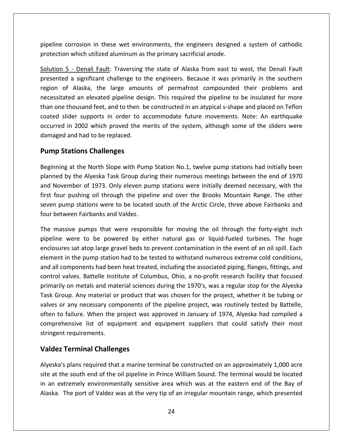corrosion in these wet environments, the engineers designed <sup>a</sup> system of cathodic which understand understanding and the pripeline corrosion in these wet environments, the engineers designed<br>interaction which utilized aluminum as the primary sacrificial anode. Superior in these wet environments, the engineers designed a system of cathodic<br>
1125 - Denali Fault: Traversing the state of Alaska from east to west, the Denali Fault Frosion in these wet environments, the engineers designed a system of cathodic<br>which utilized aluminum as the primary sacrificial anode.<br>The southern as ignificant challenge to the engineers. Because it was primarily in th pipeline corrosion in these wet environments, the engineers designed a system of cathodic protection which utilized aluminum as the primary sacrificial anode.

corrosion in these wet environments, the engineers designed a system of cathodic<br>on which utilized aluminum as the primary sacrificial anode.<br><u>5 - Denali Fault</u>: Traversing the state of Alaska from east to west, the Denali bath in these wet environments, the engineers designed a system of cathodic<br>
ich utilized aluminum as the primary sacrificial anode.<br>
<u>Denali Fault</u>: Traversing the state of Alaska from east to west, the Denali Fault<br>
sign iction which utilized aluminum as the primary sacrificial anode.<br>
<u>ion 5 - Denali Fault</u>: Traversing the state of Alaska from east to west, the Denali Fault<br>
ented a significant challenge to the engineers. Because it was p Solution 5 - Denali Fault: Traversing the state of Alaska from east to west, the Denali Fault <u>S - Denali Fault</u>: Traversing the state of Alaska from east to west, the Denali Fault<br>ed a significant challenge to the engineers. Because it was primarily in the southern<br>of Alaska, the large amounts of permafrost compou presented a significant challenge to the engineers. Because it was primarily in the southern I a significant challenge to the engineers. Because it was primarily in the southern f Alaska, the large amounts of permafrost compounded their problems and red an elevated pipeline design. This required the pipeline to be region of Alaska, the large amou<br>necessitated an elevated pipeline dest<br>than one thousand feet, and to then b<br>coated slider supports in order to a<br>occurred in 2002 which proved the r<br>damaged and had to be replaced. of Alaska, the large amoun<br>tated an elevated pipeline desi<br>e thousand feet, and to then be<br>slider supports in order to ad<br>d in 2002 which proved the m<br>ed and had to be replaced.<br>**Stations Challenges** coated slider supports in order to accommodate future movements. Note: An earthquake der supports in order to accommodate future movements. Note: An earthquake<br>
in 2002 which proved the merits of the system, although some of the sliders were<br>
ind had to be replaced.<br> **at the North Slope with Pump Station N** occurred in 2002 which proved the merits of the system, although some of the sliders were in 2002 which proved the merits of the system, although some of the sliders were<br>
and had to be replaced.<br> **tations Challenges**<br>
g at the North Slope with Pump Station No.1, twelve pump stations had initially been<br>
by the damaged and had to be replaced.

#### **Pump Stations Challenges**

aged and had to be replaced.<br> **np Stations Challenges**<br>
Inning at the North Slope with Pump Station No.1, twelve pump stations had initially been<br>
hed by the Alyeska Task Group during their numerous meetings between the en **p Stations Challenges**<br>Ining at the North Slope with Pump Station No.1, twelve pump stations had initially been<br>Ined by the Alyeska Task Group during their numerous meetings between the end of 1970<br>November of 1973. Only **Stations Challenges**<br>ing at the North Slope with Pump Station No.1, twelve pump stations had initially been<br>d by the Alyeska Task Group during their numerous meetings between the end of 1970<br>ovember of 1973. Only eleven p Beginning at the North Slope with Pum<sub>p</sub><br>planned by the Alyeska Task Group duri<br>and November of 1973. Only eleven pu<br>first four pushing oil through the pipel<br>seven pump stations were to be located<br>four between Fairbanks an ned by the Alyeska Task Group during their numerous meetings between the end of 1970<br>November of 1973. Only eleven pump stations were initially deemed necessary, with the<br>four pushing oil through the pipeline and over the and November of 1973. Only eleven pump stations were initially deemed necessary, with the ember of 1973. Only eleven pump stations were initially deemed necessary, with the<br>pushing oil through the pipeline and over the Brooks Mountain Range. The other<br>mp stations were to be located south of the Arctic Circle, t first four pushing oil through the pipeline and over the Brooks Mountain Range. The other ushing oil through the pipeline and over the Brooks Mountain Range. The other<br>p stations were to be located south of the Arctic Circle, three above Fairbanks and<br>en Fairbanks and Valdez.<br>re pumps that were responsible for seven pump stations were to be located south of the Arctic Circle, three above Fairbanks and

seven pump stations were to be located south of the Arctic Circle, three above Fairbanks and<br>four between Fairbanks and Valdez.<br>The massive pumps that were responsible for moving the oil through the forty-eight inch<br>pipeli between Fairbanks and Valdez.<br>
massive pumps that were responsible for moving the oil through the forty-eight inch<br>
line were to be powered by either natural gas or liquid-fueled turbines. The huge<br>
osures sat atop large g The massive pumps that were responsible for moving the oil through the forty-eight inch ssive pumps that were responsible for moving the oil through the forty-eight inch<br>were to be powered by either natural gas or liquid-fueled turbines. The huge<br>res sat atop large gravel beds to prevent contamination in the pipeline were to be powered by either natural gas or liquid-fueled turbines. The huge on example and were responsive for moring the on through the forty eight ment<br>were to be powered by either natural gas or liquid-fueled turbines. The huge<br>s sat atop large gravel beds to prevent contamination in the event enclosures sat atop large gravel beds to prevent contamination in the event of an oil spill. Each Figures sat atop large gravel beds to prevent contamination in the event of an oil spill. Each<br>ent in the pump station had to be tested to withstand numerous extreme cold conditions,<br>Ill components had been heat treated, i element in the pump station had to be tested to withstand numerous extreme cold conditions, element in the pump station had to be tested to withstand numerous extreme cold conditions,<br>and all components had been heat treated, including the associated piping, flanges, fittings, and<br>control valves. Battelle Institu If components had been heat treated, including the associated piping, flanges, fittings, and<br>I valves. Battelle Institute of Columbus, Ohio, a no-profit research facility that focused<br>rily on metals and material sciences d and all components had been heat treated, including the associated piping, flanges, fittings, and control valves. Battelle Institute of Columbus, Ohio, a no-profit research facility that focused list of equipment and equipment suppliers that could satisfy their most list of equipment and equipment suppliers that could satisfy their most list of equipment and equipment suppliers that could satisfy their most primarily on metals and material sciences during the 1970's, was a regular stop for the Alyeska primarily on metals and mat<br>Task Group. Any material or<br>valves or any necessary con<br>often to failure. When the<br>comprehensive list of equ<br>stringent requirements. If yon metals and material science<br>
up. Any material or product that<br> **Terminal Challenges**<br>
rensive list of equipment and<br> **Terminal Challenges** often to failure. When the project was approved in January of 1974, Alyeska had compiled a<br>comprehensive list of equipment and equipment suppliers that could satisfy their most<br>stringent requirements.<br>**Valdez Terminal Chal** comprehensive list of equipment and equipment suppliers that could satisfy their most prehensive list of equipment and equipment suppliers that could satisfy their most<br>gent requirements.<br>dez Terminal Challenges<br>ska's plans required that a marine terminal be constructed on an approximately 1,000 acre<br>at the stringent requirements.

Alveska's plans required that a marine terminal be constructed on an approximately 1,000 acre ingent requirements.<br> **Idez Terminal Challenges**<br>
reska's plans required that a marine terminal be constructed on an approximately 1,000 acre<br>
an extremely environmentally sensitive area which was at the eastern end of the **Terminal Challenges**<br>s plans required that a marine terminal be constructed on an approximately 1,000 acre<br>ne south end of the oil pipeline in Prince William Sound. The terminal would be located<br>tremely environmentally se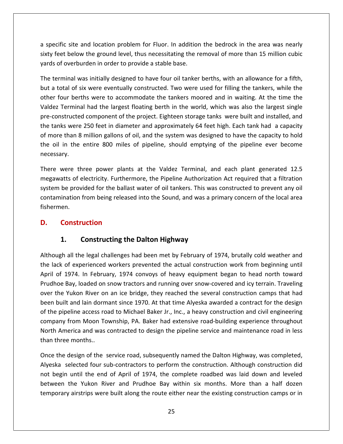specific site and location problem for Fluor. In addition the bedrock in the area was nearly Ferdicom the bedrock in the area was nearly<br>Feet below the ground level, thus necessitating the removal of more than 15 million cubic a specific site and location problem for Fluor. In addition<br>Sixty feet below the ground level, thus necessitating the re<br>Vards of overburden in order to provide a stable base. the specific site and location problem for Fluor. In addition the bedrock in the area was nearly<br>sixty feet below the ground level, thus necessitating the removal of more than 15 million cubic<br>yards of overburden in order ecific site and location problem for Fluor. In addition the bedrock in the area was nearly<br>
if the set below the ground level, thus necessitating the removal of more than 15 million cubic<br>
is of overburden in order to prov a specific site and location problem for Fluor. In addition the bedrock in the area was nearly sixty feet below the ground level, thus necessitating the removal of more than 15 million cubic yards of overburden in order to provide a stable base.

ific site and location problem for Fluor. In addition the bedrock in the area was nearly<br>eet below the ground level, thus necessitating the removal of more than 15 million cubic<br>of overburden in order to provide a stable b et below the ground level, thus necessitating the removal of more than 15 million cubic<br>f overburden in order to provide a stable base.<br>minal was initially designed to have four oil tanker berths, with an allowance for a f den in order to provide a stable base.<br>
s initially designed to have four oil tanker berths, with an allowance for a fifth,<br>
vere eventually constructed. Two were used for filling the tankers, while the<br>
s were to accommod The terminal was initially designed to have four oil tanker berths, with an allowance for a fifth, terminal was initially designed to have four oil tanker berths, with an allowance for a fifth,<br>a total of six were eventually constructed. Two were used for filling the tankers, while the<br>er four berths were to accommodate but a total of six were eventually constructed. Two were used for filling the tankers, while the It a total of six were eventually constructed. Two were used for filling the tankers, while the<br>her four berths were to accommodate the tankers moored and in waiting. At the time the<br>ldez Terminal had the largest floating other four berths were to accommodate the tankers moored and in waiting. At the time the of the entire structure of six were eventually constructed: The world and in waiting. At the time the ex Terminal had the largest floating berth in the world, which was also the largest single constructed component of the Valdez Terminal had the largest floating berth in the world, which was also the largest single pre-constructed component of the project. Eighteen storage tanks were built and installed, and<br>the tanks were 250 feet in diameter and approximately 64 feet high. Each tank had a capacity<br>of more than 8 million gallons of the tanks <mark>v</mark> ere 250 feet in diameter and approximately 64 feet high. Each tank had a capacity<br>in 8 million gallons of oil, and the system was designed to have the capacity to hold<br>the entire 800 miles of pipeline, should emptying of t of more than 8 million gallons of oil, and the system was designed to have the capacity to hold ethan 8 million gallons of oil, and the system was designed to have the capacity to hold<br>in the entire 800 miles of pipeline, should emptying of the pipeline ever become<br>ry.<br>were three power plants at the Valdez Terminal, the oil in the necessary.

entire 800 miles of pipeline, should emptying of the pipeline ever become<br>iree power plants at the Valdez Terminal, and each plant generated 12.5<br>electricity. Furthermore, the Pipeline Authorization Act required that a fil There were three power plants at the Valdez Terminal, and each plant generated 12.5 megawatts of electricity. Furthermore, the Pipeline Authorization Act required that a filtration system be provided for the ballast water were three power plants<br>atts of electricity. Furtherr<br>be provided for the ballas<br>ination from being release<br>en.<br>**Construction** megawatts of electricity. Furthermore, the Pipeline Authorization Act required that a filtration **Exercity** Eurthermore, the Pipeline Authorization ided for the ballast water of oil tankers. This was<br>from being released into the Sound, and was a proportion<br>**Constructing the Dalton Highway** fishermen. and the legal challenges had been met by February of 1974, brutally cold weather and<br>all the legal challenges had been met by February of 1974, brutally cold weather and

### D.

yards<br>Yardi yardi yardi yardi yardi yardi yardi yardi yardi yardi yardi yardi yardi yardi yardi yardi yardi yardi ya

**Construction**<br> **1.** Constructing the Dalton Highway<br>
ough all the legal challenges had been met by February of 1974, brutally cold weather and<br>
lack of experienced workers prevented the actual construction work from begin **1.** Constructing the Dalton Highway<br>ugh all the legal challenges had been met by February of 1974, brutally cold weather and<br>ck of experienced workers prevented the actual construction work from beginning until<br>of 1974. I **Constructing the Dalton Highway**<br>all the legal challenges had been met by February of 1974, brutally cold weather and<br>of experienced workers prevented the actual construction work from beginning until<br>1974. In February, 1 1. Constructing the Dalton Highway<br>ugh all the legal challenges had been met by February of 1974, brutally cold weather and<br>ack of experienced workers prevented the actual construction work from beginning until<br>of 1974. In Although all the legal challenges had been met by February of 1974, brutally cold weather and ugh all the legal challenges had been met by February of 1974, brutally cold weather and<br>ck of experienced workers prevented the actual construction work from beginning until<br>of 1974. In February, 1974 convoys of heavy equ the lack of experienced workers prevented the actual construction work from beginning until the pipeline access road to Michael Baker Jr., Inc., a heavy construction and civil engineering<br>the pipeline access road to Michael Baker Jr., Inc., a heavy covered and icy terrain. Traveling<br>er the Yukon River on an ice b company from Moon Township, PA. Baker had extensive road-building experience throughout company from Moon Township, PA. Baker had extensive road-building experience throughout company from Moon Township, PA. Baker had exte Prudhoe Bay, loaded on snow tractors and running over snow-covered and icy terrain. Traveling America and was contracted to design the pipeline service and maintenance road in less<br>America and will and lain dormant since 1970. At that time Alyeska awarded a contract for the design<br>pipeline access road to Michael Ba over the Yukon River on<br>been built and lain dorm<br>of the pipeline access ro<br>company from Moon To<br>North America and was<br>than three months.. been built and lain dormant since 1970. At that time Alyeska awarded a contract for the design<br>of the pipeline access road to Michael Baker Jr., Inc., a heavy construction and civil engineering<br>company from Moon Township, beline access road to Michael Baker Jr., Inc., a heavy construction and civil engineering<br>from Moon Township, PA. Baker had extensive road-building experience throughout<br>nerica and was contracted to design the pipeline ser company from Moon Township, PA. Baker had extensive road-building experience throughout pany from Moon Township, PA. Baker had extensive road-building experience throughout<br>th America and was contracted to design the pipeline service and maintenance road in less<br>three months..<br>e the design of the service road North America and was contracted to design the pipeline service and maintenance road in less than three months..

Once the design of the service road, subsequently named the Dalton Highway, was completed,<br>Alyeska selected four sub-contractors to perform the construction. Although construction did erica and was contracted to design the pipeline service and maintenance road in less<br>
Exercise the Service road, subsequently named the Dalton Highway, was completed,<br>
elected four sub-contractors to perform the constructi months..<br>esign of the service road, subsequently named the Dalton Highway, was completed,<br>lected four sub-contractors to perform the construction. Although construction did<br>until the end of April of 1974, the complete road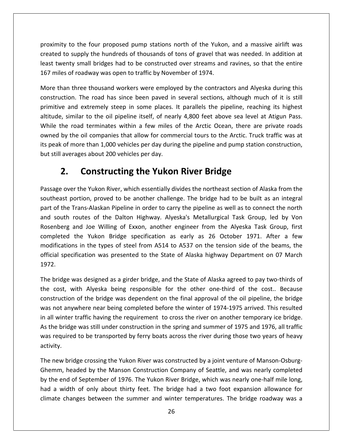to the four proposed pump stations north of the Yukon, and <sup>a</sup> massive airlift was to the four proposed pump stations north of the Yukon, and a massive airlift was<br>to supply the hundreds of thousands of tons of gravel that was needed. In addition at mity to the four proposed pump stations north of the Yukon, and a massive airlift was<br>to supply the hundreds of thousands of tons of gravel that was needed. In addition at<br>twenty small bridges had to be constructed over st proximity to the four proposed pump stations north of the Yukor<br>created to supply the hundreds of thousands of tons of gravel that<br>least twenty small bridges had to be constructed over streams and<br>167 miles of roadway was hity to the four proposed pump stations north of the Yukon, and a massive airlift was<br>d to supply the hundreds of thousands of tons of gravel that was needed. In addition at<br>wenty small bridges had to be constructed over s proximity to the four proposed pump stations north of the Yukon, and a massive airlift was the four proposed pump stations north of the Yukon, and a massive airlift was<br>pply the hundreds of thousands of tons of gravel that was needed. In addition at<br>mall bridges had to be constructed over streams and ravines, so created to supply the hundreds of thousands of tons of gravel that was needed. In addition at If y supply the hundreds of thousands of tons of gravel that was needed. In addition at<br>hty small bridges had to be constructed over streams and ravines, so that the entire<br>of roadway was open to traffic by November of 197 least twenty small bridges had to be constructed over streams and ravines, so that the entire

least twenty small bridges had to be constructed over streams and ravines, so that the entire<br>167 miles of roadway was open to traffic by November of 1974.<br>More than three thousand workers were employed by the contractors les of roadway was open to traffic by November of 1974.<br>
han three thousand workers were employed by the contractors and Alyeska during this<br>
uction. The road has since been paved in several sections, although much of it i More than three thousand workers were employed by the contractors and Alyeska during this hy the contractors and Alyeska during this<br>ction. The road has since been paved in several sections, although much of it is still<br>re and extremely steep in some places. It parallels the pipeline, reaching its highest<br>i, si construction. The road has since been paved in several sections, although much of it is still more than three thousand workers were employed by the contractors and rives during this<br>construction. The road has since been paved in several sections, although much of it is still<br>primitive and extremely steep in some pl is truction. The road has since been paved in<br>sitruction. The road has since been paved in<br>itive and extremely steep in some places.<br>ude, similar to the oil pipeline itself, of neal<br>le the road terminates within a few mile The road has since been paved in several sections, although much extremely steep in some places. It parallels the pipeline, reaching ir to the oil pipeline itself, of nearly 4,800 feet above sea level at d terminates withi owned by the oil companies that allow for commercial tours to the Arctic. Truck traffic was at over the Oil companies that allow for commercial tours to the Arctic. Truck traffic was at<br>of more than 1,000 vehicles per day during the pipeline and pump station construction,<br>averages about 200 vehicles per day.<br>**2. Con** its peak of more than 1,000 vehicles per day during the pipeline and pump station construction, but still averages about 200 vehicles per day.

## $2.$

least

more than 1,000 vehicles per day during the pipeline and pump station construction,<br>erages about 200 vehicles per day.<br>**Constructing the Yukon River Bridge**<br>er the Yukon River, which essentially divides the northeast secti **2. Constructing the Yukon River Bridge<br>2. Constructing the Yukon River Bridge**<br>age over the Yukon River, which essentially divides the northeast section of Alaska from the<br>neast portion, proved to be another challenge. Th **2. Constructing the Yukon River Bridge**<br>spe over the Yukon River, which essentially divides the northeast section of Alaska from the<br>neast portion, proved to be another challenge. The bridge had to be built as an integral **LOITSLI UCLITIB LITE TURDIT KIVET BITUBE**<br>and Yukon River, which essentially divides the northeast section of Alaska from the<br>ortion, proved to be another challenge. The bridge had to be built as an integral<br>Trans-Alaskan Passage over the Yukon River, which essentially divides the northeast section of Alaska from the r the Yukon River, which essentially divides the northeast section of Alaska from the<br>ortion, proved to be another challenge. The bridge had to be built as an integral<br>rans-Alaskan Pipeline in order to carry the pipeline a southeast portion, proved to be another challenge. The bridge had to be built as an integral Ition, proved to be another challenge. The bridge had to be built as an integral<br>Ins-Alaskan Pipeline in order to carry the pipeline as well as to connect the north<br>Intes of the Dalton Highway. Alyeska's Metallurgical Task part of the Trans-Alaskan Pipeline in order to carry the pipeline as well as to connect the north set portion, proved to be another entancinge. The bridge had to be bank as an integral<br>the Trans-Alaskan Pipeline in order to carry the pipeline as well as to connect the north<br>uth routes of the Dalton Highway. Alyeska's M and south routes of the Dalton Highway. Alyeska's Metallurgical Task Group, led by Von Rosenberg<br>completec<br>modificati<br>official spo<br>1972. enberg and Joe Willing of Exxon, another engineer from the Alyeska Task Group, first<br>pleted the Yukon Bridge specification as early as 26 October 1971. After a few<br>lifications in the types of steel from A514 to A537 on the completed the Yukon Bridge specification as early as 26 October 1971. After a few oleted the Yukon Bridge specification as early as 26 October 1971. After a few<br>ifications in the types of steel from A514 to A537 on the tension side of the beams, the<br>al specification was presented to the State of Alaska modifications in the types of steel from A514 to A537 on the tension side of the beams, the is in the types of steel from A514 to A537 on the tension side of the beams, the<br>ication was presented to the State of Alaska highway Department on 07 March<br>as designed as a girder bridge, and the State of Alaska agreed to offiq 1972.

ial specification was presented to the State of Alaska highway Department on 07 March<br>2.<br>bridge was designed as a girder bridge, and the State of Alaska agreed to pay two-thirds of<br>cost, with Alyeska being responsible for 1972.<br>The bridge was designed as a girder bridge, and the State of Alaska agreed to pay two-thirds of<br>the cost, with Alyeska being responsible for the other one-third of the cost.. Because<br>construction of the bridge was de the bridge was designed as a girder bridge, and the State of Alaska agreed to pay two-thirds of<br>
the cost, with Alyeska being responsible for the other one-third of the cost.. Because<br>
instruction of the bridge was depende The bridge was designed as a girder bridge, and the State of Alaska agreed to pay two-thirds of the cost, with Alyeska being responsible for the other one-third of the cost.. Because range was acsigned as a ginaci single, and the state of Amaska agreed to pay two times of<br>cost, with Alyeska being responsible for the other one-third of the cost.. Because<br>truction of the bridge was dependent on the final construction of the bridge was dependent on the final approval of the oil pipeline, the bridge was not anywhere near being completed before the winter of 1974-1975 arrived. This resulted<br>in all winter traffic having the requirement to cross the river on another temporary ice bridge.<br>As the bridge was still under con ter traffic having the requirement to cross the river on another temporary ice bridge.<br>Idge was still under construction in the spring and summer of 1975 and 1976, all traffic<br>ired to be transported by ferry boats across t As the bridge was still under construction in the spring and summer of 1975 and 1976, all traffic activity.

on As the bridge was still under construction in the spring and summer of 1975 and 1976, all traffic<br>was required to be transported by ferry boats across the river during those two years of heavy<br>activity.<br>The new bridge cros required to be transported by ferry boats across the river during those two years of heavy<br>ity.<br>new bridge crossing the Yukon River was constructed by a joint venture of Manson-Osburg-<br>nm, headed by the Manson Construction r bridge crossing the Yukon River was constructed by a joint venture of Manson-Osburg-<br>headed by the Manson Construction Company of Seattle, and was nearly completed<br>nd of September of 1976. The Yukon River Bridge, which w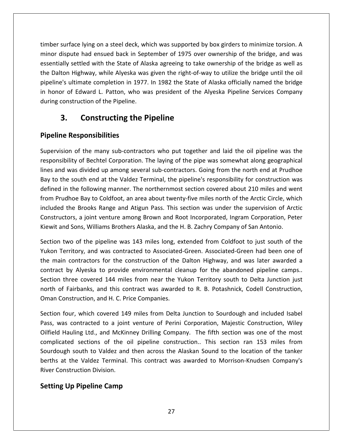surface lying on <sup>a</sup> steel deck, which was supported by box girders to minimize torsion. <sup>A</sup> surface lying on a steel deck, which was supported by box girders to minimize torsion. A<br>dispute had ensued back in September of 1975 over ownership of the bridge, and was ace lying on a steel deck, which was supported by box girders to minimize torsion. A<br>ute had ensued back in September of 1975 over ownership of the bridge, and was<br>settled with the State of Alaska agreeing to take ownershi ber surface lying on a steel deck, which was supported by box girders to minimize torsion. A<br>or dispute had ensued back in September of 1975 over ownership of the bridge, and was<br>intially settled with the State of Alaska a essentially settled with the State of Alaska agreeing to take ownership of the bridge as well as<br>the Dalton Highway, while Alyeska was given the right-of-way to utilize the bridge until the oil<br>pipeline's ultimate completi face lying on a steel deck, which was supported by box girders to minimize torsion. A<br>pute had ensued back in September of 1975 over ownership of the bridge, and was<br>r settled with the State of Alaska agreeing to take owne timber surface lying on a steel deck, which was supported by box girders to minimize torsion. A hoer surface lying on a steel deck, which was supported by box girders to minimize torsion. A<br>nor dispute had ensued back in September of 1975 over ownership of the bridge, and was<br>entially settled with the State of Alaska minor dispute had ensued back in September of 1975 over ownership of the bridge, and was in honor of Edward L. Patton, who was president of the Alyeska Pipeline Services Company Iying on a steel deck, which was supported by<br>
had ensued back in September of 1975 over<br>
led with the State of Alaska agreeing to take<br>
hway, while Alyeska was given the right-of-wa<br>
nate completion in 1977. In 1982 the S the Dalton Highway, while Alyeska was given the right-of-way to utilize the bridge until the oil I Highway, while Alyeska w<br>ultimate completion in 197<br>of Edward L. Patton, who<br>istruction of the Pipeline.<br>**Constructing the**<br>Responsibilities during construction of the Pipeline. ruction of the Pipeline.<br> **Constructing the Pipeline**<br> **Exponsibilities**<br>
of the many sub-contractors who put together and laid the oil pipeline was the

### **Pipeline Responsibilities**

essentially

**Constructing the Pipeline**<br> **Subsemisted Considersity**<br>
Figures the many sub-contractors who put together and laid the oil pipeline was the<br>
pof Bechtel Corporation. The laving of the pipe was somewhat along geographical **3. Constructing the Pipeline**<br> **line Responsibilities**<br>
rvision of the many sub-contractors who put together and laid the oil pipeline was the<br>
northility of Bechtel Corporation. The laying of the pipe was somewhat along **Example 18 Assumes South Exercises**<br>The south end at the many sub-contractors who put together and laid the oil pipeline was the<br>Insibility of Bechtel Corporation. The laying of the pipe was somewhat along geographical<br>Th **e Responsibilities**<br>ion of the many sub-contractors who put together and laid the oil pipeline was the<br>bility of Bechtel Corporation. The laying of the pipe was somewhat along geographical<br>d was divided up among several s Supervision of the many sub-contractors who put together and laid the oil pipeline was the riation of the many sub-contractors who put together and laid the oil pipeline was the<br>msibility of Bechtel Corporation. The laying of the pipe was somewhat along geographical<br>and was divided up among several sub-contracto responsibility of Bechtel Corporation. The laying of the pipe was somewhat along geographical of of the many said contractors thro pat together and the on pipeline was the<br>illity of Bechtel Corporation. The laying of the pipe was somewhat along geographical<br>was divided up among several sub-contractors. Going from t lines and was divided up among several sub-contractors. Going from the north end at Prudhoe a joint venture among several sub-contractors. Going from the north end at Prudhoe<br>th end at the Valdez Terminal, the pipeline's responsibility for construction was<br>following manner. The northernmost section covered about Bay to the south end at the Valdez Terminal, the pipeline's responsibility for construction was and was arriace ap among several sas contractors. Comg nome the Hoth chalat Traan<br>Bay to the south end at the Valdez Terminal, the pipeline's responsibility for construction w<br>defined in the following manner. The northernm in the following manner. The northernmost section covered about 210 miles and went<br>udhoe Bay to Coldfoot, an area about twenty-five miles north of the Arctic Circle, which<br>I the Brooks Range and Atigun Pass. This section w from F rudhoe Bay to Coldfoot, an area about twenty-five miles north of the Arctic Circle, which<br>d the Brooks Range and Atigun Pass. This section was under the supervision of Arctic<br>uctors, a joint venture among Brown and Root In included the Brooks Range and Atigun Pass. This section was under the supervision of Arctic Constructors, a joint venture among Brown and Root Incorporated, Ingram Corporation, Peter

ided the Brooks Range and Atigun Pass. This section was under the supervision of Arctic<br>structors, a joint venture among Brown and Root Incorporated, Ingram Corporation, Peter<br>vit and Sons, Williams Brothers Alaska, and th Constructors, a joint venture among Brown and Root Incorporated, Ingram Corporation, Peter<br>Kiewit and Sons, Williams Brothers Alaska, and the H. B. Zachry Company of San Antonio.<br>Section two of the pipeline was 143 miles l nd Sons, Williams Brothers Alaska, and the H. B. Zachry Company of San Antonio.<br>two of the pipeline was 143 miles long, extended from Coldfoot to just south of the<br>erritory, and was contracted to Associated-Green. Associat Section two of the pipeline was 143 miles long, extended from Coldfoot to just south of the Section two of the pipeline was 143 miles long, extended from Coldfoot to just south of the Yukon Territory, and was contracted to Associated-Green. Associated-Green had been one of the main contractors for the constructio Yukon Territory, and was contracted to Associated-Green. Associated-Green had been one of<br>the main contractors for the construction of the Dalton Highway, and was later awarded a n contractors for the construction of the Dalton Highway, and was later awarded a<br>thy Alyeska to provide environmental cleanup for the abandoned pipeline camps..<br>three covered 144 miles from near the Yukon Territory south contract by Alyeska to provide environmental cleanup for the abandoned pipeline camps.. act by Alyeska to provide environmental cleanup for the abandoned pipeline camps..<br>
n three covered 144 miles from near the Yukon Territory south to Delta Junction just<br>
of Fairbanks, and this contract was awarded to R. B. Section three covered 144 miles from near the Yukon Territory south to Delta Junction just north of Fairbanks, and this contract was awarded to R. B. Potashnick, Codell Construction, Oman Construction, and H. C. Price Companies.

berths at the Valdez Terminal. This contract was awarded to Morrison-Knudsen Company's three covered 144 miles from near the Yukon Territory south to Delta Junction just<br>f Fairbanks, and this contract was awarded to R. B. Potashnick, Codell Construction,<br>onstruction, and H. C. Price Companies.<br>four, which co banks, and this contract was awarded to R. B. Potashnick, Codell Construction,<br>uction, and H. C. Price Companies.<br>which covered 149 miles from Delta Junction to Sourdough and included Isabel<br>ntracted to a joint venture of r, which covered 149 miles from Delta Junction to Sourdough and included Isabel<br>r, which covered 149 miles from Delta Junction to Sourdough and included Isabel<br>ontracted to a joint venture of Perini Corporation, Majestic C Section four, which covered 149 miles from Delta Junction to Sourdough and included Isabel four, which covered 149 miles from Delta Junction to Sourdough and included Isabel<br>vas contracted to a joint venture of Perini Corporation, Majestic Construction, Wiley<br>Hauling Ltd., and McKinney Drilling Company. The fift Pass, was contracted to a joint venture of Perini Corporation, Majestic Construction, Wiley Pass, was contracted to a join<br>Oilfield Hauling Ltd., and McKir<br>complicated sections of the courdough south to Valdez and<br>berths at the Valdez Terminal.<br>River Construction Division. s contracted to a joint<br>**Iauling Ltd., and McKinr**<br>ted sections of the oi<br>gh south to Valdez and<br>t the Valdez Terminal.<br>Istruction Division.<br>**Up Pipeline Camp**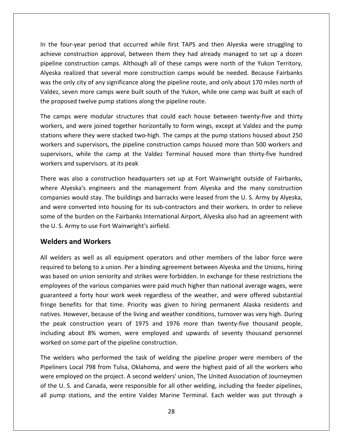the four-year period that occurred while first TAPS and then Alyeska were struggling to our-year period that occurred while first TAPS and then Alyeska were struggling to<br>construction approval, between them they had already managed to set up a dozen In the four-year period that occurred while first TAPS and then Alyeska were struggling to<br>achieve construction approval, between them they had already managed to set up a dozen<br>pipeline construction camps. Although all of our-year period that occurred while first TAPS and then Alyeska were struggling to<br>construction approval, between them they had already managed to set up a dozen<br>construction camps. Although all of these camps were north o the four-year period that occurred while first TAPS and then Alyeska were struggling to<br>the construction approval, between them they had already managed to set up a dozen<br>line construction camps. Although all of these camp In the four-year period that occurred while first TAPS and then Alyeska were struggling to Four-year period that occurred while first TAPS and then Alyeska were struggling to construction approval, between them they had already managed to set up a dozen construction camps. Although all of these camps were north achieve construction approval, between them they had already managed to set up a dozen m the roar year period that secarred while like the stations<br>achieve construction approval, between them they had already<br>pipeline construction camps. Although all of these camps were<br>Alyeska realized that several more con line construction camps. Although all of these camps were north of the Yukon Territory,<br>ska realized that several more construction camps would be needed. Because Fairbanks<br>the only city of any significance along the pipel Alyeska realized that several more construction camps would be needed. Because Fairbanks ealized that several more construction camps would be needed. Because Fairbanks<br>hly city of any significance along the pipeline route, and only about 170 miles north of<br>even more camps were built south of the Yukon, while was the only city of any significance along the pipeline route, and only about 170 miles north of only city of any significance along the pipeline route, and only about 170 miles north of<br>seven more camps were built south of the Yukon, while one camp was built at each of<br>osed twelve pump stations along the pipeline rou Valdez, seven more camps were built south of the Yukon, while one camp was built at each of the proposed twelve pump stations along the pipeline route.

even more camps were built south of the Yukon, while one camp was built at each of<br>osed twelve pump stations along the pipeline route.<br>ps were modular structures that could each house between twenty-five and thirty<br>and wer I twelve pump stations along the pipeline route.<br>
vere modular structures that could each house between twenty-five and thirty<br>
were joined together horizontally to form wings, except at Valdez and the pump<br>
re they were s The camps were modular structures that could each house between twenty-five and thirty ips were modular structures that<br>and were joined together horizont<br>where they were stacked two-high.<br>and supervisors, the pipeline const<br>ors, while the camp at the Valde.<br>and supervisors, at its peak workers, and were joined together horizontally to form wings, except at Valdez and the pump workers, and were joined together horizontally to form wings, except at Valdez and the pump<br>stations where they were stacked two-high. The camps at the pump stations housed about 250<br>workers and supervisors, the pipeline c is where they were stacked two-high. The camps at the pump stations housed about 250<br>
s and supervisors, the pipeline construction camps housed more than 500 workers and<br>
sors, while the camp at the Valdez Terminal housed workers and supervisors, the pipeline construction camps housed more than 500 workers and workers and supervisors. at its peak

supervisors, while the camp at the Valdez Terminal housed more than thirty-five hundred<br>workers and supervisors. at its peak<br>There was also a construction headquarters set up at Fort Wainwright outside of Fairbanks,<br>where rvisors, while the camp at the Valdez Terminal housed more than thirty-five hundred<br>kers and supervisors. at its peak<br>e was also a construction headquarters set up at Fort Wainwright outside of Fairbanks,<br>re Alyeska's engi rs and supervisors. at its peak<br>was also a construction headquarters set up at Fort Wainwright outside of Fairbanks,<br>Alyeska's engineers and the management from Alyeska and the many construction<br>panies would stay. The buil There was also a construction headquarters set up at Fort Wainwright outside of Fairbanks, where Alyeska's engineers and the management from Alyeska and the many construction also a construction he<br>eska's engineers and t<br> **Would stay. The buildir<br>
converted into housing<br>
re burden on the Fairbar<br>
rmy to use Fort Wainwr<br>
and Workers** and were converted into housing for its sub-contractors and their workers. In order to relieve were converted into housing for its sub-contractors and their workers. In order to relieve<br>ne of the burden on the Fairbanks International Airport, Alyeska also had an agreement with<br>U.S. Army to use Fort Wainwright's airf some of the burden on the Fairbanks International Airport, Alyeska also had an agreement with the burden on the Fairbanks International Airport, Alyeska also had an agreement with<br>Army to use Fort Wainwright's airfield.<br> **S and Workers**<br>
In a sall and union and the Unions, hiring the Unions, hiring<br>
to belong to a the U.S. Army to use Fort Wainwright's airfield.

#### Welders and Workers

pipeline (pipeline)<br>pipeline (pipeline (pipeline (pipeline (pipeline (pipeline (pipeline (pipeline (pipeline (pipeline (pipeline (

J. S. Army to use Fort Wainwright's airfield.<br> **Society and Workers**<br>
Welders as well as all equipment operators and other members of the labor force were<br>
ired to belong to a union. Per a binding agreement between Alyeska as well as all equipment operators and other members of the labor force were<br>belong to a union. Per a binding agreement between Alyeska and the Unions, hiring<br>on union seniority and strikes were forbidden. In exchange for **nd Workers**<br>as well as all equipment operators and other members of the labor force were<br>pelong to a union. Per a binding agreement between Alyeska and the Unions, hiring<br>n union seniority and strikes were forbidden. In e All welders as well as all equipment operators and other members of the labor force were ders as well as all equipment operators and other members of the labor force were<br>ed to belong to a union. Per a binding agreement between Alyeska and the Unions, hiring<br>sed on union seniority and strikes were forbidden. I required to belong to a union. Per a binding agreement between Alyeska and the Unions, hiring However, as an equipment operators and other members of the labor force were<br>to belong to a union. Per a binding agreement between Alyeska and the Unions, hiring<br>ed on union seniority and strikes were forbidden. In exchang was based on union seniority and strikes were forbidden. In exchange for these restrictions the peak construction years of the variants and strikes were forbidden. In exchange for these restrictions the loyees of the various companies were paid much higher than national average wages, were anteed a forty hour work we employees of the various companies were paid much higher than national average wages, were about 8% women, were employed and upwards of seventy thousand persons the softhe various companies were paid much higher than national average wages, were d a forty hour work week regardless of the weather, and were offere guaranteed a forty hour work week regardless of the weather, and were offered substantial guaranteed a forty hour work week regardless of the<br>fringe benefits for that time. Priority was given to<br>natives. However, because of the living and weather co<br>the peak construction years of 1975 and 1976 me<br>including abou e benefits for that time. Priority was given to hiring permanent Alaska residents and<br>res. However, because of the living and weather conditions, turnover was very high. During<br>peak construction years of 1975 and 1976 more natives. H by wever, because of the living and weather conditions, turnover was very high. During<br>construction years of 1975 and 1976 more than twenty-five thousand people,<br>about 8% women, were employed and upwards of seventy thousan the peak construction years of 1975 and 1976 more than twenty-five thousand people, including about 8% women, were employed and upwards of seventy thousand personnel

The welders who performed the task of welding the pipeline proper were members of the eak construction years of 1975 and 1976 more than twenty-five thousand people,<br>ling about 8% women, were employed and upwards of seventy thousand personnel<br>ed on some part of the pipeline construction.<br>welders who performe including about 8% women, were employed and upwards of seventy thousand personnel<br>worked on some part of the pipeline construction.<br>The welders who performed the task of welding the pipeline proper were members of the<br>Pipe rked on some part of the pipeline construction.<br>
1. welders who performed the task of welding the pipeline proper were members of the<br>
eliners Local 798 from Tulsa, Oklahoma, and were the highest paid of all the workers wh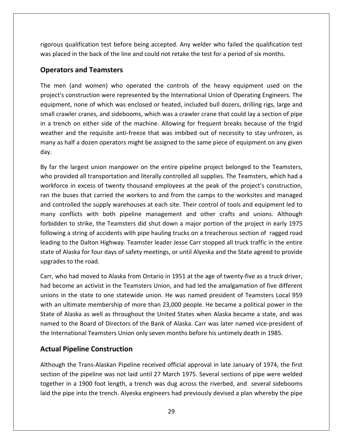qualification test before being accepted. Any welder who failed the qualification test place the back of the back of the line and could not retake the test for a period of six months.<br> **Example 2014**<br> **Property of the line and could not retake the test for a period of six months. and Example 26**<br>**and Teamsters** ous qualification test before being accepted. Any welder who failed the qualification test<br>placed in the back of the line and could not retake the test for a period of six months.<br>**rators and Teamsters**<br>men (and women) who rigorous<br>was plac<br>**Operat**<br>The mer qualification test before being accepted. Any welder who failed the qualification test<br>ed in the back of the line and could not retake the test for a period of six months.<br>**Diese and Teamsters**<br>(and women) who operated the was placed in the back of the line and could not retake the test for a period of six months.

## $\mathbf{O}$

n the back of the line and could not retake the test for a period of six months.<br> **and Teamsters**<br>
and women) who operated the controls of the heavy equipment used on the<br>
struction were represented by the International Un ators and Teamsters<br>nen (and women) who operated the controls of the heavy equipment used on the<br>cr's construction were represented by the International Union of Operating Engineers. The<br>ment, none of which was enclosed or **Derators and Teamsters**<br>
e men (and women) who operated the controls of the heavy equipment used on the<br>
bject's construction were represented by the International Union of Operating Engineers. The<br>
uipment, none of which The men (and women) who operated the controls of the heavy equipment used on the (and women) who operated the controls of the heavy equipment used on the construction were represented by the International Union of Operating Engineers. The nt, none of which was enclosed or heated, included bull dozers, me ment (and women), who operated the controls of the heavy equipment used on the<br>project's construction were represented by the International Union of Operating Engineers. The<br>equipment, none of which was enclosed or heat equipment, none of which was enclosed or heated, included bull dozers, drilling rigs, large and small crawler cranes, and sidebooms, which was a crawler crane that could lay a section of pipe<br>in a trench on either side of the machine. Allowing for frequent breaks because of the frigid<br>weather and the requisite anti-f small crawler cranes, and sidebooms, which was a crawler crane that could lay a section of pipe<br>in a trench on either side of the machine. Allowing for frequent breaks because of the frigid<br>weather and the requisite anti-f trench on either side of the machine. Allowing for frequent breaks because of the frigid<br>her and the requisite anti-freeze that was imbibed out of necessity to stay unfrozen, as<br>*i* as half a dozen operators might be assig weather and the requisite anti-freeze that was imbibed out of necessity to stay unfrozen, as weather and the requisite anti-freeze that was imbibed out of necessity to stay unfrozen, as<br>many as half a dozen operators might be assigned to the same piece of equipment on any given<br>day.<br>By far the largest union manpow day.

iy as half a dozen operators might be assigned to the same piece of equipment on any given<br>ar the largest union manpower on the entire pipeline project belonged to the Teamsters,<br>provided all transportation and literally c ar the largest union manpower on the entire pipeline project belonged to the Teamsters,<br>provided all transportation and literally controlled all supplies. The Teamsters, which had a<br>sforce in excess of twenty thousand empl By far the largest union manpower on the entire pipeline project belonged to the Teamsters, the largest union manpower on the entire pipeline project belonged to the Teamsters,<br>ovided all transportation and literally controlled all supplies. The Teamsters, which had a<br>rce in excess of twenty thousand employees at who provided all transportation and literally controlled all supplies. The Teamsters, which had a to strike, the Teamsters did shut down a major portion of the project strike, the Teamsters, which had a<br>in excess of twenty thousand employees at the peak of the project's construction,<br>ses that carried the workers to and workforce in excess of twenty thousand employees at the peak of the project's construction, a string of accidents with pipe hauling trucks on a treacherous section of ranged road to the supply warehouses at each site. Their control of tools and equipment led to officts with both pipeline management and other craf ran the buses that carried the workers to and from the camps to the worksites and managed to the Balton Highway. Teamster leader Jesse Carr stopped all truck traffic in the entire<br>to delay trolled the supply warehouses at each site. Their control of tools and equipment led to<br>onflicts with both pipeline managem and controlled the supply warehouses at each site. Their control of tools and equipment led to ontrolled the supply warehouses at each site. Their control of tools and equipment led to<br>conflicts with both pipeline management and other crafts and unions. Although<br>Iden to strike, the Teamsters did shut down a major po many conflicts with both pipeline management and other crafts and unions. Although forbidden to strike, the Teamsters did shut down a major portion of the project in early 1975<br>following a string of accidents with pipe hauling trucks on a treacherous section of ragged road forbidden to strike, the Teamsters did shut down a major portion of the project in early 1975<br>following a string of accidents with pipe hauling trucks on a treacherous section of ragged road<br>leading to the Dalton Highway. wing a string of accidents with pipe hauling trucks on a treacherous section of ragged road<br>ing to the Dalton Highway. Teamster leader Jesse Carr stopped all truck traffic in the entire<br>e of Alaska for four days of safety leading to the Dalton Highway. Teamster leader Jesse Carr stopped all truck traffic in the entire to the Dalton Highway. Teamster leader Jesse Carr stopped all truck traffic in the entire<br>
i Alaska for four days of safety meetings, or until Alyeska and the State agreed to provide<br>
es to the road.<br>
ho had moved to Alask state of Alaska for four days of safety meetings, or until Alyeska and the State agreed to provide upgrades to the road.

of Alaska for four days of safety meetings, or until Alyeska and the State agreed to provide<br>ades to the road.<br>who had moved to Alaska from Ontario in 1951 at the age of twenty-five as a truck driver,<br>pecome an activist in des to the road.<br>who had moved to Alaska from Ontario in 1951 at the age of twenty-five as a truck driver,<br>ecome an activist in the Teamsters Union, and had led the amalgamation of five different<br>s in the state to one stat Carr, who had moved to Alaska from Ontario in 1951 at the age of twenty-five as a truck driver, The Board of Directors of the Bank of Alaska. Carr was later named vice-president of the Board of state to one statewide union. He was named president of Teamsters Local 959 ultimate membership of more than 23,000 people. had become an activist in the Teamsters Union, and had led the amalgamation of five different International Teamsters Union, and had led the amalgamation of five differed unions in the state to one statewide union. He was named president of Teamsters Local 9 with an ultimate membership of more than 23,000 people. H ome an activist in the Teamsters Union<br>in the state to one statewide union.<br>ultimate membership of more than 2<br>Alaska as well as throughout the Urio<br>the Board of Directors of the Bank<br>rnational Teamsters Union only sever<br> State of Alaska as well as throughout the United States when Alaska became a state, and was<br>named to the Board of Directors of the Bank of Alaska. Carr was later named vice-president of<br>the International Teamsters Union on named to the Board of Directors of the Bank of Alaska. Carr was later named vice-president of to the Board of Directors of the Bank of Alaska. Carr was later named vice-president of<br>
rnational Teamsters Union only seven months before his untimely death in 1985.<br> **Pipeline Construction**<br>
h the Trans-Alaskan Pipeline the International Teamsters Union only seven months before his untimely death in 1985.

Although the Trans-Alaskan Pipeline received official approval in late January of 1974, the first in a 1900 foot length, a trench was dug across the riverbed, and several sidebooms<br>in a 1900 foot length, a trench was dug across the riverbed, and several sidebooms<br>in a 1900 foot length, a trench was dug across the river **ual Pipeline Construction**<br>ough the Trans-Alaskan Pipeline received official approval in late January of 1974, the first<br>ion of the pipeline was not laid until 27 March 1975. Several sections of pipe were welded<br>ther in a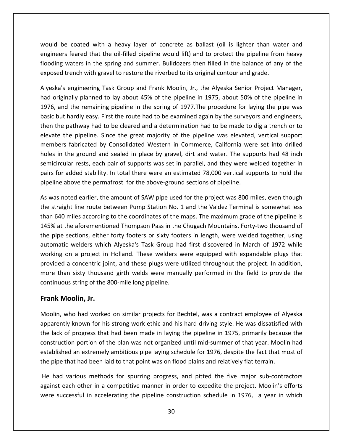be coated with <sup>a</sup> heavy layer of concrete as ballast (oil is lighter than water and Feared that the oil-filled pipeline would lift) and to protect the pipeline from heavy<br>feared that the oil-filled pipeline would lift) and to protect the pipeline from heavy e coated with a heavy layer of concrete as ballast (oil is lighter than water and<br>s feared that the oil-filled pipeline would lift) and to protect the pipeline from heavy<br>waters in the spring and summer. Bulldozers then fi would be coated with a heavy layer of concrete as ballast (oil is lighter than wa<br>engineers feared that the oil-filled pipeline would lift) and to protect the pipeline from<br>flooding waters in the spring and summer. Bulldoz would be coated with a heavy layer of concrete as ballast (oil is lighter than water and<br>engineers feared that the oil-filled pipeline would lift) and to protect the pipeline from heavy<br>flooding waters in the spring and su Id be coated with a heavy layer of concrete as ballast (oil is lighter than water and<br>neers feared that the oil-filled pipeline would lift) and to protect the pipeline from heavy<br>ding waters in the spring and summer. Bulld engineers feared that the oil-filled pipeline would lift) and to protect the pipeline from heavy eers feared that the oil-filled pipeline would lift) and to protect the pipeline from heavy<br>ng waters in the spring and summer. Bulldozers then filled in the balance of any of the<br>ed trench with gravel to restore the river flooding waters in the spring and summer. Bulldozers then filled in the balance of any of the

flooding waters in the spring and summer. Bulldozers then filled in the balance of any of the<br>exposed trench with gravel to restore the riverbed to its original contour and grade.<br>Alyeska's engineering Task Group and Frank sed trench with gravel to restore the riverbed to its original contour and grade.<br>
ka's engineering Task Group and Frank Moolin, Jr., the Alyeska Senior Project Manager,<br>
priginally planned to lay about 45% of the pipeline Alyeska's engineering Task Group and Frank Moolin, Jr., the Alyeska Senior Project Manager, So engineering Task Group and Frank Moolin, Jr., the Alyeska Senior Project Manager,<br>
inally planned to lay about 45% of the pipeline in 1975, about 50% of the pipeline in<br>
ind the remaining pipeline in the spring of 1977. had originally planned to lay about 45% of the pipeline in 1975, about 50% of the pipeline in Fabricating Trask Group and Traink Moom, 31.7 the Twyeska Semon Troject Manager, ally planned to lay about 45% of the pipeline in 1975, about 50% of the pipeline in the remaining pipeline in the spring of 1977. The procedu 1976, and the remaining pipeline in the spring of 1977. The procedure for laying the pipe was in the remaining pipeline in the spring of 1977. The procedure for laying the pipe was<br>but hardly easy. First the route had to be examined again by the surveyors and engineers,<br>he pathway had to be cleared and a determinat  $s \sim 100$ restanting pipeline in the spiring of 1377, the procedure for laying the pipelines.<br>In dividends and the supports and engineers,<br>hway had to be cleared and a determination had to be made to dig a trench or to<br>pipeline. Sin pasie<br>.. For added stability. In total there were an estimated 78,000 vertical supports and engineers, the pipeline. Since the great majority of the pipeline was elevated, vertical support bers fabricated by Consolidated Western in plevate the pipeline. Since the great majority of the pipeline was elevated<br>members fabricated by Consolidated Western in Commerce, California were<br>holes in the ground and sealed in place by gravel, dirt and water. The sup mbers fabricated by Consolidated Western in Commerce, California were set into drilled<br>es in the ground and sealed in place by gravel, dirt and water. The supports had 48 inch<br>nicircular rests, each pair of supports was se hol is in the ground and sealed in place by gravel, dirt and water. The supports had 48 inch<br>icircular rests, each pair of supports was set in parallel, and they were welded together in<br>s for added stability. In total there we semi circular rests, each pair of supports was set in parallel, and they were welded together in<br>for added stability. In total there were an estimated 78,000 vertical supports to hold the<br>ine above the permafrost for the abovepairs for added stability. In total there were an estimated 78,000 vertical supports to hold the pipeline above the permafrost for the above-ground sections of pipeline.

For added stability. In total there were an estimated 78,000 vertical supports to hold the<br>ne above the permafrost for the above-ground sections of pipeline.<br>s noted earlier, the amount of SAW pipe used for the project was line above the permafrost for the above-ground sections of pipeline.<br>
vas noted earlier, the amount of SAW pipe used for the project was 800 miles, even though<br>
straight line route between Pump Station No. 1 and the Valdez As was noted earlier, the amount of SAW pipe used for the project was 800 miles, even though ed earlier, the amount of SAW pipe used for the project was 800 miles, even though<br>t line route between Pump Station No. 1 and the Valdez Terminal is somewhat less<br>illes according to the coordinates of the maps. The maximu the straight line route between Pump Station No. 1 and the Valdez Terminal is somewhat less by the annual of strive pripe asset for the project mas see mines, even thought<br>ght line route between Pump Station No. 1 and the Valdez Terminal is somewhat less<br>miles according to the coordinates of the maps. The maximum than 640 miles according to the coordinates of the maps. The maximum grade of the pipeline is a concentric ioint. This statement is solved that the statement is a concentrated to the pipeline is 145% at the aforementioned Thompson Pass in the Chugach Mountains. Forty-two thousand of the pipe sections, either forty The mines according to the coordinates of the maps. The maximum grade of the pipeline is<br>at the aforementioned Thompson Pass in the Chugach Mountains. Forty-two thousand of<br>pe sections, either forty footers or sixty footer 145% at the aforementioned Thompson Pass in the Chugach Mountains. Forty-two thousand of the pipe sections, either forty footers or sixty footers in length, were welded together, using string of the afformationed *Hompson Fass in the*<br>the pipe sections, either forty footers or sixty foot<br>automatic welders which Alyeska's Task Group ha<br>working on a project in Holland. These welders v<br>provided a concentric the pipe sections, either<br>automatic welders which<br>working on a project in<br>provided a concentric joii<br>more than sixty thousan<br>continuous string of the 8<br>**Frank Moolin. Jr.** I a concentric joint, and these plugs were utilized throughout the project. In addition,<br>an sixty thousand girth welds were manually performed in the field to provide the<br>vus string of the 800-mile long pipeline.<br>**Aoolin,** more than sixty thousand girth welds were manually performed in the field to provide the<br>string of the 800-mile long pipeline.<br>**Olin, Jr.**<br>o had worked on similar projects for Bechtel, was a contract employee of Alyeska<br>known for hi continuous string of the 800-mile long pipeline.

#### Frank Moolin, Jr.

flooding and the second second second second second second second second second second second second second se

the pipe that had been laid to that point was on flood plains and relatively flat terrain. inuous string of the 800-mile long pipeline.<br> **nk Moolin, Jr.**<br>
blin, who had worked on similar projects for Bechtel, was a contract employee of Alyeska<br>
arently known for his strong work ethic and his hard driving style. lin, Jr.<br>had worked on similar projects for Bechtel, was a contract employee of Alyeska<br>nown for his strong work ethic and his hard driving style. He was dissatisfied with<br>rogress that had been made in laying the pipeline **b** had worked on similar projects for Bechtel, was a contract employee of Alyeska<br>known for his strong work ethic and his hard driving style. He was dissatisfied with<br>progress that had been made in laying the pipeline in Moolin, who had worked on similar projects for Bechtel, was a contract employee of Alapparently known for his strong work ethic and his hard driving style. He was dissatisfied the lack of progress that had been made in lay irently known for his strong work ethic and his hard driving style. He was dissatisfied with<br>lack of progress that had been made in laying the pipeline in 1975, primarily because the<br>truction portion of the plan was not or the lack of progress that had been made in laying the pipeline in 1975, primarily because the of progress that had been made in laying the pipeline in 1975, primarily because the<br>ction portion of the plan was not organized until mid-summer of that year. Moolin had<br>hed an extremely ambitious pipe laying schedule for construction portion of the plan was not organized until mid-summer of that year. Moolin had

established an extremely ambitious pipe laying schedule for 1976, despite the fact that most of<br>the pipe that had been laid to that point was on flood plains and relatively flat terrain.<br>He had various methods for spurring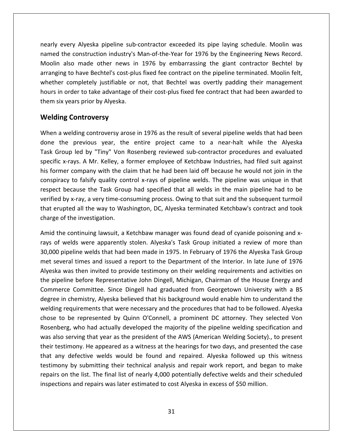every Alyeska pipeline sub-contractor exceeded its pipe laying schedule. Moolin was the construction industry's Man-of-the-Year for 1976 by the Engineering News Record.<br>The construction industry's Man-of-the-Year for 1976 by the Engineering News Record. very Alyeska pipeline sub-contractor exceeded its pipe laying schedule. Moolin was<br>he construction industry's Man-of-the-Year for 1976 by the Engineering News Record.<br>also made other news in 1976 by embarrassing the giant nearly every Alyeska pipeline sub-contractor exceeded its pipe laying schedule. Moolin was<br>named the construction industry's Man-of-the-Year for 1976 by the Engineering News Record.<br>Moolin also made other news in 1976 by e ery Alyeska pipeline sub-contractor exceeded its pipe laying schedule. Moolin was<br>e construction industry's Man-of-the-Year for 1976 by the Engineering News Record.<br>Iso made other news in 1976 by embarrassing the giant con nearly every Alyeska pipeline sub-contractor exceeded its pipe laying schedule. Moolin was every Alyeska pipeline sub-contractor exceeded its pipe laying schedule. Moolin was<br>d the construction industry's Man-of-the-Year for 1976 by the Engineering News Record.<br>n also made other news in 1976 by embarrassing the named the construction industry's Man-of-the-Year for 1976 by the Engineering News Record. six years, *Theska pipeline sab*<br>shamed the construction industry's I<br>Moolin also made other news in<br>arranging to have Bechtel's cost-plu<br>whether completely justifiable or<br>hours in order to take advantage of<br>them six vears **Example 20 System Screen**<br> **Controversy** So made other news in<br>
to have Bechtel's cost-pli<br>
ompletely justifiable or<br>
rder to take advantage o<br>
ears prior by Alyeska.<br> **Controversv** whether completely justifiable or not, that Bechtel was overtly padding their management er completely justifiable or not, that Bechtel was overtly padding their management<br>in order to take advantage of their cost-plus fixed fee contract that had been awarded to<br>ix years prior by Alyeska.<br>**ing Controversy**<br>a w hours in order to take advantage of their cost-plus fixed fee contract that had been awarded to<br>them six years prior by Alyeska.<br>Welding Controversy<br>When a welding controversy arose in 1976 as the result of several pipelin them six years prior by Alyeska.

#### **Welding Controversy**

six years prior by Alyeska.<br> **Standing Controversy**<br>
The welding controversy arose in 1976 as the result of several pipeline welds that had been<br>
the previous year, the entire project came to a near-halt while the Alyeska<br> **g Controversy**<br>welding controversy arose in 1976 as the result of several pipeline welds that had been<br>ne previous year, the entire project came to a near-halt while the Alyeska<br>pup led by "Tiny" Von Rosenberg reviewed su **Example 18 Controversy**<br>Formany and the result of several pipeline welds that had been<br>the previous year, the entire project came to a near-halt while the Alyeska<br>k Group led by "Tiny" Von Rosenberg reviewed sub-contracto When a welding controversy arose in 1976 as the result of several pipeline welds that had been Iding controversy arose in 1976 as the result of several pipeline welds that had been<br>previous year, the entire project came to a near-halt while the Alyeska<br>led by "Tiny" Von Rosenberg reviewed sub-contractor procedures a done the previous year, the entire project came to a near-halt while the Alyeska because the Task Group had specified that all welds in the main pipeline wells that had been<br>bup led by "Tiny" Von Rosenberg reviewed sub-contractor procedures and evaluated<br>x-rays. A Mr. Kelley, a former employee of Ketch Task Group led by "Tiny" Von Rosenberg reviewed sub-contractor procedures and evaluated by "Tiny" Von Rosenberg reviewed sub-contractor procedures and evaluated<br>x-rays. A Mr. Kelley, a former employee of Ketchbaw Industries, had filed suit against<br>er company with the claim that he had been laid off because he specific x-rays. A Mr. Kelley, a former employee of Ketchbaw Industries, had filed suit against ercap ical by Timy Terminesing reviewed sas contracter procedures and evaluated<br>fic x-rays. A Mr. Kelley, a former employee of Ketchbaw Industries, had filed suit against<br>prmer company with the claim that he had been laid speake *x* rays. 7. Mil. Reliey, a list former company with the clonspiracy to falsify quality correspect because the Task Grous verified by x-ray, a very time-conthat erupted all the way to Was charge of the investigation conspiracy to falsify quality control x-rays of pipeline welds. The pipeline was unique in that<br>respect because the Task Group had specified that all welds in the main pipeline had to be<br>verified by x-ray, a very time-cons ect because the Task Group had specified that all welds in the main pipeline had to be<br>ed by x-ray, a very time-consuming process. Owing to that suit and the subsequent turmoil<br>erupted all the way to Washington, DC, Alyesk verified by x-ray, a very time-consuming process. Owing to that suit and the subsequent turmoil by x-ray, a very time-consuming process. Owing to that suit and the subsequent turmoil<br>upted all the way to Washington, DC, Alyeska terminated Ketchbaw's contract and took<br>of the investigation.<br>ne continuing lawsuit, a Ket that erupted all the way to Washington, DC, Alyeska terminated Ketchbaw's contract and took charge of the investigation.

31 and the metalstand and the procedures that had to be removed. Thy cander the represented by Quinn O'Connell, a prominent DC attorney. They selected Von who had actually developed the majority of the pipeline welding spe erupted all the way to Washington, DC, Alyeska terminated Ketchbaw's contract and took<br>ge of the investigation.<br>I the continuing lawsuit, a Ketchbaw manager was found dead of cyanide poisoning and x-<br>of welds were apparent of the investigation.<br>
e continuing lawsuit, a Ketchbaw manager was found dead of cyanide poisoning and x-<br>
welds were apparently stolen. Alyeska's Task Group initiated a review of more than<br>
pipeline welds that had been m Amid the continuing lawsuit, a Ketchbaw manager was found dead of cyanide poisoning and xd the continuing lawsuit, a Ketchbaw manager was found dead of cyanide poisoning and x-<br>of welds were apparently stolen. Alyeska's Task Group initiated a review of more than<br>00 pipeline welds that had been made in 1975. In rays of welds were apparently stolen. Alyeska's Task Group initiated a review of more than The presention of the House Policins, and the Alyeska's Task Group initiated a review of more than<br>line welds that had been made in 1975. In February of 1976 the Alyeska Task Group<br>times and issued a report to the Departme rays or pipeline welds that had been made in 1975. In February of 1976 the Alyeska Task Group<br>veral times and issued a report to the Department of the Interior. In late June of 1976<br>was then invited to provide testimony on their w  $\frac{1}{2}$ real times and issued a report to the Department of the Interior. In late June of 1976<br>was then invited to provide testimony on their welding requirements and activities on<br>line before Representative John Dingell, Michigan  $\frac{1}{2}$ The same invited to provide testimony on their welding requirements and activities on<br>neline before Representative John Dingell, Michigan, Chairman of the House Energy and<br>erce Committee. Since Dingell had graduated from G the pipeline before Representative John Dingell, Michigan, Chairman of the House Energy and before Representative John Dingell, Michigan, Chairman of the House Energy and<br>Committee. Since Dingell had graduated from Georgetown University with a BS<br>lemistry, Alyeska believed that his background would enable him to Commerce Committee. Since Dingell had graduated from Georgetown University with a BS<br>degree in chemistry, Alyeska believed that his background would enable him to understand the<br>welding requirements that were necessary and degree in chemistry, Alyeska believed that his background would enable him to understand the the committee: Since Dingell had graduated from Scorgetom Unitersty with a BD<br>e in chemistry, Alyeska believed that his background would enable him to understand the<br>ng requirements that were necessary and the procedures t welding requirements that were necessary and the procedures that had to be followed. Alyeska any oriented by Quinn O'Connell, a prominent DC attorney. They selected Von<br>there, who had actually developed the majority of the pipeline welding specification and<br>also serving that year as the president of the AWS (Ameri chose to be represented by Quinn O'Connell, a prominent DC attorney. They selected Von Rosenberg, who had actually developed the majority of the pipeline welding specification and on the list. The final list of nearly 4,000 potentially defective welding specification and<br>a serving that year as the president of the AWS (American Welding Society)., to present<br>stimony. He appeared as a witness at the h was also serving that year as the president of the AWS (American Welding Society)., to present who had detaany developed the majority of the pipeline weraing opent<br>ving that year as the president of the AWS (American Welding Society).<br>ony. He appeared as a witness at the hearings for two days, and present<br>efective w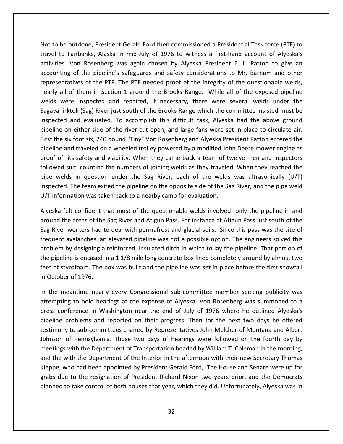to be outdone, President Gerald Ford then commissioned <sup>a</sup> Presidential Task force (PTF) to to Fairbanks, Alaska in mid-July of 1976 to witness a first-hand account of Alveska's<br>to Fairbanks, Alaska in mid-July of 1976 to witness a first-hand account of Alveska's Dutdone, President Gerald Ford then commissioned a Presidential Task force (PTF) to<br>Von Rosenberg was again chosen by Alveska President E. L. Patton to give an<br>Von Rosenberg was again chosen by Alveska President E. L. Patt utdone, President Gerald Ford then commissioned a Presidential Task force (PTF) to<br>irbanks, Alaska in mid-July of 1976 to witness a first-hand account of Alyeska's<br>on Rosenberg was again chosen by Alyeska President E. L. P Not to be outdone, President Gerald Ford then commissioned a Presidential Task force (PTF) to<br>travel to Fairbanks, Alaska in mid-July of 1976 to witness a first-hand account of Alyeska's<br>activities. Von Rosenberg was again be outdone, President Gerald Ford then commissioned a Presidential Task force (PTF) to<br>to Fairbanks, Alaska in mid-July of 1976 to witness a first-hand account of Alyeska's<br>es. Von Rosenberg was again chosen by Alyeska Pre Not to be outdone, President Gerald Ford then commissioned a Presidential Task force (PTF) to<br>travel to Fairbanks, Alaska in mid-July of 1976 to witness a first-hand account of Alyeska's were outlache, intestation and their commissioned and restantian rask force (in ) to the containty of 1976 to witness a first-hand account of Alyeska's ss. Von Rosenberg was again chosen by Alyeska President E. L. Patton t  $S_3$  save to fam Rosenberg was again chosen by Alyeska President E. L. Patton to give an<br>the pipeline's safeguards and safety considerations to Mr. Barnum and other<br>s of the PTF. The PTF needed proof of the integrity of the questionable we  $\frac{1}{100}$ For Rosenberg was again enesently Anyeska Frestaent E. E. Fatton to give and<br>of the pipeline's safeguards and safety considerations to Mr. Barnum and other<br>tives of the PTF. The PTF needed proof of the integrity of the que accounting of the pipeline's safeguards and safety considerations to Mr. Barnum and other representatives of the PTF. The PTF needed proof of the integrity of the questionable welds, representatives of the PTF. The PTF needed proof of the integrity of the questionable welds,<br>nearly all of them in Section 1 around the Brooks Range. While all of the exposed pipeline<br>welds were inspected and repaired, if In the six foot six, 240 pound "Tiny" Von Rosenberg and Alyeska President Patton entered the<br>the six foot six, 240 pound "Tiny" Von Rosenberg and Alyeska President Patton entered the<br>the six foot six, 240 pound "Tiny" Von pheme welds were inspected and repaired, if necessary, there were several welds under the Sagavanirktok (Sag) River just south of the Brooks Range which the committee insisted must be inspected and evaluated. To accomplish Sagavanirktok (Sag) River just south of the Brooks Range which the committee insisted must be anirktok (Sag) River just south of the Brooks Range which the committee insisted must be ted and evaluated. To accomplish this difficult task, Alyeska had the above ground lee on either side of the river cut open, and larg inspected and evaluated. To accomplish this difficult task, Alyeska had the above ground<br>pipeline on either side of the river cut open, and large fans were set in place to circulate air.<br>First the six foot six, 240 pound " pipeline on either side of the river cut open, and large fans were set in place to circulate air.<br>First the six foot six, 240 pound "Tiny" Von Rosenberg and Alyeska President Patton entered the<br>pipeline and traveled on a w First the six foot six, 240 pound "Tiny" Von Rosenberg and Alyeska President Patton entered the The team exited the pipeline on the opposite side of the Sag River. The certain entered the<br>at traveled on a wheeled trolley powered by a modified John Deere mower engine as<br>is safety and viability. When they came back a t pipeline and traveled on a wheeled trolley powered by a modified John proof of its safety and viability. When they came back a team of the followed suit, counting the numbers of joining welds as they traveled pipe welds in its safety and viability. When they came back a team of twelve men and inspectors<br>I suit, counting the numbers of joining welds as they traveled. When they reached the<br>Ids in question under the Sag River, each of the welds followed suit, counting the numbers of joining welds as they traveled. When they reached the d suit, counting the numbers of joining welds as they traveled. When they reached the<br>elds in question under the Sag River, each of the welds was ultrasonically (U/T)<br>ed. The team exited the pipeline on the opposite side o pipe welds in question under the Sag River, each of the welds was ultrasonically (U/T) welds in question under the Sag River, each of the welds was ultrasonically (U/T)<br>ected. The team exited the pipeline on the opposite side of the Sag River, and the pipe weld<br>information was taken back to a nearby camp for inspected. The team exited the pipeline on the opposite side of the Sag River, and the pipe weld U/T information was taken back to a nearby camp for evaluation.

activities.<br>Activities

I. The team exited the pipeline on the opposite side of the Sag River, and the pipe weld<br>mation was taken back to a nearby camp for evaluation.<br>elt confident that most of the questionable welds involved only the pipeline i mation was taken back to a nearby camp for evaluation.<br>
elt confident that most of the questionable welds involved only the pipeline in and<br>
ne areas of the Sag River and Atigun Pass. For instance at Atigun Pass just south Alveska felt confident that most of the questionable welds involved only the pipeline in and exteed in a 1 1/8 mile long concrete box lined completely around by almost two and the areas of the Sag River and Atigun Pass. For instance at Atigun Pass just south of the River workers had to deal with permafrost and gla around the areas of the Sag River and Atigun Pass. For instance at Atigun Pass just south of the of the areas of the Sag River and Atigun Pass. For instance at Atigun Pass just south of the<br>River workers had to deal with permafrost and glacial soils. Since this pass was the site of<br>uent avalanches, an elevated pipelin Sag River workers had t<br>frequent avalanches, an<br>problem by designing a<br>the pipeline is encased i<br>feet of styrofoam. The l<br>in October of 1976. frequent avalanches, an elevated pipeline was not a possible option. The engineers solved this quent avalanches, an elevated pipeline was not a possible option. The engineers solved this<br>bblem by designing a reinforced, insulated ditch in which to lay the pipeline. That portion of<br>pipeline is encased in a 1 1/8 mile problem by designing a reinforced, insulated ditch in which to lay the pipeline. That portion of designing a reinforced, insulated ditch in which to lay the pipeline. That portion of<br>is encased in a 1 1/8 mile long concrete box lined completely around by almost two<br>foam. The box was built and the pipeline was set in p the pipeline is encased in a 1 1/8 mile long concrete box lined completely around by almost two beline is encased in a 1 1/8 mile long concrete box lined completely around by almost two<br>f styrofoam. The box was built and the pipeline was set in place before the first snowfall<br>ober of 1976.<br>meantime nearly every Congr feet of styrofoam. The box was built and the pipeline was set in place before the first snowfall in October of 1976.

and the with the Department of the Interior in the afternoon with their new Secretary Thomas yrofoam. The box was built and the pipeline was set in place before the first snowfall<br>er of 1976.<br>leantime nearly every Congressional sub-committee member seeking publicity was<br>ng to hold hearings at the expense of Alyesk of 1976.<br>
antime nearly every Congressional sub-committee member seeking publicity was<br>
It to hold hearings at the expense of Alyeska. Von Rosenberg was summoned to a<br>
erence in Washington near the end of July of 1976 wher In the meantime nearly every Congressional sub-committee member seeking publicity was eantime nearly every Congressional sub-committee member seeking publicity was<br>ng to hold hearings at the expense of Alyeska. Von Rosenberg was summoned to a<br>nference in Washington near the end of July of 1976 where he outl attempting to hold hearings at the expense of Alyeska. Von Rosenberg was summoned to a In the meantime meany every congressional sub-committee member seeding pusherty was<br>attempting to hold hearings at the expense of Alyeska. Von Rosenberg was summoned to a<br>press conference in Washington near the end of July the with the Department of the Interior in the afternoon with their new Secretary Thomas<br>the problems and reported on their progress. Then for the next two days he offered<br>mony to sub-committees chaired by Representatives pipeline problems and reported on their progress. Then for the next two days he offered<br>testimony to sub-committees chaired by Representatives John Melcher of Montana and Albert<br>Johnson of Pennsylvania. Those two days of h testimony to sub-committees chaired by Representatives John Melcher of Montana and Albert due presents and reported on their progressions in the richard the richard dulpert<br>ony to sub-committees chaired by Representatives John Melcher of Montana and Albert<br>on of Pennsylvania. Those two days of hearings were fol Johnson of Pennsylvania. Those two days of hearings were followed on the fourth day by<br>meetings with the Department of Transportation headed by William T. Coleman in the morning,<br>and the with the Department of the Interior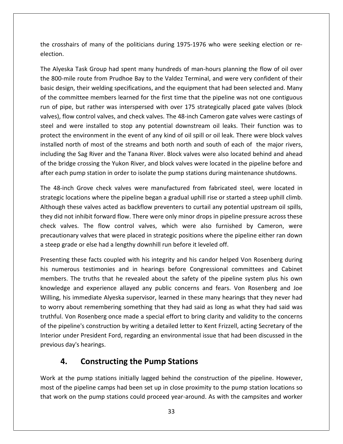crosshairs of many of the politicians during 1975-1976 who were seeking election or re-<br>The crosshairs of many of the politicians during 1975-1976 who were seeking election or rethe crosshair<br>election. Alyeska Task Group had spent many hundreds of man-hours planning the flow of oil over<br>Alyeska Task Group had spent many hundreds of man-hours planning the flow of oil over crosshairs of many of the politicians during 1975-1976 who were seeking election or re-<br>tion.<br>Alyeska Task Group had spent many hundreds of man-hours planning the flow of oil over<br>800-mile route from Prudhoe Bay to the Val th election.

rosshairs of many of the politicians during 1975-1976 who were seeking election or re-<br>on.<br>Jyeska Task Group had spent many hundreds of man-hours planning the flow of oil over<br>00-mile route from Prudhoe Bay to the Valdez T Exercision.<br>The committee members during the committee seeking election or re-<br>The committee members learnt many hundreds of man-hours planning the flow of oil over<br>The committe route from Prudhoe Bay to the Valdez Termina tion.<br>Alyeska Task Group had spent many hundreds of man-hours planning the flow of oil over<br>800-mile route from Prudhoe Bay to the Valdez Terminal, and were very confident of their<br>c design, their welding specifications, a The Alveska Task Group had spent many hundreds of man-hours planning the flow of oil over Figures and Spent many hundreds of man-hours planning the flow of oil over<br>Figures of the valder control valves were very confident of their<br>sign, their welding specifications, and the equipment that had been selected and. the 800-mile route from Prudhoe Bay to the Valdez Terminal, and were very confident of their And were installed to stop any potential downstream oil leaks. Their function was to<br>and were installed to stop and the equipment that had been selected and. Many<br>committee members learned for the first time that the pipel basic design, their welding specifications, and the equipment that had been selected and. Many the environment in the event of any kind of oil spill or oil leak. There were block valves and the equipment that had been selected and. Many ommittee members learned for the first time that the pipeline was not one contig of the committee members learned for the first time that the pipeline was not one contiguous monittee members learned for the first time that the pipeline was not one contiguous<br>pe, but rather was interspersed with over 175 strategically placed gate valves (block<br>ow control valves, and check valves. The 48-inch Ca run of pipe, but rather was interspersed with over 175 strategically placed gate valves (block the Sag River and the Tanana River. Block valves were also located behind and ahead<br>the Sag River and the Tanana River. Block valves. The 48-inch Cameron gate valves were castings of<br>were installed to stop any potential do valves), flow control valves, and check valves. The 48-inch Cameron gate valves were castings of The bridge crossing the bridge crossing the Yukon River, and block valves were located in the pipeline before and were installed to stop any potential downstream oil leaks. Their function was to btect the environment in th steel and were installed to stop any potential downstream oil leaks. Their function was to each pump station in order to isolate the pump stations during maintenance shutdownsteed and were installed to stop any potential downstream oil leaks. Their function was to protect the environment in the event of any kind ect the environment in the event of any kind of oil spill or oil leak. There were block valves<br>Iled north of most of the streams and both north and south of each of the major rivers,<br>ding the Sag River and the Tanana River installed north of most of the streams and both north and south of each of the major rivers, installed north of most of the streams and both north and south of each of the major rivers,<br>including the Sag River and the Tanana River. Block valves were also located behind and ahead<br>of the bridge crossing the Yukon Ri after each pump station in order to isolate the pump stations during maintenance shutdowns.

of the bridge crossing the Yukon River, and block valves were located in the pipeline before and after each pump station in order to isolate the pump stations during maintenance shutdowns.<br>The 48-inch Grove check valves we e bridge crossing the Yukon River, and block valves were located in the pipeline before and<br>each pump station in order to isolate the pump stations during maintenance shutdowns.<br>48-inch Grove check valves were manufactured ich pump station in order to isolate the pump stations during maintenance shutdowns.<br>
-inch Grove check valves were manufactured from fabricated steel, were located in<br>
ic locations where the pipeline began a gradual uphil The 48-inch Grove check valves were manufactured from fabricated steel, were located in irove check valves were manufactured from fabricated steel, were located in<br>ons where the pipeline began a gradual uphill rise or started a steep uphill climb.<br>Evalves acted as backflow preventers to curtail any potential a strategic locations where the pipeline began a gradual uphill rise or started Although these valves acted as backflow preventers to curtail any potentitiey did not inhibit forward flow. There were only minor drops in pip hese valves acted as backflow preventers to curtail any potential upstream oil spills,<br>t inhibit forward flow. There were only minor drops in pipeline pressure across these<br>es. The flow control valves, which were also furn they did not inhibit forward flow. There were only minor drops in pipeline pressure across these r did not inhibit forward flow. There were only minor drops in pipeline pressure across these<br>tk valves. The flow control valves, which were also furnished by Cameron, were<br>autionary valves that were placed in strategic po check valves. The flow control valves, which were also furnished by Cameron, were res. The flow control valves, which were also furnished by Cameron, were<br>ary valves that were placed in strategic positions where the pipeline either ran down<br>de or else had a lengthy downhill run before it leveled off.<br>th precautionary valves that were placed in strategic positions where the pipeline either ran down a steep grade or else had a lengthy downhill run before it leveled off.

ry valves that were placed in strategic positions where the pipeline either ran down<br>le or else had a lengthy downhill run before it leveled off.<br>hese facts coupled with his integrity and his candor helped Von Rosenberg du grade or else had a lengthy downhill run before it leveled off.<br>
Ing these facts coupled with his integrity and his candor helped Von Rosenberg during<br>
nerous testimonies and in hearings before Congressional committees and Presenting these facts coupled with his integrity and his candor helped Von Rosenberg during esenting these facts coupled with his integrity and his candor helped Von Rosenberg during<br>numerous testimonies and in hearings before Congressional committees and Cabinet<br>embers. The truths that he revealed about the safe his numerous testimonies and in hearings before Congressional committees and Cabinet From Rosenberg once made a special effort to bring clarity and validity to the concernse of Cabinet<br>S. The truths that he revealed about the safety of the pipeline system plus his own<br>ge and experience allayed any public c members. The truths that he revealed about the safety of the pipeline system plus his own The production by the pipeline system plus his own<br>owledge and experience allayed any public concerns and fears. Von Rosenberg and Joe<br>Iling, his immediate Alyeska supervisor, learned in these many hearings that they never Interiorunder President Ford, regarding an environmental issue that had been discussed in the under President Ford, regarding that they had said as long as what they had said was Von Rosenberg once made a special effort to bring c  $\frac{1}{2}$ day and experience<br>
his immediate Alyes<br>
iy about rememberin<br>
I. Von Rosenberg onc<br>
bipeline's construction<br>
under President Form<br>
is day's hearings. In experience anayed any public concerns and least mediate Alyeska supervisor, learned in these many between the membering something that they had said as long cosenberg once made a special effort to bring clarity is const of the pipeline's construction by writing a detailed letter to Kent Frizzell, acting Secretary of the of the pipeline's construction by writing a detailed letter to Kent Frizzell, acting Secretary of the<br>Interior under President Ford, regarding an environmental issue that had been discussed in the<br>previous day's hearings.<br> or under President Ford, regarding an environmental issue that had been discussed in the<br>bus day's hearings.<br>**4.** Constructing the Pump Stations<br>at the pump stations initially lagged behind the construction of the pipeline previous day's hearings.

## **Constructing the Pump Stations**

**4. Constructing the Pump Stations**<br>Work at the pump stations initially lagged behind the construction of the pipeline. However,<br>most of the pipeline camps had been set up in close proximity to the pump station locations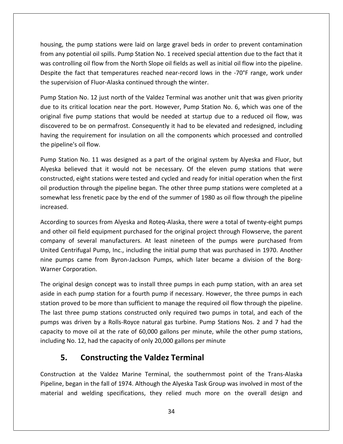the pump stations were laid on large gravel beds in order to prevent contamination ang, the pump stations were laid on large gravel beds in order to prevent contamination<br>Any potential oil spills. Pump Station No. 1 received special attention due to the fact that it housing, the pump stations were laid on large gravel beds in order to prevent contamination<br>from any potential oil spills. Pump Station No. 1 received special attention due to the fact that it<br>was controlling oil flow from the pump stations were laid on large gravel beds in order to prevent contamination<br>
y potential oil spills. Pump Station No. 1 received special attention due to the fact that it<br>
trolling oil flow from the North Slope oil housing, the pump stations were laid on large gravel beds in ord<br>from any potential oil spills. Pump Station No. 1 received special at<br>was controlling oil flow from the North Slope oil fields as well as in<br>Despite the fact g, the pump stations were laid on large gravel beds in order to prevent contamination<br>ny potential oil spills. Pump Station No. 1 received special attention due to the fact that it<br>introlling oil flow from the North Slope from any potential oil spills. Pump Station No. 1 received special attention due to the fact that it I any potential oil spills. Pump Station No. 1 received special attention due to the fact that it<br>controlling oil flow from the North Slope oil fields as well as initial oil flow into the pipeline.<br>Dite the fact that tempe was controlling oil flow from the North Slope oil fields as well as initial oil flow into the pipeline. trolling oil flow from the North Slope oil fields as well as initial oil flow into the pipeline.<br>the fact that temperatures reached near-record lows in the -70°F range, work under<br>rvision of Fluor-Alaska continued through Despite the fact that temperatures reached near-record lows in the -70°F range, work under the supervision of Fluor-Alaska continued through the winter.

was

that temperatures reached near-record lows in the -70°F range, work under<br>sion of Fluor-Alaska continued through the winter.<br>Die on No. 12 just north of the Valdez Terminal was another unit that was given priority<br>ritical ervision of Fluor-Alaska continued through the winter.<br>
tation No. 12 just north of the Valdez Terminal was another unit that was given priority<br>
its critical location near the port. However, Pump Station No. 6, which was Pump Station No. 12 just north of the Valdez Terminal was another unit that was given priority Pump Station No. 12 just r<br>due to its critical location<br>original five pump station<br>discovered to be on perm<br>having the requirement for<br>the pipeline's oil flow. its critical location near the port. However, Pump Station No. 6, which was one of the<br>Il five pump stations that would be needed at startup due to a reduced oil flow, was<br>ered to be on permafrost. Consequently it had to b original five pump stations that would be needed at startup due to a reduced oil flow, was five pump stations that would be needed at startup due to a reduced oil flow, was<br>ed to be on permafrost. Consequently it had to be elevated and redesigned, including<br>ne requirement for insulation on all the components whi discovered to be on permafrost. Consequently it had to be elevated and redesigned, including obe on permafrost. Consequently it had to be elevated and redesigned, including<br>equirement for insulation on all the components which processed and controlled<br>i oil flow.<br>No. 11 was designed as a part of the original syste ha the pipeline's oil flow.

ing the requirement for insulation on all the components which processed and controlled<br>
exploring the pipeline's oil flow.<br>
In Station No. 11 was designed as a part of the original system by Alyeska and Fluor, but<br>
eska b e's oil flow.<br>
on No. 11 was designed as a part of the original system by Alyeska and Fluor, but<br>
lieved that it would not be necessary. Of the eleven pump stations that were<br>
d, eight stations were tested and cycled and r Pump Station No. 11 was designed as a part of the original system by Alyeska and Fluor, but Alyeska believ<br>constructed, ei<br>oil production<br>somewhat less<br>increased. elieved that it would not be necessary. Of the eleven pump stations that were<br>d, eight stations were tested and cycled and ready for initial operation when the first<br>tion through the pipeline began. The other three pump st con tructed, eight stations were tested and cycled and ready for initial operation when the first<br>roduction through the pipeline began. The other three pump stations were completed at a<br>ewhat less frenetic pace by the end of t oil production through the pipeline began. The other three pump stations were completed at a tion through the pipeline began. The other three pump stations were completed at a<br>
I less frenetic pace by the end of the summer of 1980 as oil flow through the pipeline<br>
to sources from Alyeska and Roteq-Alaska, there we somewhat less frenetic pace by the end of the summer of 1980 as oil flow through the pipeline increased.

hat less frenetic pace by the end of the summer of 1980 as oil flow through the pipeline<br>ed.<br>ng to sources from Alyeska and Roteq-Alaska, there were a total of twenty-eight pumps<br>ner oil field equipment purchased for the o increased.<br>According to sources from Alyeska and Roteq-Alaska, there were a total of twenty-eight pumps<br>and other oil field equipment purchased for the original project through Flowserve, the parent<br>company of several manu According to sources from<br>and other oil field equipn<br>company of several mai<br>United Centrifugal Pump,<br>nine pumps came from<br>Warner Corporation. other oil field equipment purchased for the original project through Flowserve, the parent<br>pany of several manufacturers. At least nineteen of the pumps were purchased from<br>ed Centrifugal Pump, Inc., including the initial company of several manufacturers. At least nineteen of the pumps were purchased from any of several manufacturers. At least nineteen of the pumps were purchased from<br>d Centrifugal Pump, Inc., including the initial pump that was purchased in 1970. Another<br>pumps came from Byron-Jackson Pumps, which later bec United Centrifugal Pump, Inc., including the initial pump that was purchased in 1970. Another Warner Corporation.

United Centrifugal Pump, Inc., including the initial pump that was purchased in 1970. Another<br>nine pumps came from Byron-Jackson Pumps, which later became a division of the Borg-<br>Warner Corporation.<br>The original design con pumps came from Byron-Jackson Pumps, which later became a division of the Borg-<br>ner Corporation.<br>original design concept was to install three pumps in each pump station, with an area set<br>e in each pump station for a fourth Corporation.<br>
Eginal design concept was to install three pumps in each pump station, with an area set<br>
each pump station for a fourth pump if necessary. However, the three pumps in each<br>
proved to be more than sufficient t  $\mathbf{r}$ nal design concept was to install three pumps in each pump station, with an area set<br>each pump station for a fourth pump if necessary. However, the three pumps in each<br>roved to be more than sufficient to manage the require including No. 12, had the capacity of only 20,000 gallons per minute including No. 12, had the capacity of only 20,000 gallons per minute including No. 12, had the capacity of only 20,000 gallons per minute. **5.Example 10 Terminal** Sum station for a fourth pump if necessary. Hower<br>to be more than sufficient to manage the required<br>pump stations constructed only required two puliven by a Rolls-Royce natural gas turbine. Pump S<br>we pumps was driven by a Rolls-Royce natural gas turbine. Pump Stations Nos. 2 and 7 had the riven by a Rolls-Royce natural gas turbine. Pump Stations Nos. 2 and 7 had the<br>ove oil at the rate of 60,000 gallons per minute, while the other pump stations,<br>12, had the capacity of only 20,000 gallons per minute<br>**Constr** capacity to move oil at the rate of 60,000 gallons per minute, while the other pump stations, to move oil at the rate of 60,000 gallons per minute, while the other pump stations,<br>
No. 12, had the capacity of only 20,000 gallons per minute<br> **CONSTRUCTING THE Valdez Terminal**<br>
tion at the Valdez Marine Terminal, the including No. 12, had the capacity of only 20,000 gallons per minute

## **Constructing the Valdez Terminal**

No. 12, had the capacity of only 20,000 gallons per minute<br> **Constructing the Valdez Terminal**<br>
ion at the Valdez Marine Terminal, the southernmost point of the Trans-Alaska<br>
began in the fall of 1974. Although the Alyeska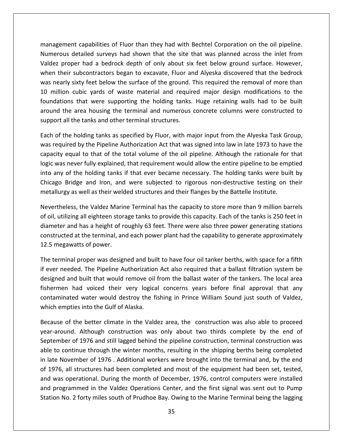capabilities of Fluor than they had with Bechtel Corporation on the oil pipeline.<br>Management capabilities of Fluor than they had with Bechtel Corporation on the oil pipeline. and the surface of the state of Fluor than they had with Bechtel Corporation on the oil pipeline.<br>Detailed surveys had shown that the site that was planned across the inlet from management capabilities of Fluor than they had with Bechtel Corporation on the oil pipeline.<br>Numerous detailed surveys had shown that the site that was planned across the inlet from<br>Valdez proper had a bedrock depth of onl thement capabilities of Fluor than they had with Bechtel Corporation on the oil pipeline.<br>Their subcontractors began to excavate. Fluor and Alyeska discovered that the bedrock<br>Their subcontractors began to excavate. Fluor agement capabilities of Fluor than they had with Bechtel Corporation on the oil pipeline.<br>In the serous detailed surveys had shown that the site that was planned across the inlet from<br>Exproper had a bedrock depth of only a management capabilities of Fluor than they had with Bechtel Corporation on the oil pipeline. magement capabilities of Fluor than they had with Bechtel Corporation on the oil pipeline.<br>
Inerous detailed surveys had shown that the site that was planned across the inlet from<br>
dez proper had a bedrock depth of only ab Numerous detailed surveys had shown that the site that was planned across the inlet from etailed surveys had shown that the site that was planned across the inlet from<br>er had a bedrock depth of only about six feet below ground surface. However,<br>ubcontractors began to excavate, Fluor and Alyeska discovered that Valdez proper had a bedrock depth of only about six feet below ground surface. However, as accured sarveys had shown that the site that was planned across the linet from<br>proper had a bedrock depth of only about six feet below ground surface. However,<br>neir subcontractors began to excavate, Fluor and Alyeska di when their subcontractors began to excavate, Fluor and Alyeska discovered that the bedrock When their subcontractors began to excavate, Fluor and when their subcontractors began to excavate, Fluor and was nearly sixty feet below the surface of the ground.<br>10 million cubic yards of waste material and requir found was nearly sixty feet below the surface of the ground. This required the removal of more than<br>10 million cubic yards of waste material and required major design modifications to the<br>foundations that were supporting the hol million cubic yards of waste material and required major design modifications to the<br>dations that were supporting the holding tanks. Huge retaining walls had to be built<br>nd the area housing the terminal and numerous concre foundati be area housing the terminal and numerous concrete columns were constructed to<br>the area housing the terminal and numerous concrete columns were constructed to<br>all the tanks and other terminal structures.<br>The holding tanks around the area housing the terminal and numerous concrete columns were constructed to support all the tanks and other terminal structures.

<u>Valdes de la p</u>

nd the area housing the terminal and numerous concrete columns were constructed to<br>ort all the tanks and other terminal structures.<br>of the holding tanks as specified by Fluor, with major input from the Alyeska Task Group,<br> ort all the tanks and other terminal structures.<br>
of the holding tanks as specified by Fluor, with major input from the Alyeska Task Group,<br>
required by the Pipeline Authorization Act that was signed into law in late 1973 Each of the holding tanks as specified by Fluor, with major input from the Alyeska Task Group,<br>was required by the Pipeline Authorization Act that was signed into law in late 1973 to have the<br>capacity equal to that of the  $\frac{1}{2}$ was required by the Pipeline Authorization Act that was signed into law in late 1973 to have the capacity equal to that of the total volume of the oil pipeline. Although the rationale for that I to that of the total volume of the oil pipeline. Although the rationale for that<br>In this computed in the value of the capacity of the capacity of the capacity<br>are holding tanks if that ever became necessary. The holding lo, ic was never fully explained, that requirement would allow the entire pipeline to be emptied<br>o any of the holding tanks if that ever became necessary. The holding tanks were built by<br>icago Bridge and Iron, and were subject into any of the holding tanks if that ever became necessary. The holding tanks were built by of the holding tanks if that ever became necessary. The holding tanks were built by<br>Bridge and Iron, and were subjected to rigorous non-destructive testing on their<br>y as well as their welded structures and their flanges by Chicago Bridge and Iron, and were subjected to rigorous non-destructive testing on their metallurgy as well as their welded structures and their flanges by the Battelle Institute.

dge and Iron, and were subjected to rigorous non-destructive testing on their<br>s well as their welded structures and their flanges by the Battelle Institute.<br>5, the Valdez Marine Terminal has the capacity to store more than metallurgy as well as their weld<br>Nevertheless, the Valdez Marir<br>of oil, utilizing all eighteen stor<br>diameter and has a height of r<br>constructed at the terminal, an<br>12.5 megawatts of power. ertheless, the Valdez Marine Terminal has the capacity to store more than 9 million barrels<br>I, utilizing all eighteen storage tanks to provide this capacity. Each of the tanks is 250 feet in<br>neter and has a height of rough of oil, utilizing all eighteen storage tanks to provide this capacity. Each of the tanks is 250 feet in oil, utilizing all eighteen storage tanks to provide this capacity. Each of the tanks is 250 feet in<br>ameter and has a height of roughly 63 feet. There were also three power generating stations<br>instructed at the terminal, a diameter and has a height of roughly 63 feet. There were also three power generating stations and has a height of roughly 63 feet. There were also three power generating stations<br>ed at the terminal, and each power plant had the capability to generate approximately<br>awatts of power.<br>nal proper was designed and built constructed at the terminal, and each power plant had the capability to generate approximately 12.5 megawatts of power.

l at the terminal, and each power plant had the capability to generate approximately<br>vatts of power.<br>al proper was designed and built to have four oil tanker berths, with space for a fifth<br>ded. The Pipeline Authorization A 12.5 megawatts of power.<br>The terminal proper was designed and built to have four oil tanker berths, with space for a fifth<br>if ever needed. The Pipeline Authorization Act also required that a ballast filtration system be<br>de The terminal proper was designed and built to have four oil tanker berths, with space for a fifth<br>if ever needed. The Pipeline Authorization Act also required that a ballast filtration system be eeded. The Pipeline Authorization Act also required that a ballast filtration system be<br>and built that would remove oil from the ballast water of the tankers. The local area<br>n had voiced their very logical concerns years b designed and built that would remove oil from the ballast water of the tankers. The local area built that would remove oil from the ballast water of the tankers. The local area<br>d voiced their very logical concerns years before final approval that any<br>water would destroy the fishing in Prince William Sound just south fishermen had voiced their very logical concerns years before final approval that any contaminated water would destroy the fishing in Prince William Sound just south of Valdez, which empties into the Gulf of Alaska.

in late November of 1976. Additional workers were brought into the terminal and, by the end had voiced their very logical concerns years before final approval that any<br>ed water would destroy the fishing in Prince William Sound just south of Valdez,<br>ies into the Gulf of Alaska.<br>the better climate in the Valdez are iminated water would destroy the fishing in Prince William Sound just south of Valdez,<br>h empties into the Gulf of Alaska.<br>use of the better climate in the Valdez area, the construction was also able to proceed<br>around. Alth ich empties into the Gulf of Alaska.<br>
cause of the better climate in the Valdez area, the construction was also able to proceed<br>
ar-around. Although construction was only about two thirds complete by the end of<br>
ptember of Because of the better climate in the Valdez area, the construction was also able to proceed Because of the better climate in the Valdez area, the construction was also able to proceed<br>year-around. Although construction was only about two thirds complete by the end of<br>September of 1976 and still lagged behind the was operational. Although construction was only about two thirds complete by the end of ember of 1976 and still lagged behind the pipeline construction, terminal construction was to continue through the winter months, resu year-around. Although construction was only about two thirds complete by the end of September of 1976 and still lagged behind the pipeline construction, terminal construction was ensure. The Valdez Techstratetion was singled the times complete by the end of<br>ember of 1976 and still lagged behind the pipeline construction, terminal construction was<br>to continue through the winter months, resulting in able to continue through the winter months, resulting in the shipping berths being completed No. 2 for 1976 and stan lagged benma the pipeline constraction, terminal constraction was<br>continue through the winter months, resulting in the shipping berths being completed<br>November of 1976. Additional workers were broug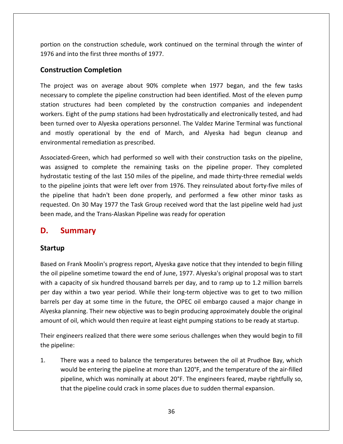on the construction schedule, work continued on the terminal through the winter of and into the first three months of 1977.<br>**The first three months of 1977.**<br>The first three months of 1977. **Construction schedule, whereas first three months of 19.<br><b>Completion** provide the construction schedule, work continued on the terminal through the winter of<br>and into the first three months of 1977.<br>struction Completion<br>project was on average about 90% complete when 1977 began, and the few t portion on the construction schedule, work continued on the terminal through the winter of I the construction schedule, work continued on the terminal through the winter of<br>
into the first three months of 1977.<br> **tion Completion**<br>
ct was on average about 90% complete when 1977 began, and the few tasks<br>
to comple 1976 and into the first three months of 1977.

#### **Construction Completion**

into the first three months of 1977.<br> **Struction Completion**<br>
ject was on average about 90% complete when 1977 began, and the few tasks<br>
y to complete the pipeline construction had been identified. Most of the eleven pump<br> **Crion Completion**<br>
ect was on average about 90% complete when 1977 began, and the few tasks<br>
to complete the pipeline construction had been identified. Most of the eleven pump<br>
tructures had been completed by the construc **truction Completion**<br>project was on average about 90% complete when 1977 began, and the few tasks<br>sary to complete the pipeline construction had been identified. Most of the eleven pump<br>n structures had been completed by The project was on average about 90% complete when 1977 began, and the few tasks project was on average about 90% complete when 1977 began, and the few tasks<br>sary to complete the pipeline construction had been identified. Most of the eleven pump<br>in structures had been completed by the construction comp necessary to complete the pipeline construction had been identified. Most of the eleven pump rice project was on average associes some<br>necessary to complete the pipeline construction<br>station structures had been completed by<br>workers. Eight of the pump stations had been<br>been turned over to Alyeska operations perso<br>a station structures had been completed by the construction companies and independent<br>workers. Eight of the pump stations had been hydrostatically and electronically tested, and had<br>been turned over to Alyeska operations per ers. Eight of the pump stations had been hydrostatically and electronically tested, and had<br>turned over to Alyeska operations personnel. The Valdez Marine Terminal was functional<br>mostly operational by the end of March, and been turned over to Alyeska operations personnel. The Valdez Marine Terminal was functional and mostly operational by the end of March, and Alyeska had begun cleanup and environmental remediation as prescribed.

I over to Alyeska operations personnel. The Valdez Marine Terminal was functional<br>
to perational by the end of March, and Alyeska had begun cleanup and<br>
tal remediation as prescribed.<br>
Green, which had performed so well wi d mostly operational by the end of March, and Alyeska had begun cleanup and<br>vironmental remediation as prescribed.<br>sociated-Green, which had performed so well with their construction tasks on the pipeline,<br>s assigned to co ronmental remediation as prescribed.<br>
ciated-Green, which had performed so well with their construction tasks on the pipeline,<br>
assigned to complete the remaining tasks on the pipeline proper. They completed<br>
ostatic testi requested.Green, which had performed so well with their construction tasks on the pipeline,<br>ed to complete the remaining tasks on the pipeline proper. They completed<br>testing of the last 150 miles of the pipeline, and made thirty-thr was assigned to complete the remaining tasks on the pipeline proper. They completed assigned to complete the remaining tasks on the pipeline proper<br>static testing of the last 150 miles of the pipeline, and made thirty-thr<br>e pipeline joints that were left over from 1976. They reinsulated about<br>ipeline that **D.**tea-Green, which had p<br>signed to complete th<br>atic testing of the last 1<br>pipeline joints that were<br>eline that hadn't been<br>red. On 30 May 1977 the<br>ade, and the Trans-Alask<br>Summarv to the pi been made, and the Trans-Alaskan Pipeline was ready for operation nade, and the Trans-Alaskan Pipeline was ready for operation<br> **Summary**<br> **up**<br>
on Frank Moolin's progress report. Alveska gave notice that they intended to begin filling

## D.

#### Startup

**Summary<br>
Summary<br>
Summary**<br>
Alyeska gave notice that they intended to begin filling<br>
poil pipeline sometime toward the end of June, 1977. Alveska's original proposal was to start **Summary**<br> **hup**<br>
d on Frank Moolin's progress report, Alyeska gave notice that they intended to begin filling<br>
il pipeline sometime toward the end of June, 1977. Alyeska's original proposal was to start<br>
a capacity of six rtup<br>d on Frank Moolin's progress report, Alyeska gave notice that they intended to begin filling<br>oil pipeline sometime toward the end of June, 1977. Alyeska's original proposal was to start<br>a capacity of six hundred thous **p**<br>In Frank Moolin's progress report, Alyeska gave notice that they intended to begin filling<br>Dipeline sometime toward the end of June, 1977. Alyeska's original proposal was to start<br>capacity of six hundred thousand barre Based on Frank Moolin's progress report, Alyeska gave notice that they intended to begin filling n Frank Moolin's progress report, Alyeska gave notice that they intended to begin filling<br>ipeline sometime toward the end of June, 1977. Alyeska's original proposal was to start<br>apacity of six hundred thousand barrels per the oil pipeline sometime toward the end of June, 1977. Alyeska's original proposal was to start be oil pipeline sometime toward the end of June, 1977. Alyeska's original proposal was to start<br>with a capacity of six hundred thousand barrels per day, and to ramp up to 1.2 million barrels<br>per day within a two year perio is capacity of six hundred thousand barrels per day, and to ramp up to 1.2 million barrels<br>ay within a two year period. While their long-term objective was to get to two million<br>is per day at some time in the future, the O per day within a two year period. While their long-term objective was to get to two million day within a<br>rels per day a<br>eska planning.<br>punt of oil, wh<br>ir engineers re Alyeska planning. Their new objective was to begin producing approximately double the original<br>amount of oil, which would then require at least eight pumping stations to be ready at startup.<br>Their engineers realized that t amount of oil, which would then require at least eight pumping stations to be ready at startup.

which would then require at least eight pumping stations to be ready at startup.<br>
In the pipeline were some serious challenges when they would begin to fill<br>
was a need to balance the temperatures between the oil at Prudho

maineers realized that there were some serious challenges when they would begin to fill<br>eline:<br>There was a need to balance the temperatures between the oil at Prudhoe Bay, which<br>would be entering the pipeline at more than eers realized that there were some serious challenges when they would b<br>
:<br>
e was a need to balance the temperatures between the oil at Prudhoe E<br>
d be entering the pipeline at more than 120°F, and the temperature of th<br>
l  $1.$ er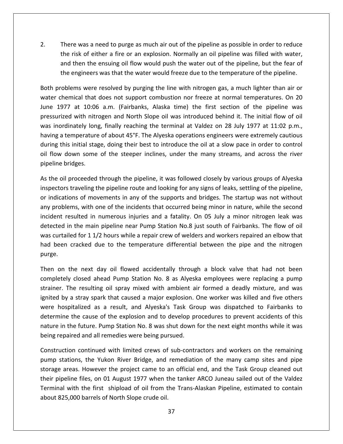There was a need to purge as much air out of the pipeline as possible in order to reduce There was a need to purge as much air out of the pipeline as possible in order to reduce<br>the risk of either a fire or an explosion. Normally an oil pipeline was filled with water. then was a need to purge as much air out of the pipeline as possible in order to reduce<br>tisk of either a fire or an explosion. Normally an oil pipeline was filled with water,<br>then the ensuing oil flow would push the water 2. There was a need to purge as much air out of the pipeline as possible in order to reduce<br>the risk of either a fire or an explosion. Normally an oil pipeline was filled with water,<br>and then the ensuing oil flow would pus There was a need to purge as much air out of the pipeline as possible in order to reduce<br>the risk of either a fire or an explosion. Normally an oil pipeline was filled with water,<br>and then the ensuing oil flow would push t  $2<sub>1</sub>$ There was a need to purge as much air out of the pipeline as possible in order to reduce<br>the risk of either a fire or an explosion. Normally an oil pipeline was filled with water,<br>and then the ensuing oil flow would push t the risk of either a fire or an explosion. Normally an oil pipeline was filled with water,<br>and then the ensuing oil flow would push the water out of the pipeline, but the fear of<br>the engineers was that the water would free and then the ensuing oil flow would push the water out of the pipeline, but the fear of

then the ensuing oil flow would push the water out of the pipeline, but the fear of<br>ngineers was that the water would freeze due to the temperature of the pipeline.<br>ms were resolved by purging the line with nitrogen gas, a the engineers was that the water would freeze due to the temperature of the pipeline.<br>Both problems were resolved by purging the line with nitrogen gas, a much lighter than air or<br>water chemical that does not support combu roblems were resolved by purging the line with nitrogen gas, a much lighter than air or<br>chemical that does not support combustion nor freeze at normal temperatures. On 20<br>977 at 10:06 a.m. (Fairbanks, Alaska time) the firs Both problems were resolved by purging the line with nitrogen gas, a much lighter than air or water chemical that does not support combustion nor freeze at normal temperatures. On 20 themical that does not support combustion nor freeze at normal temperatures. On 20<br>977 at 10:06 a.m. (Fairbanks, Alaska time) the first section of the pipeline was<br>ized with nitrogen and North Slope oil was introduced behi June 1977 at 10:06 a.m. (Fairbanks, Alaska time) the first section of the pipeline was flow down some of the steeper inclines, under the many streams, and across the river flow down some of the steeper inclines, under the many streams, and across the river of flow down some of the steeper inclines, under the pressurized with nitrogen and North Slope oil was introduced behind it. The initial flow of oil pressurized with nitr<br>pressurized with nitr<br>having a temperature<br>during this initial stage<br>oil flow down some<br>pipeline bridges. inordinately long, finally reaching the terminal at Valdez on 28 July 1977 at 11:02 p.m.,<br>ving a temperature of about 45°F. The Alyeska operations engineers were extremely cautious<br>ting this initial stage, doing their best having a te having a temperature of about 45°F. The Alyeska operations engineers were extremely cautious<br>during this initial stage, doing their best to introduce the oil at a slow pace in order to control<br>oil flow down some of the ste ring this initial stage, doing their best to introduce the oil at a slow pace in order to control<br>flow down some of the steeper inclines, under the many streams, and across the river<br>eline bridges.<br>the oil proceeded throug oil i pipeline bridges.

low down some of the steeper inclines, under the many streams, and across the river<br>line bridges.<br>he oil proceeded through the pipeline, it was followed closely by various groups of Alyeska<br>ectors traveling the pipeline ro pridges.<br>I proceeded through the pipeline, it was followed closely by various groups of Alyeska<br>is traveling the pipeline route and looking for any signs of leaks, settling of the pipeline,<br>tions of movements in any of the As the oil proceeded through the pipeline, it was followed closely by various groups of Alyeska<br>inspectors traveling the pipeline route and looking for any signs of leaks, settling of the pipeline,<br>or indications of moveme inspectors traveling the pipeline route and looking for any signs of leaks, settling of the pipeline, curtailed for 11/2 hours while a repair crew of welders and workers repaired an elbow that<br>curtailed for 11/2 hours while a repair crew of wellow that was not without<br>problems, with one of the incidents that occurred being or indications of movements in any of the supports and bridges. The startup was not without betwish cracked in any of the supports and bridges. The startup was not without<br>problems, with one of the incidents that occurred being minor in nature, while the second<br>ent resulted in numerous injuries and a fatality. On any problems, with one of the incidents that occurred being minor in nature, while the second incident re<br>detected ir<br>was curtail<br>had been<br>purge. nt resulted in numerous injuries and a fatality. On 05 July a minor nitrogen leak was<br>ed in the main pipeline near Pump Station No.8 just south of Fairbanks. The flow of oil<br>urtailed for 1 1/2 hours while a repair crew of detected in the main pipeline near Pump Station No.8 just south of Fairbanks. The flow of oil the main pipeline near Pump Station No.8 just south of Fairbanks. The flow of oil<br>d for 1 1/2 hours while a repair crew of welders and workers repaired an elbow that<br>racked due to the temperature differential between the p was curtailed for 11/2 hours while a repair crew of welders and workers repaired an elbow that iled for 1 1/2 hours while a repair crew of welders and workers repaired an elbow that<br>i cracked due to the temperature differential between the pipe and the nitrogen<br>the next day oil flowed accidentally through a block va had b $\epsilon$ purge.

en cracked due to the temperature differential between the pipe and the nitrogen<br>
In the next day oil flowed accidentally through a block valve that had not been<br>
tely closed ahead Pump Station No. 8 as Alyeska employees w on the next day oil flowed accidentally through a block valve that had not been<br>etely closed ahead Pump Station No. 8 as Alyeska employees were replacing a pump<br>er. The resulting oil spray mixed with ambient air formed a d Then on the next day oil flowed accidentally through a block valve that had not been the next day oil flowed accidentally through a block valve that had not been<br>closed ahead Pump Station No. 8 as Alyeska employees were replacing a pump<br>ne resulting oil spray mixed with ambient air formed a deadly mixture, completely closed ahead Pump Station No. 8 as Alyeska employees were replacing a pump in the field and Pump Station No. 8 as Alyeska employees were replacing a pump<br>
r. The resulting oil spray mixed with ambient air formed a deadly mixture, and was<br>
by a stray spark that caused a major explosion. One worker strainer. The resulting oil spray mixed with ambient air formed a deadly mixture, and was strainer. The resulting oil spray mixed with ambient aignited by a stray spark that caused a major explosion. Only were hospitalized as a result, and Alyeska's Task Green determine the cause of the explosion and to develop tray spark that caused a major explosion. One worker was killed and five others<br>lized as a result, and Alyeska's Task Group was dispatched to Fairbanks to<br>e cause of the explosion and to develop procedures to prevent accid were nospitalized as a result, and Alyeska's Task Group was dispatched to Fairbanks to<br>nine the cause of the explosion and to develop procedures to prevent accidents of this<br>in the future. Pump Station No. 8 was shut down for t determine the cause of the explosion and to develop procedures to prevent accidents of this ne the cause of the explosion and to develop procedures to prevent accidents of this<br>
in the future. Pump Station No. 8 was shut down for the next eight months while it was<br>
paired and all remedies were being pursued.<br>
Int nature in the future. Pump Station No. 8 was shut down for the next eight months while it was being repaired and all remedies were being pursued.

pump stations, the Yukon River Bridge, and remediation of the many camp sites and pipe e in the future. Pump Station No. 8 was shut down for the next eight months while it was<br>repaired and all remedies were being pursued.<br>Tuction continued with limited crews of sub-contractors and workers on the remaining<br>o aired and all remedies were being pursued.<br>ion continued with limited crews of sub-contractors and workers on the remaining<br>tions, the Yukon River Bridge, and remediation of the many camp sites and pipe<br>reas. However the p Construction continued with limited crews of sub-contractors and workers on the remaining uction continued with limited crews of sub-<br>stations, the Yukon River Bridge, and reme<br>e areas. However the project came to an off<br>ipeline files, on 01 August 1977 when the ta<br>all with the first shipload of oil from the Tr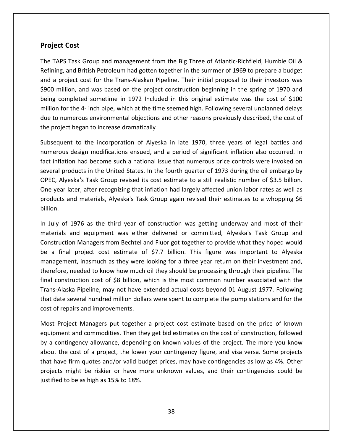# **Cost Project Cost**

Part Cost<br>TAPS Task Group and management from the Big Three of Atlantic-Richfield, Humble Oil & **Cost**<br>Task Group and management from the Big Three of Atlantic-Richfield, Humble Oil &<br>and British Petroleum had gotten together in the summer of 1969 to prepare a budget **Example 2018**<br>TAPS Task Group and management from the Big Three of Atlantic-Richfield, Humble Oil &<br>Alting, and British Petroleum had gotten together in the summer of 1969 to prepare a budget<br>A project cost for the Transect Cost<br>APS Task Group and management from the Big Three of Atlantic-Richfield, Humble Oil &<br>ng, and British Petroleum had gotten together in the summer of 1969 to prepare a budget<br>project cost for the Trans-Alaskan Pipel **ct Cost**<br>NPS Task Group and management from the Big Three of Atlantic-Richfield, Humble Oil &<br>Ig, and British Petroleum had gotten together in the summer of 1969 to prepare a budget<br>project cost for the Trans-Alaskan Pipe  $\overline{m}$   $\overline{m}$ PS Task Group and management from the Big Three of Atlantic-Richfield, Humble Oil &<br>g, and British Petroleum had gotten together in the summer of 1969 to prepare a budget<br>project cost for the Trans-Alaskan Pipeline. Their The transformation and particle to numerof 1969 to prepare a budget<br>Refining, and British Petroleum had gotten together in the summer of 1969 to prepare a budget<br>and a project cost for the Trans-Alaskan Pipeline. Their ini The project cost for the Trans-Alaskan Pipeline<br>\$900 million, and was based on the project cons<br>being completed sometime in 1972 Included in<br>million for the 4- inch pipe, which at the time seer<br>due to numerous environmenta \$900 million, and was based on the project construction beginning in the spring of 1970 and and was based on the project construction beginning in the spring of 1970 and<br>eted sometime in 1972 Included in this original estimate was the cost of \$100<br>e 4- inch pipe, which at the time seemed high. Following several being completed sometime in 1972 Included in this original estimate was the cost of \$100 pleted sometime in 1972 Included in this original estimate was the cost of \$100<br>the 4- inch pipe, which at the time seemed high. Following several unplanned delays<br>nerous environmental objections and other reasons previous million for the 4- inch pipe, which at the time seemed high. Following several unplanned delays on for the 4- inch pipe, which at the time seemed high. Following several unplanned delays<br>to numerous environmental objections and other reasons previously described, the cost of<br>project began to increase dramatically<br>equ due to numerous environmental objections and other reasons previously described, the cost of the project began to increase dramatically

numerous environmental objections and other reasons previously described, the cost of<br>ect began to increase dramatically<br>uent to the incorporation of Alyeska in late 1970, three years of legal battles and<br>us design modific the project began to increase dramatically<br>Subsequent to the incorporation of Alyeska in late 1970, three years of legal battles and<br>numerous design modifications ensued, and a period of significant inflation also occurred equent to the incorporation of Alyeska in late 1970, three years of legal battles and<br>erous design modifications ensued, and a period of significant inflation also occurred. In<br>inflation had become such a national issue th Subsequent to the incorporation of Alyeska in late 1970, three years of legal battles and numerous design modifications ensued, and a period of significant inflation also occurred. In and materials, Alveska's Task Group again revised their estimates to a whopping Servey and significant inflation also occurred. In ion had become such a national issue that numerous price controls were invoked on roducts i fact inflation had become such a national issue that numerous price controls were invoked on several products in the United States. In the fourth quarter of 1973 during the oil embargo by reral products in the United States. In the fourth quarter of 1973 during the oil embargo by<br>EC, Alyeska's Task Group revised its cost estimate to a still realistic number of \$3.5 billion.<br>e year later, after recognizing t OPEC, Alyeska's Task Group revised its cost estimate to a still realistic number of \$3.5 billion. eska's Task Group revised its cost estimate to a still realistic number of \$3.5 billion.<br>ater, after recognizing that inflation had largely affected union labor rates as well as<br>nd materials, Alyeska's Task Group again rev One year later, after recognizing that inflation had largely affected union labor rates as well as r, after recognizing that inflation had largely affected union labor rates as well as<br>materials, Alyeska's Task Group again revised their estimates to a whopping \$6<br>76 as the third year of construction was getting underway products and materials, Alyeska's Task Group again revised their estimates to a whopping \$6 billion.

ducts and materials, Alyeska's Task Group again revised their estimates to a whopping \$6<br>on.<br>uly of 1976 as the third year of construction was getting underway and most of their<br>erials and equipment was either delivered or billion.<br>In July of 1976 as the third year of construction was getting underway and most of their<br>materials and equipment was either delivered or committed, Alyeska's Task Group and<br>Construction Managers from Bechtel and F 1976 as the third year of construction was getting underway and most of their<br>and equipment was either delivered or committed, Alyeska's Task Group and<br>on Managers from Bechtel and Fluor got together to provide what they h In July of 1976 as the third year of construction was getting underway and most of their materials and equipment was either delivered or committed, Alyeska's Task Group and rials and equipment was either delivered or committed, Alyeska's Task Group and<br>truction Managers from Bechtel and Fluor got together to provide what they hoped would<br>final project cost estimate of \$7.7 billion. This figur  $\overline{\phantom{a}}$ Managers from Bechtel and Fluor got together to provide what they hoped would<br>project cost estimate of \$7.7 billion. This figure was important to Alyeska<br>in inasmuch as they were looking for a three year return on their in ton.<br>' a final project cost estimate of \$7.7 billion. This figure was important to Alyeska<br>agement, inasmuch as they were looking for a three year return on their investment and,<br>efore, needed to know how much oil they should be be a final project cost estimate of \$7.7 billion. This figure was important to Alyeska management, inasmuch as they were looking for a three year return on their investment and, of a final project east estimate of<br>management, inasmuch as they were<br>therefore, needed to know how much<br>final construction cost of \$8 billion, v<br>Trans-Alaska Pipeline, may not have e<br>that date several hundred million doll ore, needed to know how much oil they should be processing through their pipeline. The<br>onstruction cost of \$8 billion, which is the most common number associated with the<br>Alaska Pipeline, may not have extended actual costs  $f$ inal const uction cost of \$8 billion, which is the most common number associated with the<br>a Pipeline, may not have extended actual costs beyond 01 August 1977. Following<br>veral hundred million dollars were spent to complete the pump s Trans-Alaska Pipeline, may not have extended actual costs beyond 01 August 1977. Following ns-Alaska Pipeline, may not have extended actual costs beyond 01 August 1977. Following<br>
t date several hundred million dollars were spent to complete the pump stations and for the<br>
t of repairs and improvements.<br>
st Proje that date several hundred million dollars were spent to complete the pump stations and for the cost of repairs and improvements.

that have firm quotes and/or valid budget prices, may have contingencies as low as 4%. Other the several hundred million dollars were spent to complete the pump stations and for the<br>
repairs and improvements.<br>
Project Managers put together a project cost estimate based on the price of known<br>
nent and commodities. of repairs and improvements.<br>
I Project Managers put together a project cost estimate based on the price of known<br>
oment and commodities. Then they get bid estimates on the cost of construction, followed<br>
contingency allow  $\overline{p}$ by intertydance and commodities. Then they get bid estimates on the cost of construction, followed<br>tingency allowance, depending on known values of the project. The more you known<br>e cost of a project, the lower your contin  $\ddot{\phantom{1}}$ . equipment and commodities. Then they get bid estimates on the cost of construction, followed<br>by a contingency allowance, depending on known values of the project. The more you know<br>about the cost of a project, the lower yo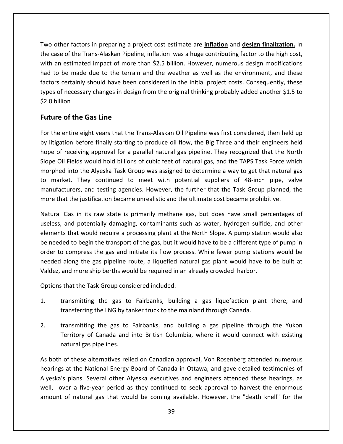other factors in preparing <sup>a</sup> project cost estimate are **inflation** and **design finalization.** In Two other factors in preparing a project cost estimate are **inflation** and **design finalization.** In<br>the case of the Trans-Alaskan Pipeline, inflation was a huge contributing factor to the high cost, other factors in preparing a project cost estimate are **inflation** and **design finalization**. In<br>ase of the Trans-Alaskan Pipeline, inflation was a huge contributing factor to the high cost,<br>an estimated impact of more tha other factors in preparing a project cost estimate are **inflation** and **design finalization**. In<br>tase of the Trans-Alaskan Pipeline, inflation was a huge contributing factor to the high cost,<br>an estimated impact of more th ner factors in preparing a project cost estimate are **inflation** and **design finalization**. In<br>e of the Trans-Alaskan Pipeline, inflation was a huge contributing factor to the high cost,<br>estimated impact of more than \$2.5  $\mathbf{t}$ ther factors in preparing a project cost estimate are **inflation** and **design finalization**. In<br>se of the Trans-Alaskan Pipeline, inflation was a huge contributing factor to the high cost,<br>in estimated impact of more than ....<br>.. ase of the Trans<br>an estimated in<br>to be made durs<br>of necessary cl<br>billion the case of the Trans-Alaskan Pipeline, inflation was a huge contributing factor to the high cost, of the Trans-Alaskan Pipelin<br>estimated impact of more t<br>be made due to the terrain<br>ertainly should have been c<br>necessary changes in design<br>on<br>**of the Gas Line** factors certainly should have been considered in the initial project costs. Consequently, these ors certainly should have been considered in the initial project costs. Consequently, these<br>is of necessary changes in design from the original thinking probably added another \$1.5 to<br>i) billion<br>**ure of the Gas Line**<br>the e types of necessary changes in design from the original thinking probably added another \$1.5 to<br>\$2.0 billion<br>**Future of the Gas Line**<br>For the entire eight years that the Trans-Alaskan Oil Pipeline was first considered, then \$2.0 billion

#### **Future of the Gas Line**

illion<br> **Example 5 of the Gas Line**<br>
e entire eight years that the Trans-Alaskan Oil Pipeline was first considered, then held up<br>
gation before finally starting to produce oil flow, the Big Three and their engineers held<br> re of the Gas Line<br>
e entire eight years that the Trans-Alaskan Oil Pipeline was first considered, then held up<br>
gation before finally starting to produce oil flow, the Big Three and their engineers held<br>
of receiving appr **if the Gas Line**<br>htire eight years that the Trans-Alaskan Oil Pipeline was first considered, then held up<br>on before finally starting to produce oil flow, the Big Three and their engineers held<br>eceiving approval for a para For the entire eight years that the Trans-Alaskan Oil Pipeline was first considered, then held up the entire eight years that the Trans-Alaskan Oil Pipeline was first considered, then held up<br>itigation before finally starting to produce oil flow, the Big Three and their engineers held<br>e of receiving approval for a para by litigation before finally starting to produce oil flow, the Big Three and their engineers held and testing agencies. However, the further that the Task Group planned, the function of a parallel natural gas pipeline. They recognized that the North would hold billions of cubic feet of natural gas, and the TAPS Task Fo hope of receiving approval for a parallel natural gas pipeline. They recognized that the North that the justification became unrealistic and the ultimate cost became prohibitive.<br>
Slope Oil Fields would hold billions of cubic feet of natural gas, and the TAPS Task Force wh<br>
morphed into the Alyeska Task Group was as I Fields would hold billions of cubic feet of natural gas, and the TAPS Task Force which<br>d into the Alyeska Task Group was assigned to determine a way to get that natural gas<br>ket. They continued to meet with potential supp morphe I into the Alyeska Task Group was assigned to determine a way to get that natural gas<br>tet. They continued to meet with potential suppliers of 48-inch pipe, valve<br>turers, and testing agencies. However, the further that the to market. They continued to meet with potential suppliers of 48-inch pipe, valve that would require a processing plant at the North Slope. A pump station would also<br>that would require a processing plant at the North Slope.<br>The instification became unrealistic and the ultimate cost became prohibitive.<br>T manufacturers, and testing agencies. However, the further that the Task Group planned, the more that the justification became unrealistic and the ultimate cost became prohibitive.

nufacturers, and testing agencies. However, the further that the Task Group planned, the<br>re that the justification became unrealistic and the ultimate cost became prohibitive.<br>tural Gas in its raw state is primarily methan that the justification became unrealistic and the ultimate cost became prohibitive.<br>
Il Gas in its raw state is primarily methane gas, but does have small percentages of<br>
s, and potentially damaging, contaminants such as w Natural Gas in its raw state is primarily methane gas, but does have small percentages of Gas in its raw state is primarily methane gas, but does have small percentages of and potentially damaging, contaminants such as water, hydrogen sulfide, and other s that would require a processing plant at the North Slope useless, and potentially damaging, contaminants such as water, hydrogen sulfide, and other ractara cas in its rate state is primality intentate gas, set accs hare small per<br>useless, and potentially damaging, contaminants such as water, hydrogen sulfide<br>elements that would require a processing plant at the North s that would require a processing plant at the<br>ed to begin the transport of the gas, but it wore<br>compress the gas and initiate its flow proce<br>along the gas pipeline route, a liquefied nat<br>and more ship berths would be requ order to compress the gas and initiate its flow process. While fewer pump stations would be to compress the gas and initiate its flow process. While fewer pump stations would be<br>d along the gas pipeline route, a liquefied natural gas plant would have to be built at<br>i, and more ship berths would be required in an meeded along the gas pipeline route, a liquefied natural gas plant would have<br>
Valdez, and more ship berths would be required in an already crowded harbor.<br>
Options that the Task Group considered included:<br>
1. Intransmitti

Options that the Task Group considered included:

- that the Task Group considered included:<br>transmitting the gas to Fairbanks, building a gas liquefaction plant there, and<br>transferring the LNG by tanker truck to the mainland through Canada.<br>transmitting the gas to Fairbank Task Group considered included:<br>ng the gas to Fairbanks, building a gas liquefaction plant there, and<br>ng the LNG by tanker truck to the mainland through Canada.<br>ng the gas to Fairbanks, and building a gas pipeline through
- 1. transmitting the gas to<br>transferring the LNG by ta<br>2. transmitting the gas to<br>Territory of Canada and<br>natural gas pipelines. transferring the LNG by tanker truck to the mainland through Canada.<br>
transmitting the gas to Fairbanks, and building a gas pipeline through the Yukon<br>
Territory of Canada and into British Columbia, where it would connect ansmitting the gas to Fairbanks, and building a gas pipeline through the Yukon<br>
experitory of Canada and into British Columbia, where it would connect with existing<br>
stural gas pipelines.<br>
of these alternatives relied on C 2. tr<br>Te<br>As both o<br>Aksakala nsmitting the gas to Fairbanks, and building a gas pipeline through the Yukon<br>rritory of Canada and into British Columbia, where it would connect with existing<br>tural gas pipelines.<br>It these alternatives relied on Canadian amount

As both of these alternatives relied on Canadian approval, Von Rosenberg attended numerous Territory of Canada and into British Columbia, where it would connect with existing<br>natural gas pipelines.<br>h of these alternatives relied on Canadian approval, Von Rosenberg attended numerous<br>gs at the National Energy Boar atural gas pipelines.<br>
of these alternatives relied on Canadian approval, Von Rosenberg attended numerous<br>
at the National Energy Board of Canada in Ottawa, and gave detailed testimonies of<br>
plans. Several other Alyeska ex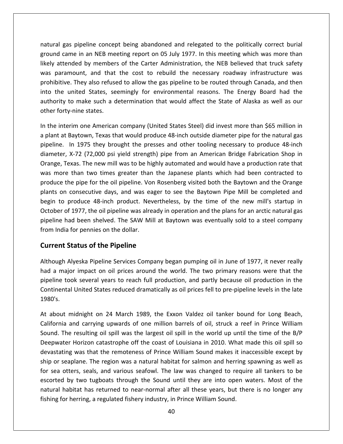gas pipeline concept being abandoned and relegated to the politically correct burial gas pipeline concept being abandoned and relegated to the politically correct burial<br>came in an NEB meeting report on 05 July 1977. In this meeting which was more than al gas pipeline concept being abandoned and relegated to the politically correct burial<br>d came in an NEB meeting report on 05 July 1977. In this meeting which was more than<br>attended by members of the Carter Administration, al gas pipeline concept being abandoned and relegated to the politically correct burial<br>nd came in an NEB meeting report on 05 July 1977. In this meeting which was more than<br>attended by members of the Carter Administration pipeline concept being abandoned and relegated to the politically correct burial<br>e in an NEB meeting report on 05 July 1977. In this meeting which was more than<br>led by members of the Carter Administration, the NEB believed natural gas pipeline concept being abandoned and relegated to the politically correct burial al gas pipeline concept being abandoned and relegated to the politically correct burial<br>nd came in an NEB meeting report on 05 July 1977. In this meeting which was more than<br>attended by members of the Carter Administration ground came in an NEB meeting report on 05 July 1977. In this meeting which was more than to pipeline concept seing distinuous and relegated to the pontically correct sandi<br>me in an NEB meeting report on 05 July 1977. In this meeting which was more than<br>nded by members of the Carter Administration, the NEB beli likely attended by members of the Carter Administration, the NEB believed that truck safety a came in an NEB me<br>attended by member<br>paramount, and that<br>bitive. They also refuse<br>he united States, se<br>rity to make such a c<br>fortv-nine states. was paramount, and that the cost to rebuild the necessary roadway infrastructure was is paramount, and that the cost to rebuild the necessary roadway infrastructure was<br>ohibitive. They also refused to allow the gas pipeline to be routed through Canada, and then<br>o the united States, seemingly for environmen prohibitive. They also refused to allow the gas pipeline to be routed through Canada, and then rohibitive. They also refused to allow the gas pipeline to be routed through Canada, and then<br>to the united States, seemingly for environmental reasons. The Energy Board had the<br>uthority to make such a determination that w into the united States, seemingly for environmental reasons. The Energy Board had the<br>to make such a determination that would affect the State of Alaska as well as our<br>r-nine states.<br>Tim one American company (United States Steel) d authority to make such a determination that would affect the State of Alaska as well as our other forty-nine states.

to make such a determination that would affect the State of Alaska as well as our<br>r-nine states.<br>rim one American company (United States Steel) did invest more than \$65 million in<br>Baytown, Texas that would produce 48-inch ty-nine states.<br>
terim one American company (United States Steel) did invest more than \$65 million in<br>
t Baytown, Texas that would produce 48-inch outside diameter pipe for the natural gas<br>
In 1975 they brought the presses In the interim one American company (United States Steel) did invest more than \$65 million in e interim one American company (United States Steel) did invest more than \$65 million in<br>nt at Baytown, Texas that would produce 48-inch outside diameter pipe for the natural gas<br>ine. In 1975 they brought the presses and o a plant at Baytown, Texas that would produce 48-inch outside diameter pipe for the natural gas the pipe for the natural tempelity (efficed states steel) are invest instermed than  $\frac{1}{2}$  position. The pipeline of the pipeline of the pipeline. In 1975 they brought the presses and other tooling necessary to produce  $\mathsf{F}$ on consecutive days, and was eager to see the Baytown Pipe Mill be completed and<br>on consecutive days, and was to be highly automated and would have a production Shop in<br>i, Texas. The new mill was to be highly automated and diameter, X-72 (72,000 psi yield strength) pipe from an American Bridge Fabrication Shop in the produce 18-inch product. Nevertheless, by the time of the new mill's startup in<br>the product in two times greater than the Japanese plants which had been contracted to<br>the pipe for the oil pipeline. Von Rosenberg visite Orange, Texas. The new mill was to be highly automated and would have a production shop in<br>Orange, Texas. The new mill was to be highly automated and would have a production rate that<br>was more than two times greater than t was more than two times greater than the Japanese plants which had been contracted to Fends: The HeW Hill was to be Highly date matter and would hade a production rate that<br>The pipe for the oil pipeline. Von Rosenberg visited both the Baytown and the Orange<br>In consecutive days, and was eager to see the Bayt mas more than two times greater than<br>produce the pipe for the oil pipeline. Vo<br>plants on consecutive days, and was ea<br>begin to produce 48-inch product. Ne<br>October of 1977, the oil pipeline was alre<br>pipeline had been shelve he pipe for the oil pipeline. Von Rost consecutive days, and was eager produce 48-inch product. Neverth of 1977, the oil pipeline was already is also been shelved. The SAW Mill at a for pennies on the dollar.<br>**Status of th** October of 1977, the oil pipeline was already in operation and the plans for an arctic natural gas f 1977, the oil pipeline was already in operation and the plans for an arctic natural gas<br>ad been shelved. The SAW Mill at Baytown was eventually sold to a steel company<br>a for pennies on the dollar.<br>**Status of the Pipeline** pipeline had been shelved. The SAW Mill at Baytown was eventually sold to a steel company ine had been shelved. The SAW Mill at Baytown was eventually sold to a steel company<br>
India for pennies on the dollar.<br> **Tent Status of the Pipeline**<br>
pugh Alyeska Pipeline Services Company began pumping oil in June of 197 from India for pennies on the dollar.

likely

ia for pennies on the dollar.<br>
I Status of the Pipeline<br>
I Alyeska Pipeline Services Company began pumping oil in June of 1977, it never really<br>
ajor impact on oil prices around the world. The two primary reasons were that atus of the Pipeline<br>yeska Pipeline Services Company began pumping oil in June of 1977, it never really<br>impact on oil prices around the world. The two primary reasons were that the<br>k several years to reach full production, **Current Status of the Pipeline**<br>Although Alyeska Pipeline Services Company began pumping oil in June of 1977, it never really<br>had a major impact on oil prices around the world. The two primary reasons were that the<br>pipeli or impact on oil prices around the world. The two primary reasons were that the<br>pok several years to reach full production, and partly because oil production in the<br>al United States reduced dramatically as oil prices fell pipelin Continenta  $1980's.$ 

ship or seaplane. The region was a natural habitat for salmon and herring spawning as well as result on the resulting variation in the result of the result of the result of the result of the late<br>the resulting of States reduced dramatically as oil prices fell to pre-pipeline levels in the late<br>at midnight on 24 Mar United States reduced dramatically as oil prices fell to pre-pipeline levels in the late<br>idnight on 24 March 1989, the Exxon Valdez oil tanker bound for Long Beach,<br>nd carrying upwards of one million barrels of oil, struck idnight on 24 March 1989, the Exxon Valdez oil tanker bound for Long Beach,<br>nd carrying upwards of one million barrels of oil, struck a reef in Prince William<br>resulting oil spill was the largest oil spill in the world up u At about midnight on 24 March 1989, the Exxon Valdez oil tanker bound for Long Beach,<br>California and carrying upwards of one million barrels of oil, struck a reef in Prince William<br>Sound. The resulting oil spill was the la California and carrying upwards of one million barrels of oil, struck a reef in Prince William sead manight on 21 mater. 1583, the Extern valued on tanker sound for Esng Beddin,<br>fornia and carrying upwards of one million barrels of oil, struck a reef in Prince William<br>nd. The resulting oil spill was the largest oil Sound. The resulting oil spill was the largest oil spill in the world up until the time of the B/P by the resulting oil spill was the largest oil spill in the world up until the time of the B/P<br>er Horizon catastrophe off the coast of Louisiana in 2010. What made this oil spill so<br>ng was that the remoteness of Prince Wil Deepwater Horizon catastrophe off the coast of Louisiana in 2010. What made this oil spill so had the resulting on spin was the largest on spin in the world ap antil the time of the sytem there Horizon catastrophe off the coast of Louisiana in 2010. What made this oil spill so ting was that the remoteness of Prince devastating was that the remoteness of Prince William Sound makes it inacceship or seaplane. The region was a natural habitat for salmon and herring spa<br>for sea otters, seals, and various seafowl. The law was changed to re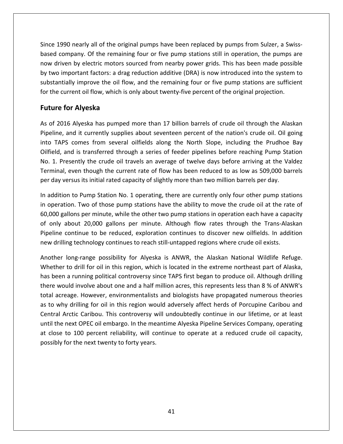1990 nearly all of the original pumps have been replaced by pumps from Sulzer, a Swiss- based of the original pumps have been replaced by pumps from Sulzer, a Swisscompany all of the original pumps have been replaced by pumps from Sulzer, a Swiss-<br>Company. Of the remaining four or five pump stations still in operation, the pumps are driven by electric motors sourced from nearby power grids. This has been made possible driven by electric motors sourced from nearby power grids. This has been made possible the 1990 nearly all of the original pumps have been replaced by pumps from Sulzer, a Swiss-<br>the company. Of the remaining four or five pump stations still in operation, the pumps are<br>w driven by electric motors sourced fro early all of the original pumps have been replaced by pumps from Sulzer, a Swiss-<br>ny. Of the remaining four or five pump stations still in operation, the pumps are<br>y electric motors sourced from nearby power grids. This ha Since 1990 nearly all of the original pumps have been replaced by pumps from Sulzer, a Swissbased company. Of the remaining four or five pump stations still in operation, the pumps are now driven by electric motors sourced from nearby power grids. This has been made possible 90 nearly all of the origompany. Of the remaini<br>*i*en by electric motors s<br>mportant factors: a drag<br>ially improve the oil flo<br>urrent oil flow, which is<br>**for Alveska** by two important factors: a drag reduction additive (DRA) is now introduced into the system to two important factors: a drag reduction additive (DRA) is now introduced into the system to<br>stantially improve the oil flow, and the remaining four or five pump stations are sufficient<br>the current oil flow, which is only a substantially improve the oil flow, and the remaining four or five pump stations are sufficient ally improve the oil flow, and the remaining four or five pump stations are sufficient<br>irrent oil flow, which is only about twenty-five percent of the original projection.<br>**Or Alyeska**<br>6 Alyeska has pumped more than 17 bil for the current oil flow, which is only about twenty-five percent of the original projection.

#### **Future for Alyeska**

now

TAPS comes from several oilfields along the North Slope, including the Prudhoe Bay<br>TAPS comes from several oilfields along the North Slope, including the Prudhoe Bay<br>TAPS comes from several oilfields along the North Slope, **for Alyeska**<br>16 Alyeska has pumped more than 17 billion barrels of crude oil through the Alaskan<br>and it currently supplies about seventeen percent of the nation's crude oil. Oil going<br>25 comes from several oilfields along IT 2016 Alyeska has pumped more than 17 billion barrels of crude oil through the Alaskan<br>
line, and it currently supplies about seventeen percent of the nation's crude oil. Oil going<br>
TAPS comes from several oilfields alon As of 2016 Alyeska has pumped more than 17 billion barrels of crude oil through the Alaskan 5 Alyeska has pumped more than 17 billion barrels of crude oil through the Alaskan<br>and it currently supplies about seventeen percent of the nation's crude oil. Oil going<br>comes from several oilfields along the North Slope, Pipeline, and it currently supplies about seventeen percent of the nation's crude oil. Oil going deline, and it currently supplies about seventeen percent of the nation's crude oil. Oil gotther and it currently supplies about seventeen percent of the nation's crude oil. Oil gotther and is transferred through a series Ino TAPS comes from several oilfields along the North Slope, including the Prudhoe Bay<br>field, and is transferred through a series of feeder pipelines before reaching Pump Station<br>0. 1. Presently the crude oil travels an aver Oilfield, and is transferred through a series of feeder pipelines before reaching Pump Station field, and is transferred through a series of feeder pipelines before reaching Pump Station<br>
1. Presently the crude oil travels an average of twelve days before arriving at the Valdez<br>
rminal, even though the current rate No. 1. Presently the crude oil travels an average of twelve days before arriving at the Valdez Terminal, even though the current rate of flow has been reduced to as low as 509,000 barrels per day versus its initial rated capacity of slightly more than two million barrels per day.

Presently the crude oil travels an average of twelve days before arriving at the Valdez<br>al, even though the current rate of flow has been reduced to as low as 509,000 barrels<br>versus its initial rated capacity of slightly m minal, even though the current rate of flow has been reduced to as low as 509,000 barrels<br>
day versus its initial rated capacity of slightly more than two million barrels per day.<br>
addition to Pump Station No. 1 operating, rersus its initial rated capacity of slightly more than two million barrels per day.<br>
So to Pump Station No. 1 operating, there are currently only four other pump stations<br>
sion. Two of those pump stations have the ability In addition to Pump Station No. 1 operating, there are currently only four other pump stations in operation. Two of those pump stations have the ability to move the crude oil at the rate of 60,000 gallons per minute, while the other two pump stations in operation each have a capacity of only about 20,000 gallons per in operation. Two of those pump stations have the ability to move the crude oil at the rate of 60,000 gallons per minute, while the other two pump stations in operation each have a capacity of only about 20,000 gallons per 60,000 gallons per minute, while the other two pump stations in operation each have a capacity<br>of only about 20,000 gallons per minute. Although flow rates through the Trans-Alaskan<br>Pipeline continue to be reduced, explora Pipeline continue to be reduced, exploration continues to discover new oilfields. In addition new drilling technology continues to reach still-untapped regions where crude oil exists.

betwere a running political controversy since TAPS first began to produce oil. Although fields are difields and<br>tilling technology continues to reach still-untapped regions where crude oil exists.<br>ther long-range possibili ne continue to be reduced, exploration continues to discover new oilfields. In addition<br>rilling technology continues to reach still-untapped regions where crude oil exists.<br>er long-range possibility for Alyeska is ANWR, th drilling technology continues to reach still-untapped regions where crude oil exists.<br>
The long-range possibility for Alyeska is ANWR, the Alaskan National Wildlife Refuge.<br>
her to drill for oil in this region, which is lo Another long-range possibility for Alyeska is ANWR, the Alaskan National Wildlife Refuge. other long-range possibility for Alyeska is ANWR, the Alaskan National Wildlife Refuge.<br>
hether to drill for oil in this region, which is located in the extreme northeast part of Alaska,<br>
is been a running political contro  $\frac{1}{2}$ ... For to drill for oil in this region, which is located in the extreme northeast part of Alaska,<br>a a running political controversy since TAPS first began to produce oil. Although drilling<br>pould involve about one and a half m unti<br>' the next OPEC oil embargo. In the meantime Alyeska Pipeline Services Company, operating it would involve about one and a half million acres, this represents less than 8 % of ANWR's acreage. However, environmentalists and b has been a running political controversy since TAPS first began to produce oil. Although drilling<br>there would involve about one and a half million acres, this represents less than 8 % of ANWR's ras seen a rammig permear entrreversy since TMTs instructing produce on manifestive to the would involve about one and a half million acres, this represents less than 8 % of ANWR's total acreage. However, environmentalists eage. However, environmentalists<br>wy drilling for oil in this region wou<br>Arctic Caribou. This controversy wil<br>next OPEC oil embargo. In the meal<br>to 100 percent reliability, will cor<br>for the next twenty to forty years.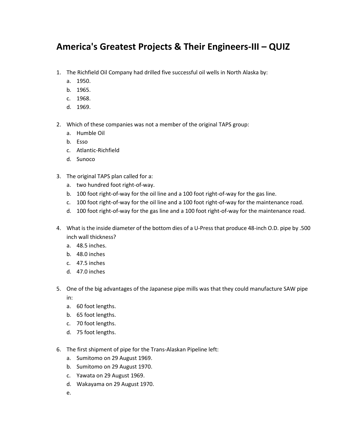# **America's Greatest Projects & Their Engineers-III <sup>ñ</sup> QUIZ** nerica's Greatest Projects & Their Engineers-III – QU<br>The Richfield Oil Company had drilled five successful oil wells in North Alaska by: **nerica's (**<br>The Richfield (<br>a. 1950. **nerica's (**<br>The Richfield (<br>a. 1950.<br>b. 1965.

- The Richfield C<br>
The Richfield C<br>
a. 1950.<br>
b. 1965.<br>
c. 1968. 1. The Richfield (<br>
a. 1950.<br>
b. 1965.<br>
c. 1968.<br>
d. 1969.
	-
	- a. 1950.<br>b. 1965.
	- c. 1968.
	- c.d.
- Which of these company had drined the saccesside of weils in Noten Aleska 1<br>a. 1950.<br>d. 1968.<br>Which of these companies was not a member of the original TAPS group: 1999.<br>1965.<br>1968.<br>1969.<br>ch of these comp<br>Humble Oil 1968.<br>1968.<br>1969.<br>ch of these co<br>Humble Oil<br>Esso 1969.<br>1969.<br>ch of these companies was<br>Humble Oil<br>Esso<br>Atlantic-Richfield  $\ddot{\phantom{0}}$ 
	- a. Humble Oil<br>b. Esso
	-
	- 1505:<br>ch of these comp<br>Humble Oil<br>Esso<br>Atlantic-Richfield<br>Sunoco
	-
- A Humble Oil<br>
a. Humble Oil<br>
b. Esso<br>
c. Atlantic-Richfield<br>
d. Sunoco<br>
The original TAPS plan called for a: the First Community of the First<br>
c. Atlantic-Richfield<br>
d. Sunoco<br>
The original TAPS plan called for a:<br>
a. two hundred foot right-of-way.
	-
	- 100 foot right-of-way for the oil line and a 100 foot right-of-way for the gas line.<br>
	100 foot right-of-way for the oil line and a 100 foot right-of-way for the gas line. 100 foot right-of-way for the oil line and a 100 foot right-of-way for the gas line.<br>
	100 foot right-of-way for the oil line and a 100 foot right-of-way for the gas line.<br>
	100 foot right-of-way for the oil line and a 100 f a. two hundred foot right-of-way.<br>b. 100 foot right-of-way for the oil line and a 100 foot right-of-way for the gas line.
- 100 foot right-of-way for the gas line and a 100 foot right-of-way for the gas line.<br>
100 foot right-of-way for the oil line and a 100 foot right-of-way for the gas line.<br>
100 foot right-of-way for the oil line and a 100 f
	- What is the inside diameter of the bottom dies of a U-Press that produce 48-inch O.D. pipe by .500<br>What is the inside diameter of the bottom dies of a U-Press that produce 48-inch O.D. pipe by .500 c.
- wo handred root right<br>100 foot right-of-way fo<br>100 foot right-of-way fo<br>100 foot right-of-way fo<br>t is the inside diameter<br>wall thickness? b. 100 foot right or<br>
c. 100 foot right-of<br>
d. 100 foot right-of<br>
What is the inside dia<br>
inch wall thickness?<br>
a. 48.5 inches. 100 foot right of w<br>100 foot right-of-w<br>at is the inside dian<br>wall thickness?<br>48.5 inches 198 foot right of w<br>at is the inside dian<br>wall thickness?<br>48.5 inches<br>47.5 inches What is the inside dian<br>inch wall thickness?<br>a. 48.5 inches.<br>b. 48.0 inches<br>c. 47.5 inches<br>d. 47.0 inches
	- a. 48.5 inches.<br>b. 48.0 inches
	-
	- c. 47.5 inches
	-
- One of the big advantages of the Japanese pipe mills was that they could manufacture SAW pipe<br>
One of the big advantages of the Japanese pipe mills was that they could manufacture SAW pipe 6. Foot mentes<br>
1. Foot mentes<br>
1. Foot lengths. b. 60 foot lengths. d. 47.0 inches<br>
One of the big advantage<br>
in:<br>
a. 60 foot lengths.<br>
b. 65 foot lengths. 2. The ments<br>2. One of the big advantage<br>2. 60 foot lengths.<br>2. 65 foot lengths.<br>2. 70 foot lengths. 5. One of the big advantage<br>in:<br>a. 60 foot lengths.<br>b. 65 foot lengths.<br>c. 70 foot lengths.<br>d. 75 foot lengths.
	- a. 60 foot lengths.<br>b. 65 foot lengths.
	-
	-
	-
- ....<br>a. 60 foot lengths.<br>b. 65 foot lengths.<br>d. 75 foot lengths.<br>The first shipment of pipe for the Trans-Alaskan Pipeline left: a. So foot lengths.<br>
b. 65 foot lengths.<br>
c. 70 foot lengths.<br>
d. 75 foot lengths.<br>
The first shipment of pipe for the Trans<br>
a. Sumitomo on 29 August 1969. Sumitor Controllerights.<br>
Sumitor 25 foot lengths.<br>
The first shipment of pipe for the Trans<br>
a. Sumitor oon 29 August 1969.<br>
b. Sumitor oon 29 August 1970. d. 75 foot lengths.<br>The first shipment of pipe for the Tr<br>a. Sumitomo on 29 August 1969.<br>b. Sumitomo on 29 August 1970.<br>c. Yawata on 29 August 1969. a. 19 foot lengths.<br>The first shipment of pipe for the Trans-<br>a. Sumitomo on 29 August 1969.<br>b. Sumitomo on 29 August 1970.<br>c. Yawata on 29 August 1969.<br>d. Wakavama on 29 August 1970.
	-
	-
	-
	-
	- e.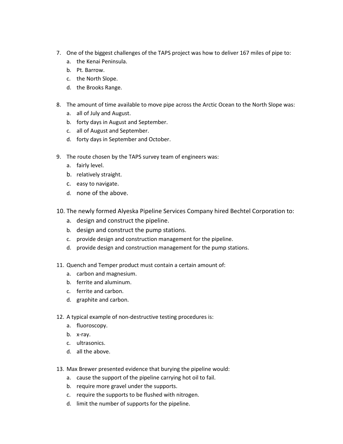- One of the biggest challenges of the TAPS project was how to deliver <sup>167</sup> miles of pipe to: One of the biggest challenges<br>a. the Kenai Peninsula. 7. One of the biggest challeng<br>
a. the Kenai Peninsula.<br>
b. Pt. Barrow.<br>
c. the North Slope.<br>
d. the Brooks Range.
	- One of the biggest c<br>a. the Kenai Penin<br>b. Pt. Barrow. One of the biggest challe<br>
	a. the Kenai Peninsula.<br>
	b. Pt. Barrow.<br>
	c. the North Slope. a. the Kenai Peninsula.<br>b. Pt. Barrow.
	-
	-
	-
- The amount of time available to move pipe across the Arctic Ocean to the North Slope was:<br>The amount of time available to move pipe across the Arctic Ocean to the North Slope was: all of Renail Chinagala.<br>
b. Pt. Barrow.<br>
c. the North Slope.<br>
d. the Brooks Range.<br>
The amount of time available t<br>
a. all of July and August. Forty days in August 2012<br>
Forty days in August 2013<br>
The amount of time available to move pipe and all of July and August.<br>
Forty days in August and September. d. the Brooks Range.<br>The amount of time available to move<br>a. all of July and August.<br>b. forty days in August and September.<br>c. all of August and September. 8. The amount of time available to move pipe act<br>a. all of July and August.<br>b. forty days in August and September.<br>c. all of August and September.<br>d. forty days in September and October.
	-
	- a. fairly days in Au<br>c. all of August an<br>d. forty days in Se<br>The route chosen b<br>a. fairly level.
	- relatively anyonine gase and<br>c. all of August and Septe<br>d. forty days in Septembe<br>The route chosen by the TA<br>a. fairly level.<br>b. relatively straight.
	- c. all of August and Sept<br>d. forty days in Septemb<br>The route chosen by the T<br>a. fairly level.<br>b. relatively straight.<br>c. easy to navigate.
- The amount of thre avantable to move pipe across the Arctic occurs<br>a. all of July and August.<br>b. forty days in August and September.<br>d. forty days in September and October.<br>The route chosen by the TAPS survey team of engin 9. The route chosen by the TAPS survey team of engineers was:<br>
a. fairly level.<br>
b. relatively straight.<br>
c. easy to navigate.<br>
d. none of the above.
	- a. fairly level.
	-
	-
	-
- The route chosen by the TAPS survey team or engineers was:<br>
a. fairly level.<br>
b. relatively straight.<br>
c. easy to navigate.<br>
d. none of the above.<br>
The newly formed Alveska Pipeline Services Company hired Bechtel Corporati design and construct the pipeline.<br>
the construction and construct the pipeline Service<br>
d. none of the above.<br>
The newly formed Alyeska Pipeline Service<br>
a. design and construct the pipeline. b. Telatively straight.<br>
c. easy to navigate.<br>
d. none of the above.<br>
The newly formed Alyeska Pipeline Services Com<br>
a. design and construct the pipeline.<br>
b. design and construct the pump stations. d. none of the above.<br>The newly formed Alyeska Pipeline Services Company hired Becht<br>a. design and construct the pipeline.<br>b. design and construction management for the pipeline.<br>c. provide design and construction manageme 10. The newly formed Alyeska Pipeline Services Company hired Bechtel Com<br>
a. design and construct the pipeline.<br>
b. design and construct the pump stations.<br>
c. provide design and construction management for the pipeline.<br>
	-
	- b. design and construct the p<br>c. provide design and construct<br>d. provide design and construct<br>Quench and Temper product mu<br>a. carbon and magnesium.
	-
	- a. design and construct the pipeline.<br>
	b. design and construct the pump stations.<br>
	c. provide design and construction management for the pipeline.<br>
	d. provide design and construction management for the pump stat<br>
	Quench an c. provide design and construction management for the pipeline.<br>d. provide design and construction management for the pump sta<br>Quench and Temper product must contain a certain amount of:<br>a. carbon and magnesium. d. provide design and conditional conditions and Temper production.<br>Quench and Temper production.<br>a. carbon and magnesium<br>b. ferrite and aluminum.
- 11. Quench and Temper product must contain a certain amount of:<br>
a. carbon and magnesium.<br>
b. ferrite and aluminum.<br>
c. ferrite and carbon.<br>
d. graphite and carbon.
	-
	- b. ferrite and aluminum.
	-
	- denote and alumintancy.<br>b. ferrite and carbo<br>d. graphite and carbo<br>A typical example of<br>a. fluoroscopy. d. graphite and carsed<br>A typical example of<br>a. fluoroscopy.<br>b. x-ray.<br>c. ultrasonics.
- A carbon and nemper product mast contain a certain amount off.<br>
a. carbon and magnesium.<br>
b. ferrite and carbon.<br>
d. graphite and carbon.<br>
A typical example of non-destructive testing procedures is: all the above.<br>
12. A typical example of n<br>
a. fluoroscopy.<br>
b. x-ray.<br>
c. ultrasonics.<br>
d. all the above.
	- s. Territe and<br>d. graphite a<br>A typical exam<br>a. fluoroscop<br>b. x-rav. a. fluoroscopy.<br>b. x-ray.
	-
	-
	-
- May Bread example of non-acstractive testing procedures is:<br>
a. fluoroscopy.<br>
b. x-ray.<br>
d. all the above.<br>
Max Brewer presented evidence that burving the pipeline would: c. Interescopy:<br>
b. x-ray.<br>
c. ultrasonics.<br>
d. all the above.<br>
Max Brewer presented evidence that burying the pipeline would:<br>
a. cause the support of the pipeline carrying hot oil to fail.
	- requires.<br>
	1. all the above.<br>
	1. all the above.<br>
	Max Brewer presented evidence that burying the<br>
	1. cause the support of the pipeline carrying ho<br>
	1. require more gravel under the supports. requires.<br>
	In all the above.<br>
	Max Brewer presented evidence that burying the pipeline<br>
	a. cause the support of the pipeline carrying hot oil to fa<br>
	b. require more gravel under the supports.<br>
	c. require the supports to be If the disovered evidence that burying the<br>cause the support of the pipeline carrying hot<br>require more gravel under the supports.<br>require the supports to be flushed with nitrog<br>limit the number of supports for the pipeline
	-
	-
	-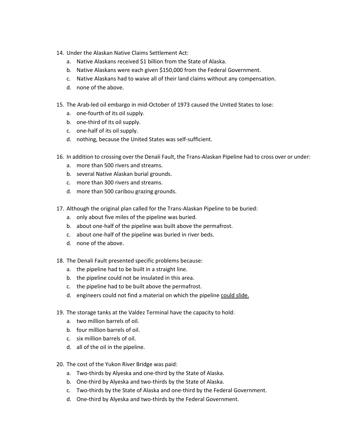- Under the Alaskan Native Claims Settlement Act:
	- Under the Alaskan Native Claims Settlement Act:<br>a. Native Alaskans received \$1 billion from the State of Alaska. Under the Alaskan Native Claims Settlement Act:<br>a. Native Alaskans received \$1 billion from the State of Alaska.<br>b. Native Alaskans were each given \$150.000 from the Federal Government.
- Under the Alaskan Native Claims Settlement Act:<br>a. Native Alaskans received \$1 billion from the State of Alaska.<br>b. Native Alaskans were each given \$150,000 from the Federal Government.<br>c. Native Alaskans had to waiv 14. Under the Alaskan Native Claims Settlement Act:<br>
a. Native Alaskans received \$1 billion from the State of Alaska.<br>
b. Native Alaskans were each given \$150,000 from the Federal<br>
c. Native Alaskans had to waive all of th b. Native Alaskans were each given \$150,000 from the Federal Government. one-fourth of its oil supply.<br>
the Maskans were each given<br>
the Maskans had to waive all<br>
d. none of the above.<br>
The Arab-led oil embargo in mid-Oc<br>
a. one-fourth of its oil supply.
	- The Arab-led oil embargo in mid-October of 1973 caused the United States to lose:<br>The Arab-led oil embargo in mid-October of 1973 caused the United States to lose:<br>The Arab-led oil embargo in mid-October of 1973 caused the b. Mative Alaskans were each give.<br>
	c. Native Alaskans had to waive a<br>
	d. none of the above.<br>
	The Arab-led oil embargo in mid-C<br>
	a. one-fourth of its oil supply.<br>
	b. one-third of its oil supply.
	-
- one-of-the-above.<br>
The Arab-led oil embargo in mid-<br>
a. one-fourth of its oil supply.<br>
b. one-third of its oil supply.<br>
c. one-half of its oil supply. 15. The Arab-led oil embargo in mid-October of 1973 caused the U<br>
a. one-fourth of its oil supply.<br>
b. one-third of its oil supply.<br>
c. one-half of its oil supply.<br>
d. nothing. because the United States was self-sufficient
	- a. one-fourth of its oil supply.<br>b. one-third of its oil supply.
	-
	-
	- more fourth of its on supply.<br>
	b. one-third of its oil supply.<br>
	c. one-half of its oil supply.<br>
	d. nothing, because the United States was<br>
	In addition to crossing over the Denali Fault<br>
	a. more than 500 rivers and streams. s. One third of its on suppry.<br>
	c. One-half of its oil supply.<br>
	d. nothing, because the United States was sel<br>
	In addition to crossing over the Denali Fault, the<br>
	a. more than 500 rivers and streams.<br>
	b. several Native Ala d. nothing, because the United States was<br>In addition to crossing over the Denali Fault<br>a. more than 500 rivers and streams.<br>b. several Native Alaskan burial grounds.<br>c. more than 300 rivers and streams.
- In a me-fourth of its oil supply.<br>
In a me-fourth of its oil supply.<br>
In addition to crossing over the Denali Fault, the Trans-Alaskan Pipeline had to cross over or under:<br>
In addition to crossing over the Denali Fault, th d. Thermig, because the officed states was sented<br>16. In addition to crossing over the Denali Fault, the 1<br>a. There than 500 rivers and streams.<br>17. The several Native Alaskan burial grounds.<br>17. The more than 500 caribou
	-
	- a. more than 500 rivers and streams.<br>b. several Native Alaskan burial grounds.
	-
	-
- Although the original plan called for the Trans-Alaskan Pipeline to be buried:<br>Although the original plan called for the Trans-Alaskan Pipeline to be buried:<br>Although the original plan called for the Trans-Alaskan Pipeline only about five miles of tweets and streams.<br>
b. several Native Alaskan burial grounds.<br>
c. more than 300 rivers and streams.<br>
d. more than 500 caribou grazing grounds.<br>
Although the original plan called for the Trans-Alas b. Several Native Alaskan Banar grounds.<br>
d. more than 300 rivers and streams.<br>
d. more than 500 caribou grazing grounds.<br>
Although the original plan called for the Trans-Alaskan Pipeline to be built<br>
a. only about five mi d. more than 500 caribou grazing grounds.<br>Although the original plan called for the Trans-Alaskan Pipeline<br>a. only about five miles of the pipeline was buried.<br>b. about one-half of the pipeline was built above the permafro 17. Although the original plan c<br>a. only about five miles of<br>b. about one-half of the pi<br>c. about one-half of the pi<br>d. none of the above.
	-
	- The Denali Fault presented specific problems because:<br>The Denali Fault presented in the problems because:<br>The Denali Fault presented specific problems because: a.the pipeline was stated.<br>
	the about one-half of the pipeline was built above th<br>
	c. about one-half of the pipeline was buried in river<br>
	d. none of the above.<br>
	The Denali Fault presented specific problems because<br>
	a. the pi
	- the pipeline was sum above the p<br>c. about one-half of the pipeline was buried in river be<br>d. none of the above.<br>The Denali Fault presented specific problems because:<br>a. the pipeline had to be built in a straight line.<br>b. t
	-
- the pipeline had to be pipeline was safed in the beast.<br>The Denali Fault presented specific problems because:<br>a. the pipeline had to be built in a straight line.<br>b. the pipeline could not be insulated in this area.<br>c. the
	-
	- a. the pipeline had to be built in a straight line.<br>b. the pipeline could not be insulated in this area.
	-
- engineers could not find a material on which the pipeline could not be insulated in this area.<br>
the pipeline could not be insulated in this area.<br>
c. the pipeline had to be built above the permafrost.<br>
d. engineers could n The statut and presented specific problems seculate.<br>
a. the pipeline had to be built in a straight line.<br>
b. the pipeline could not be insulated in this area.<br>
c. the pipeline had to be built above the permafrost.<br>
d. eng the pipeline rad to be bank in<br>b. the pipeline could not be insu<br>c. the pipeline had to be built ak<br>d. engineers could not find a ma<br>The storage tanks at the Valdez Te<br>a. two million barrels of oil. Four million barrels of oil.<br>
The storage tanks at the Valdez Te<br>
The storage tanks at the Valdez Te<br>
a. two million barrels of oil.<br>
b. four million barrels of oil. six and pripeline had to be bank to the pripeline had to be bank to the storage tanks at the Valdez<br>a. two million barrels of oil.<br>b. four million barrels of oil.<br>c. six million barrels of oil.
- 19. The storage tanks at the Valdez Terminal have the capacity to hold:<br>
a. two million barrels of oil.<br>
b. four million barrels of oil.<br>
c. six million barrels of oil.<br>
d. all of the oil in the pipeline.
	-
	- b. four million barrels of oil.
	-
	-
- The storage tanks at the Valdez Termina have the<br>a. two million barrels of oil.<br>b. four million barrels of oil.<br>c. six million barrels of oil.<br>d. all of the oil in the pipeline.<br>The cost of the Yukon River Bridge was paid:
- 1. The million barrels of oil.<br>
1. Simullion barrels of oil.<br>
1. Six million barrels of oil.<br>
1. All of the oil in the pipeline.<br>
1. The cost of the Yukon River Bridge was paid:<br>
1. Two-thirds by Alveska and one-third by t 20. The cost of the Yukon River Bridge was paid:<br>a. Two-thirds by Alyeska and one-third by the State of Alaska.<br>b. One-third by Alyeska and two-thirds by the State of Alaska.
	-
	- The cost of the oil in the pipeline.<br>The cost of the Yukon River Bridge was paid:<br>a. Two-thirds by Alyeska and one-third by the State of Alaska.<br>b. One-third by Alyeska and two-thirds by the State of Alaska.<br>c. Two-thirds c. Two-thirds by the State of Alaska and one-third by the Federal Government.<br>d. One-third by Alyeska and two-thirds by the Federal Government.
	-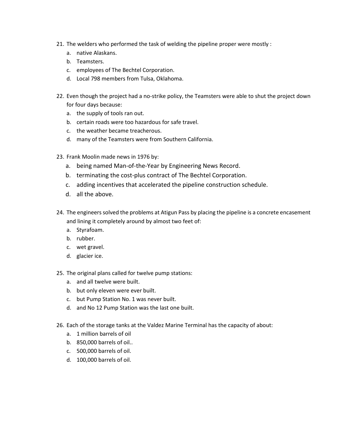- The welders who performed the task of welding the pipeline proper were mostly : The welders who perform<br>a. hative Alaskans. The welders who performed the task of welding<br>a. native Alaskans.<br>b. Teamsters.<br>c. emplovees of The Bechtel Corporation. 21. The welders who performed the task of welding the<br>
a. native Alaskans.<br>
b. Teamsters.<br>
c. employees of The Bechtel Corporation.<br>
d. Local 798 members from Tulsa. Oklahoma.
	- The welders who pe<br>a. native Alaskans<br>b. Teamsters. a. native Alaskans.<br>b. Teamsters.
	-
	-
	-
- Even though the profile and a no-strike policy, the Teamsters were mostly that is a native Alaskans.<br>
a. native Alaskans.<br>
c. employees of The Bechtel Corporation.<br>
d. Local 798 members from Tulsa, Oklahoma.<br>
Even though t Feamsters.<br>
employees of The Bech<br>
Local 798 members fro<br>
n though the project ha<br>
four days because: b. Teamsters.<br>
c. employees of The Bechtel Corporation.<br>
d. Local 798 members from Tulsa,<br>
Even though the project had a no-st<br>
for four days because:<br>
a. the supply of tools ran out. d. Local 798 members from Tulsa, Oklahoma.<br>Even though the project had a no-strike policy, the Teams<br>for four days because:<br>a. the supply of tools ran out.<br>b. certain roads were too hazardous for safe travel. the weather weathers from 1 alsa, Swand<br>Even though the project had a no-strike po<br>for four days because:<br>a. the supply of tools ran out.<br>b. certain roads were too hazardous for s<br>c. the weather became treacherous. 22. Even though the project had a no-strike policy, the Teamsters w<br>for four days because:<br>a. the supply of tools ran out.<br>b. certain roads were too hazardous for safe travel.<br>c. the weather became treacherous.<br>d. many of
	- a. the supply of tools ran out.
	- for four days because:<br>
	a. the supply of tools ran out.<br>
	b. certain roads were too hazardous for safe travel.<br>
	c. the weather became treacherous.<br>
	d. many of the Teamsters were from Southern California.
	-
	- a. the supply of tools ran out.<br>
	b. certain roads were too hazardous for safe travel.<br>
	c. the weather became treacherous.<br>
	d. many of the Teamsters were from Southern California.<br>
	Frank Moolin made news in 1976 by:<br>
	a. bei
- 
- b. certain roads were too hazardous for safe travel.<br>
c. the weather became treacherous.<br>
d. many of the Teamsters were from Southern California.<br>
Frank Moolin made news in 1976 by:<br>
a. being named Man-of-the-Year by Engin
- c. the weather became treacherous.<br>
d. many of the Teamsters were from Southern California.<br>
Frank Moolin made news in 1976 by:<br>
a. being named Man-of-the-Year by Engineering News Record.<br>
b. terminating the cost-plus cont
- 23. Frank Moolin made news in 1976 by:<br>
a. being named Man-of-the-Year by Engineering News Record.<br>
b. terminating the cost-plus contract of The Bechtel Corporatio<br>
c. adding incentives that accelerated the pipeline constr a. being named Man-of-the-Year by Engineering News Record.<br>
b. terminating the cost-plus contract of The Bechtel Corporation.<br>
c. adding incentives that accelerated the pipeline construction schedule.<br>
d. all the above.<br>
T
	-
- b. terminating the cost-plus contract of The Bechtel (<br>c. adding incentives that accelerated the pipeline cor<br>d. all the above.<br>The engineers solved the problems at Atigun Pass by placing<br>and lining it completely around by E. adding incentinel.<br>
A. all the above.<br>
The engineers solve<br>
and lining it comple<br>
a. Stvrafoam. d. all the abov<br>The engineers so<br>and lining it com<br>a. Styrafoam.<br>b. rubber. The engineers solve<br>and lining it comple<br>a. Styrafoam.<br>b. rubber.<br>c. wet gravel. 24. The engineers solve<br>and lining it comple<br>a. Styrafoam.<br>b. rubber.<br>c. wet gravel.<br>d. glacier ice.
	- a. Styrafoam.<br>b. rubber.
	-
	-
	-
- and immight completely around by almost two rect on:<br>a. Styrafoam.<br>b. rubber.<br>d. glacier ice.<br>The original plans called for twelve pump stations: and all twelve were provided.<br>
the vert gravel.<br>
d. glacier ice.<br>
The original plans called for twelve<br>
a. and all twelve were built. but out allows:<br>
c. wet gravel.<br>
d. glacier ice.<br>
The original plans called for twelve pump<br>
a. and all twelve were built.<br>
b. but only eleven were ever built. b. Wet grave...<br>
d. glacier ice.<br>
The original plans called for twelve pump station<br>
a. and all twelve were built.<br>
b. but only eleven were ever built.<br>
c. but Pump Station No. 1 was never built. 25. The original plans called for twelve pump stations:<br>
a. and all twelve were built.<br>
b. but only eleven were ever built.<br>
c. but Pump Station No. 1 was never built.<br>
d. and No 12 Pump Station was the last one built.
	-
	- a. 1 and an twelve were band.<br>
	b. but only eleven were ever<br>
	c. but Pump Station No. 1 w.<br>
	d. and No 12 Pump Station v<br>
	Each of the storage tanks at th<br>
	a. 1 million barrels of oil
	- b. 850,000 barrels of oil.<br>
	1950 barrels of the storage tanks at the<br>
	1950 barrels of oil.<br>
	1950,000 barrels of oil..
	-
- Fire original plans called for twelve pamp stations:<br>
a. and all twelve were built.<br>
b. but only eleven were ever built.<br>
c. but Pump Station No. 1 was never built.<br>
d. and No 12 Pump Station was the last one built.<br>
Each d. and No 12 Pump Station was the last one built.<br>
Each of the storage tanks at the Valdez Marine Terr<br>
a. 1 million barrels of oil.<br>
b. 850,000 barrels of oil..<br>
c. 500,000 barrels of oil. 26. Each of the storage tanks at the Valdez Marine Terminal has the capacity of about:<br>
a. 1 million barrels of oil.<br>
b. 850,000 barrels of oil.<br>
c. 500,000 barrels of oil.<br>
d. 100,000 barrels of oil.
	-
	-
	-
	-